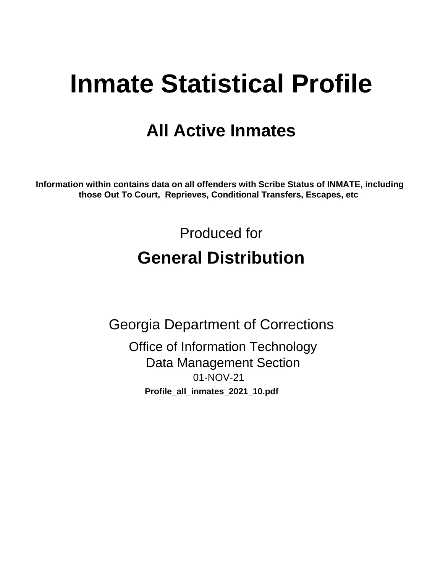# **Inmate Statistical Profile**

## **All Active Inmates**

Information within contains data on all offenders with Scribe Status of INMATE, including those Out To Court, Reprieves, Conditional Transfers, Escapes, etc

> Produced for **General Distribution**

**Georgia Department of Corrections Office of Information Technology Data Management Section** 01-NOV-21 Profile\_all\_inmates\_2021\_10.pdf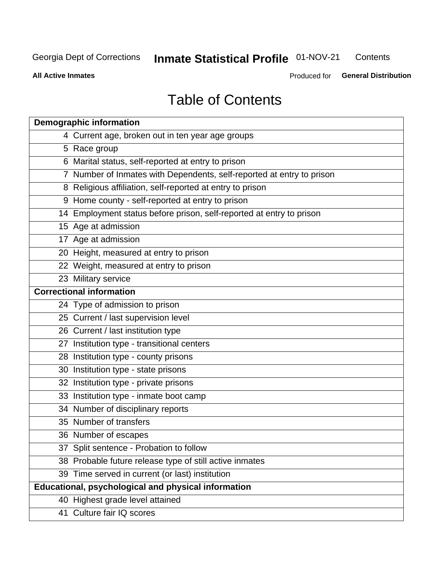#### Inmate Statistical Profile 01-NOV-21 Contents

**All Active Inmates** 

Produced for General Distribution

## **Table of Contents**

| <b>Demographic information</b>                                        |
|-----------------------------------------------------------------------|
| 4 Current age, broken out in ten year age groups                      |
| 5 Race group                                                          |
| 6 Marital status, self-reported at entry to prison                    |
| 7 Number of Inmates with Dependents, self-reported at entry to prison |
| 8 Religious affiliation, self-reported at entry to prison             |
| 9 Home county - self-reported at entry to prison                      |
| 14 Employment status before prison, self-reported at entry to prison  |
| 15 Age at admission                                                   |
| 17 Age at admission                                                   |
| 20 Height, measured at entry to prison                                |
| 22 Weight, measured at entry to prison                                |
| 23 Military service                                                   |
| <b>Correctional information</b>                                       |
| 24 Type of admission to prison                                        |
| 25 Current / last supervision level                                   |
| 26 Current / last institution type                                    |
| 27 Institution type - transitional centers                            |
| 28 Institution type - county prisons                                  |
| 30 Institution type - state prisons                                   |
| 32 Institution type - private prisons                                 |
| 33 Institution type - inmate boot camp                                |
| 34 Number of disciplinary reports                                     |
| 35 Number of transfers                                                |
| 36 Number of escapes                                                  |
| 37 Split sentence - Probation to follow                               |
| 38 Probable future release type of still active inmates               |
| 39 Time served in current (or last) institution                       |
| Educational, psychological and physical information                   |
| 40 Highest grade level attained                                       |
| 41 Culture fair IQ scores                                             |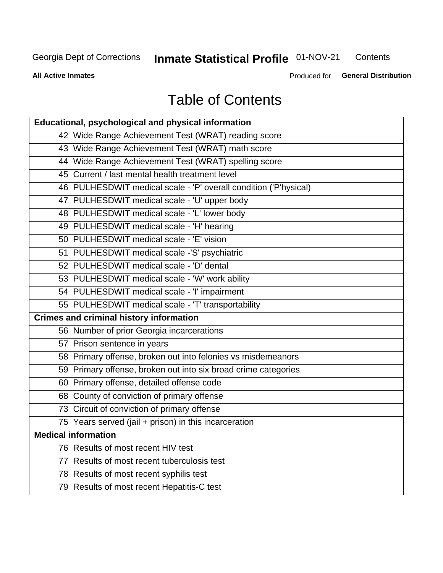## **Inmate Statistical Profile 01-NOV-21**

Contents

**All Active Inmates** 

Produced for General Distribution

## **Table of Contents**

| Educational, psychological and physical information              |
|------------------------------------------------------------------|
| 42 Wide Range Achievement Test (WRAT) reading score              |
| 43 Wide Range Achievement Test (WRAT) math score                 |
| 44 Wide Range Achievement Test (WRAT) spelling score             |
| 45 Current / last mental health treatment level                  |
| 46 PULHESDWIT medical scale - 'P' overall condition ('P'hysical) |
| 47 PULHESDWIT medical scale - 'U' upper body                     |
| 48 PULHESDWIT medical scale - 'L' lower body                     |
| 49 PULHESDWIT medical scale - 'H' hearing                        |
| 50 PULHESDWIT medical scale - 'E' vision                         |
| 51 PULHESDWIT medical scale -'S' psychiatric                     |
| 52 PULHESDWIT medical scale - 'D' dental                         |
| 53 PULHESDWIT medical scale - 'W' work ability                   |
| 54 PULHESDWIT medical scale - 'I' impairment                     |
| 55 PULHESDWIT medical scale - 'T' transportability               |
| <b>Crimes and criminal history information</b>                   |
| 56 Number of prior Georgia incarcerations                        |
| 57 Prison sentence in years                                      |
| 58 Primary offense, broken out into felonies vs misdemeanors     |
| 59 Primary offense, broken out into six broad crime categories   |
| 60 Primary offense, detailed offense code                        |
| 68 County of conviction of primary offense                       |
| 73 Circuit of conviction of primary offense                      |
| 75 Years served (jail + prison) in this incarceration            |
| <b>Medical information</b>                                       |
| 76 Results of most recent HIV test                               |
| 77 Results of most recent tuberculosis test                      |
| 78 Results of most recent syphilis test                          |
| 79 Results of most recent Hepatitis-C test                       |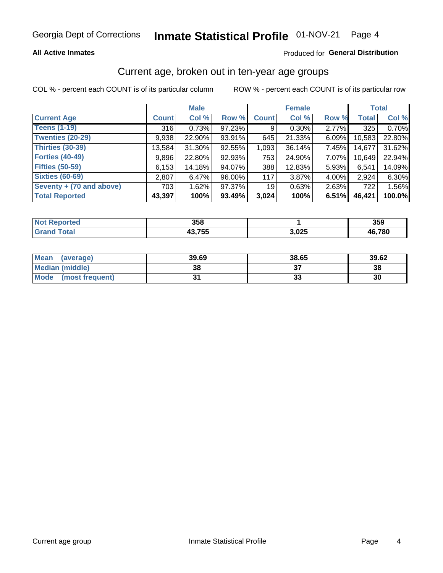## Inmate Statistical Profile 01-NOV-21 Page 4

### **All Active Inmates**

### Produced for General Distribution

## Current age, broken out in ten-year age groups

COL % - percent each COUNT is of its particular column

|                          | <b>Male</b>  |           |        | <b>Female</b>   |        |       | <b>Total</b> |        |
|--------------------------|--------------|-----------|--------|-----------------|--------|-------|--------------|--------|
| <b>Current Age</b>       | <b>Count</b> | Col %     | Row %  | <b>Count</b>    | Col %  | Row % | <b>Total</b> | Col %  |
| <b>Teens (1-19)</b>      | 316          | 0.73%     | 97.23% | 9               | 0.30%  | 2.77% | 325          | 0.70%  |
| <b>Twenties (20-29)</b>  | 9,938        | 22.90%    | 93.91% | 645             | 21.33% | 6.09% | 10,583       | 22.80% |
| <b>Thirties (30-39)</b>  | 13.584       | $31.30\%$ | 92.55% | 1,093           | 36.14% | 7.45% | 14,677       | 31.62% |
| <b>Forties (40-49)</b>   | 9,896        | 22.80%    | 92.93% | 753             | 24.90% | 7.07% | 10,649       | 22.94% |
| <b>Fifties (50-59)</b>   | 6,153        | 14.18%    | 94.07% | 388             | 12.83% | 5.93% | 6,541        | 14.09% |
| <b>Sixties (60-69)</b>   | 2,807        | 6.47%     | 96.00% | 117             | 3.87%  | 4.00% | 2,924        | 6.30%  |
| Seventy + (70 and above) | 703          | 1.62%     | 97.37% | 19 <sup>1</sup> | 0.63%  | 2.63% | 722          | 1.56%  |
| <b>Total Reported</b>    | 43,397       | 100%      | 93.49% | 3,024           | 100%   | 6.51% | 46,421       | 100.0% |

| <b>Not</b><br>™orted in | 358           |       | ったへ<br>ააა |
|-------------------------|---------------|-------|------------|
| <b>Total</b>            | 12.755<br>'ວະ | 3,025 | 46.780     |

| <b>Mean</b><br>(average) | 39.69 | 38.65 | 39.62 |
|--------------------------|-------|-------|-------|
| Median (middle)          | 38    |       | 38    |
| Mode<br>(most frequent)  |       | vu    | 30    |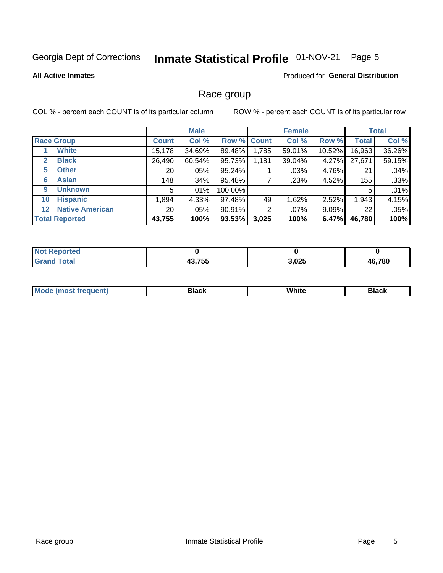#### Inmate Statistical Profile 01-NOV-21 Page 5

#### **All Active Inmates**

### Produced for General Distribution

## Race group

COL % - percent each COUNT is of its particular column

|                                   |                 | <b>Male</b> |         |             | <b>Female</b> |          |              | <b>Total</b> |  |
|-----------------------------------|-----------------|-------------|---------|-------------|---------------|----------|--------------|--------------|--|
| <b>Race Group</b>                 | <b>Count</b>    | Col %       |         | Row % Count | Col %         | Row %    | <b>Total</b> | Col %        |  |
| <b>White</b>                      | 15,178          | 34.69%      | 89.48%  | 1,785       | 59.01%        | 10.52%   | 16,963       | 36.26%       |  |
| <b>Black</b><br>2                 | 26,490          | 60.54%      | 95.73%  | 1,181       | 39.04%        | 4.27%    | 27,671       | 59.15%       |  |
| <b>Other</b><br>5.                | 20              | $.05\%$     | 95.24%  |             | .03%          | 4.76%    | 21           | .04%         |  |
| <b>Asian</b><br>6                 | 148             | .34%        | 95.48%  |             | .23%          | 4.52%    | 155          | .33%         |  |
| <b>Unknown</b><br>9               | 5               | $.01\%$     | 100.00% |             |               |          | 5            | .01%         |  |
| <b>Hispanic</b><br>10             | 1,894           | 4.33%       | 97.48%  | 49          | 1.62%         | 2.52%    | 1,943        | 4.15%        |  |
| <b>Native American</b><br>$12 \,$ | 20 <sub>1</sub> | $.05\%$     | 90.91%  | 2           | $.07\%$       | $9.09\%$ | 22           | .05%         |  |
| <b>Total Reported</b>             | 43,755          | 100%        | 93.53%  | 3,025       | 100%          | 6.47%    | 46,780       | 100%         |  |

| orted<br>Nt    |        |       |        |
|----------------|--------|-------|--------|
| `otal<br>' Gra | 43,755 | 3,025 | 46,780 |

| m | <br>w |  |
|---|-------|--|
|   |       |  |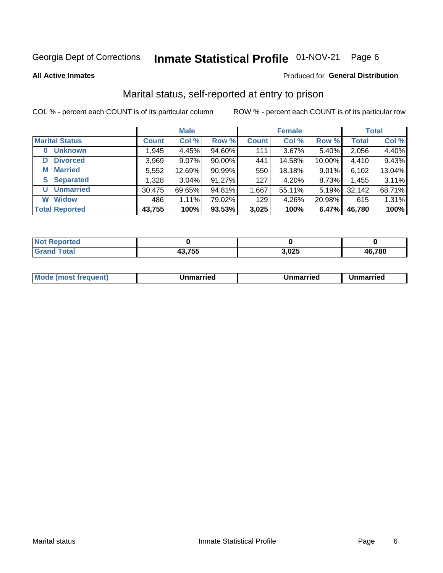#### Inmate Statistical Profile 01-NOV-21 Page 6

**All Active Inmates** 

### Produced for General Distribution

## Marital status, self-reported at entry to prison

COL % - percent each COUNT is of its particular column

|                            | <b>Male</b>  |        |        | <b>Female</b> |          |        | <b>Total</b> |        |
|----------------------------|--------------|--------|--------|---------------|----------|--------|--------------|--------|
| <b>Marital Status</b>      | <b>Count</b> | Col %  | Row %  | <b>Count</b>  | Col %    | Row %  | <b>Total</b> | Col %  |
| <b>Unknown</b><br>$\bf{0}$ | 1,945        | 4.45%  | 94.60% | 111           | $3.67\%$ | 5.40%  | 2,056        | 4.40%  |
| <b>Divorced</b><br>D       | 3,969        | 9.07%  | 90.00% | 441           | 14.58%   | 10.00% | 4,410        | 9.43%  |
| <b>Married</b><br>М        | 5,552        | 12.69% | 90.99% | 550           | 18.18%   | 9.01%  | 6,102        | 13.04% |
| <b>Separated</b><br>S      | 1,328        | 3.04%  | 91.27% | 127           | 4.20%    | 8.73%  | 1,455        | 3.11%  |
| <b>Unmarried</b><br>U      | 30,475       | 69.65% | 94.81% | 1,667         | 55.11%   | 5.19%  | 32,142       | 68.71% |
| <b>Widow</b><br>W          | 486          | 1.11%  | 79.02% | 129           | 4.26%    | 20.98% | 615          | 1.31%  |
| <b>Total Reported</b>      | 43,755       | 100%   | 93.53% | 3,025         | 100%     | 6.47%  | 46,780       | 100%   |

| NOI<br>тео.  |        |            |                 |
|--------------|--------|------------|-----------------|
| <b>Fotal</b> | , ---  | <b>OOF</b> | .780            |
|              | 43,733 | ຽ,∪∠ວ      | $\overline{AB}$ |

|--|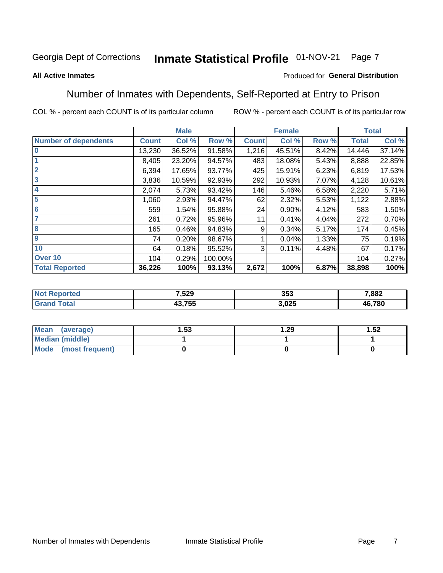#### Inmate Statistical Profile 01-NOV-21 Page 7

### **All Active Inmates**

### Produced for General Distribution

## Number of Inmates with Dependents, Self-Reported at Entry to Prison

COL % - percent each COUNT is of its particular column

|                             |              | <b>Male</b> |         |              | <b>Female</b> |       |              | <b>Total</b> |  |
|-----------------------------|--------------|-------------|---------|--------------|---------------|-------|--------------|--------------|--|
| <b>Number of dependents</b> | <b>Count</b> | Col %       | Row %   | <b>Count</b> | Col %         | Row % | <b>Total</b> | Col %        |  |
| 10                          | 13,230       | 36.52%      | 91.58%  | 1,216        | 45.51%        | 8.42% | 14,446       | 37.14%       |  |
|                             | 8,405        | 23.20%      | 94.57%  | 483          | 18.08%        | 5.43% | 8,888        | 22.85%       |  |
| $\overline{2}$              | 6,394        | 17.65%      | 93.77%  | 425          | 15.91%        | 6.23% | 6,819        | 17.53%       |  |
| $\overline{\mathbf{3}}$     | 3,836        | 10.59%      | 92.93%  | 292          | 10.93%        | 7.07% | 4,128        | 10.61%       |  |
| $\overline{\mathbf{4}}$     | 2,074        | 5.73%       | 93.42%  | 146          | 5.46%         | 6.58% | 2,220        | 5.71%        |  |
| $\overline{\mathbf{5}}$     | 1,060        | 2.93%       | 94.47%  | 62           | 2.32%         | 5.53% | 1,122        | 2.88%        |  |
| 6                           | 559          | 1.54%       | 95.88%  | 24           | 0.90%         | 4.12% | 583          | 1.50%        |  |
| 7                           | 261          | 0.72%       | 95.96%  | 11           | 0.41%         | 4.04% | 272          | 0.70%        |  |
| $\overline{\mathbf{8}}$     | 165          | 0.46%       | 94.83%  | 9            | 0.34%         | 5.17% | 174          | 0.45%        |  |
| 9                           | 74           | 0.20%       | 98.67%  |              | 0.04%         | 1.33% | 75           | 0.19%        |  |
| 10                          | 64           | 0.18%       | 95.52%  | 3            | 0.11%         | 4.48% | 67           | 0.17%        |  |
| Over 10                     | 104          | 0.29%       | 100.00% |              |               |       | 104          | 0.27%        |  |
| <b>Total Reported</b>       | 36,226       | 100%        | 93.13%  | 2,672        | 100%          | 6.87% | 38,898       | 100%         |  |

| w | 7,529 | 353         | 7,882  |
|---|-------|-------------|--------|
|   | ົນພ   | ハクト<br>.vzj | 46,780 |

| Mean (average)          | l.53 | . .29 | 1.52 |
|-------------------------|------|-------|------|
| <b>Median (middle)</b>  |      |       |      |
| Mode<br>(most frequent) |      |       |      |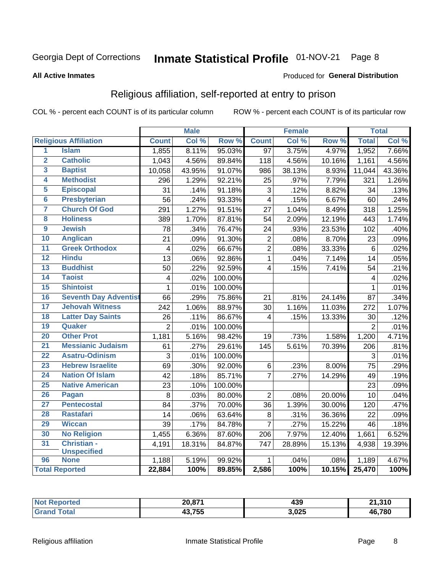#### Inmate Statistical Profile 01-NOV-21 Page 8

#### **All Active Inmates**

### Produced for General Distribution

## Religious affiliation, self-reported at entry to prison

COL % - percent each COUNT is of its particular column

|                         |                              |                | <b>Male</b> |         |                   | <b>Female</b> |                  |                | <b>Total</b> |
|-------------------------|------------------------------|----------------|-------------|---------|-------------------|---------------|------------------|----------------|--------------|
|                         | <b>Religious Affiliation</b> | <b>Count</b>   | Col %       | Row %   | <b>Count</b>      | Col %         | Row <sup>%</sup> | <b>Total</b>   | Col %        |
| 1                       | <b>Islam</b>                 | 1,855          | 8.11%       | 95.03%  | $\overline{97}$   | 3.75%         | 4.97%            | 1,952          | 7.66%        |
| $\overline{\mathbf{2}}$ | <b>Catholic</b>              | 1,043          | 4.56%       | 89.84%  | 118               | 4.56%         | 10.16%           | 1,161          | 4.56%        |
| 3                       | <b>Baptist</b>               | 10,058         | 43.95%      | 91.07%  | 986               | 38.13%        | 8.93%            | 11,044         | 43.36%       |
| 4                       | <b>Methodist</b>             | 296            | 1.29%       | 92.21%  | 25                | .97%          | 7.79%            | 321            | 1.26%        |
| 5                       | <b>Episcopal</b>             | 31             | .14%        | 91.18%  | 3                 | .12%          | 8.82%            | 34             | .13%         |
| $\overline{6}$          | <b>Presbyterian</b>          | 56             | .24%        | 93.33%  | $\overline{4}$    | .15%          | 6.67%            | 60             | .24%         |
| 7                       | <b>Church Of God</b>         | 291            | 1.27%       | 91.51%  | $\overline{27}$   | 1.04%         | 8.49%            | 318            | 1.25%        |
| 8                       | <b>Holiness</b>              | 389            | 1.70%       | 87.81%  | 54                | 2.09%         | 12.19%           | 443            | 1.74%        |
| $\overline{9}$          | <b>Jewish</b>                | 78             | .34%        | 76.47%  | 24                | .93%          | 23.53%           | 102            | .40%         |
| 10                      | <b>Anglican</b>              | 21             | .09%        | 91.30%  | $\mathbf 2$       | .08%          | 8.70%            | 23             | .09%         |
| 11                      | <b>Greek Orthodox</b>        | $\overline{4}$ | .02%        | 66.67%  | $\overline{2}$    | .08%          | 33.33%           | $\overline{6}$ | .02%         |
| 12                      | <b>Hindu</b>                 | 13             | .06%        | 92.86%  | $\mathbf{1}$      | .04%          | 7.14%            | 14             | .05%         |
| 13                      | <b>Buddhist</b>              | 50             | .22%        | 92.59%  | $\overline{4}$    | .15%          | 7.41%            | 54             | .21%         |
| $\overline{14}$         | <b>Taoist</b>                | $\overline{4}$ | .02%        | 100.00% |                   |               |                  | 4              | .02%         |
| 15                      | <b>Shintoist</b>             | $\mathbf{1}$   | .01%        | 100.00% |                   |               |                  | 1              | .01%         |
| 16                      | <b>Seventh Day Adventist</b> | 66             | .29%        | 75.86%  | 21                | .81%          | 24.14%           | 87             | .34%         |
| 17                      | <b>Jehovah Witness</b>       | 242            | 1.06%       | 88.97%  | 30                | 1.16%         | 11.03%           | 272            | 1.07%        |
| 18                      | <b>Latter Day Saints</b>     | 26             | .11%        | 86.67%  | 4                 | .15%          | 13.33%           | 30             | .12%         |
| 19                      | Quaker                       | $\overline{2}$ | .01%        | 100.00% |                   |               |                  | $\overline{2}$ | .01%         |
| 20                      | <b>Other Prot</b>            | 1,181          | 5.16%       | 98.42%  | 19                | .73%          | 1.58%            | 1,200          | 4.71%        |
| 21                      | <b>Messianic Judaism</b>     | 61             | .27%        | 29.61%  | $\overline{1}$ 45 | 5.61%         | 70.39%           | 206            | .81%         |
| 22                      | <b>Asatru-Odinism</b>        | 3              | .01%        | 100.00% |                   |               |                  | 3              | .01%         |
| 23                      | <b>Hebrew Israelite</b>      | 69             | .30%        | 92.00%  | 6                 | .23%          | 8.00%            | 75             | .29%         |
| 24                      | <b>Nation Of Islam</b>       | 42             | .18%        | 85.71%  | $\overline{7}$    | .27%          | 14.29%           | 49             | .19%         |
| 25                      | <b>Native American</b>       | 23             | .10%        | 100.00% |                   |               |                  | 23             | .09%         |
| 26                      | Pagan                        | 8              | .03%        | 80.00%  | $\overline{2}$    | .08%          | 20.00%           | 10             | .04%         |
| 27                      | <b>Pentecostal</b>           | 84             | .37%        | 70.00%  | 36                | 1.39%         | 30.00%           | 120            | .47%         |
| 28                      | <b>Rastafari</b>             | 14             | .06%        | 63.64%  | 8                 | .31%          | 36.36%           | 22             | .09%         |
| 29                      | <b>Wiccan</b>                | 39             | .17%        | 84.78%  | $\overline{7}$    | .27%          | 15.22%           | 46             | .18%         |
| 30                      | <b>No Religion</b>           | 1,455          | 6.36%       | 87.60%  | 206               | 7.97%         | 12.40%           | 1,661          | 6.52%        |
| 31                      | Christian -                  | 4,191          | 18.31%      | 84.87%  | 747               | 28.89%        | 15.13%           | 4,938          | 19.39%       |
|                         | <b>Unspecified</b>           |                |             |         |                   |               |                  |                |              |
| 96                      | <b>None</b>                  | 1,188          | 5.19%       | 99.92%  | 1                 | .04%          | .08%             | 1,189          | 4.67%        |
|                         | <b>Total Reported</b>        | 22,884         | 100%        | 89.85%  | 2,586             | 100%          | 10.15%           | 25,470         | 100%         |

| τeι. | 20,871                | 100<br>433 | 21,310<br>- |
|------|-----------------------|------------|-------------|
|      | 10.755<br>.755<br>тν. | 3,025      | 46.780      |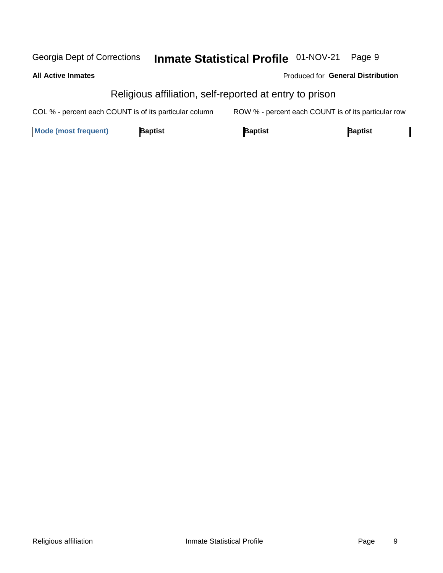#### Inmate Statistical Profile 01-NOV-21 Georgia Dept of Corrections Page 9

#### **All Active Inmates**

### Produced for General Distribution

## Religious affiliation, self-reported at entry to prison

COL % - percent each COUNT is of its particular column ROW % - percent each COUNT is of its particular row

| <b>Mode (most frequent)</b> | Baptist | aptist | Baptist |
|-----------------------------|---------|--------|---------|
|-----------------------------|---------|--------|---------|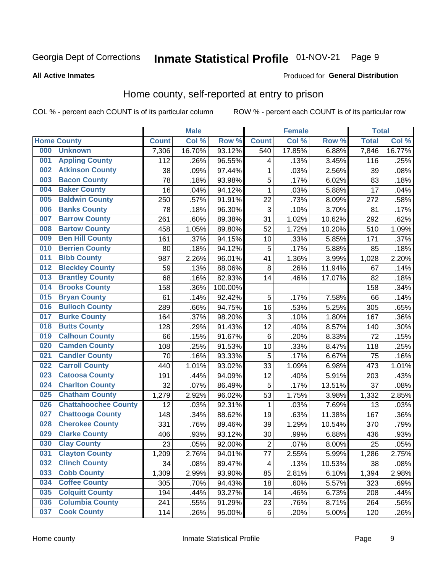#### Inmate Statistical Profile 01-NOV-21 Page 9

#### **All Active Inmates**

### **Produced for General Distribution**

## Home county, self-reported at entry to prison

COL % - percent each COUNT is of its particular column

|     |                             |              | <b>Male</b> |                  |                | <b>Female</b> |        | <b>Total</b> |        |
|-----|-----------------------------|--------------|-------------|------------------|----------------|---------------|--------|--------------|--------|
|     | <b>Home County</b>          | <b>Count</b> | Col %       | Row <sup>%</sup> | <b>Count</b>   | Col %         | Row %  | <b>Total</b> | Col %  |
| 000 | <b>Unknown</b>              | 7,306        | 16.70%      | 93.12%           | 540            | 17.85%        | 6.88%  | 7,846        | 16.77% |
| 001 | <b>Appling County</b>       | 112          | .26%        | 96.55%           | 4              | .13%          | 3.45%  | 116          | .25%   |
| 002 | <b>Atkinson County</b>      | 38           | .09%        | 97.44%           | $\mathbf{1}$   | .03%          | 2.56%  | 39           | .08%   |
| 003 | <b>Bacon County</b>         | 78           | .18%        | 93.98%           | 5              | .17%          | 6.02%  | 83           | .18%   |
| 004 | <b>Baker County</b>         | 16           | .04%        | 94.12%           | $\mathbf{1}$   | .03%          | 5.88%  | 17           | .04%   |
| 005 | <b>Baldwin County</b>       | 250          | .57%        | 91.91%           | 22             | .73%          | 8.09%  | 272          | .58%   |
| 006 | <b>Banks County</b>         | 78           | .18%        | 96.30%           | $\mathbf{3}$   | .10%          | 3.70%  | 81           | .17%   |
| 007 | <b>Barrow County</b>        | 261          | .60%        | 89.38%           | 31             | 1.02%         | 10.62% | 292          | .62%   |
| 008 | <b>Bartow County</b>        | 458          | 1.05%       | 89.80%           | 52             | 1.72%         | 10.20% | 510          | 1.09%  |
| 009 | <b>Ben Hill County</b>      | 161          | .37%        | 94.15%           | 10             | .33%          | 5.85%  | 171          | .37%   |
| 010 | <b>Berrien County</b>       | 80           | .18%        | 94.12%           | 5              | .17%          | 5.88%  | 85           | .18%   |
| 011 | <b>Bibb County</b>          | 987          | 2.26%       | 96.01%           | 41             | 1.36%         | 3.99%  | 1,028        | 2.20%  |
| 012 | <b>Bleckley County</b>      | 59           | .13%        | 88.06%           | 8              | .26%          | 11.94% | 67           | .14%   |
| 013 | <b>Brantley County</b>      | 68           | .16%        | 82.93%           | 14             | .46%          | 17.07% | 82           | .18%   |
| 014 | <b>Brooks County</b>        | 158          | .36%        | 100.00%          |                |               |        | 158          | .34%   |
| 015 | <b>Bryan County</b>         | 61           | .14%        | 92.42%           | 5              | .17%          | 7.58%  | 66           | .14%   |
| 016 | <b>Bulloch County</b>       | 289          | .66%        | 94.75%           | 16             | .53%          | 5.25%  | 305          | .65%   |
| 017 | <b>Burke County</b>         | 164          | .37%        | 98.20%           | $\sqrt{3}$     | .10%          | 1.80%  | 167          | .36%   |
| 018 | <b>Butts County</b>         | 128          | .29%        | 91.43%           | 12             | .40%          | 8.57%  | 140          | .30%   |
| 019 | <b>Calhoun County</b>       | 66           | .15%        | 91.67%           | $\,6$          | .20%          | 8.33%  | 72           | .15%   |
| 020 | <b>Camden County</b>        | 108          | .25%        | 91.53%           | 10             | .33%          | 8.47%  | 118          | .25%   |
| 021 | <b>Candler County</b>       | 70           | .16%        | 93.33%           | 5              | .17%          | 6.67%  | 75           | .16%   |
| 022 | <b>Carroll County</b>       | 440          | 1.01%       | 93.02%           | 33             | 1.09%         | 6.98%  | 473          | 1.01%  |
| 023 | <b>Catoosa County</b>       | 191          | .44%        | 94.09%           | 12             | .40%          | 5.91%  | 203          | .43%   |
| 024 | <b>Charlton County</b>      | 32           | .07%        | 86.49%           | 5              | .17%          | 13.51% | 37           | .08%   |
| 025 | <b>Chatham County</b>       | 1,279        | 2.92%       | 96.02%           | 53             | 1.75%         | 3.98%  | 1,332        | 2.85%  |
| 026 | <b>Chattahoochee County</b> | 12           | .03%        | 92.31%           | 1              | .03%          | 7.69%  | 13           | .03%   |
| 027 | <b>Chattooga County</b>     | 148          | .34%        | 88.62%           | 19             | .63%          | 11.38% | 167          | .36%   |
| 028 | <b>Cherokee County</b>      | 331          | .76%        | 89.46%           | 39             | 1.29%         | 10.54% | 370          | .79%   |
| 029 | <b>Clarke County</b>        | 406          | .93%        | 93.12%           | 30             | .99%          | 6.88%  | 436          | .93%   |
| 030 | <b>Clay County</b>          | 23           | .05%        | 92.00%           | $\overline{2}$ | .07%          | 8.00%  | 25           | .05%   |
| 031 | <b>Clayton County</b>       | 1,209        | 2.76%       | 94.01%           | 77             | 2.55%         | 5.99%  | 1,286        | 2.75%  |
| 032 | <b>Clinch County</b>        | 34           | .08%        | 89.47%           | 4              | .13%          | 10.53% | 38           | .08%   |
| 033 | <b>Cobb County</b>          | 1,309        | 2.99%       | 93.90%           | 85             | 2.81%         | 6.10%  | 1,394        | 2.98%  |
| 034 | <b>Coffee County</b>        | 305          | .70%        | 94.43%           | 18             | .60%          | 5.57%  | 323          | .69%   |
| 035 | <b>Colquitt County</b>      | 194          | .44%        | 93.27%           | 14             | .46%          | 6.73%  | 208          | .44%   |
| 036 | <b>Columbia County</b>      | 241          | .55%        | 91.29%           | 23             | .76%          | 8.71%  | 264          | .56%   |
| 037 | <b>Cook County</b>          | 114          | .26%        | 95.00%           | $\,6$          | .20%          | 5.00%  | 120          | .26%   |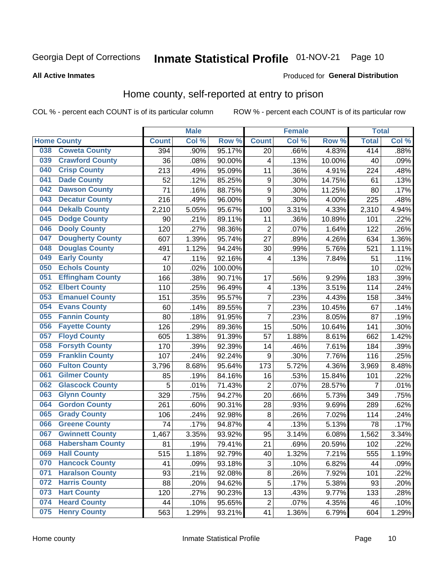## Inmate Statistical Profile 01-NOV-21 Page 10

### **All Active Inmates**

### Produced for General Distribution

## Home county, self-reported at entry to prison

COL % - percent each COUNT is of its particular column

|     |                         |              | <b>Male</b> |                  |                         | <b>Female</b> |        | <b>Total</b>   |         |
|-----|-------------------------|--------------|-------------|------------------|-------------------------|---------------|--------|----------------|---------|
|     | <b>Home County</b>      | <b>Count</b> | Col%        | Row <sup>%</sup> | <b>Count</b>            | Col %         | Row %  | <b>Total</b>   | Col %   |
| 038 | <b>Coweta County</b>    | 394          | .90%        | 95.17%           | 20                      | .66%          | 4.83%  | 414            | $.88\%$ |
| 039 | <b>Crawford County</b>  | 36           | .08%        | 90.00%           | 4                       | .13%          | 10.00% | 40             | .09%    |
| 040 | <b>Crisp County</b>     | 213          | .49%        | 95.09%           | 11                      | .36%          | 4.91%  | 224            | .48%    |
| 041 | <b>Dade County</b>      | 52           | .12%        | 85.25%           | $\boldsymbol{9}$        | .30%          | 14.75% | 61             | .13%    |
| 042 | <b>Dawson County</b>    | 71           | .16%        | 88.75%           | 9                       | .30%          | 11.25% | 80             | .17%    |
| 043 | <b>Decatur County</b>   | 216          | .49%        | 96.00%           | 9                       | .30%          | 4.00%  | 225            | .48%    |
| 044 | <b>Dekalb County</b>    | 2,210        | 5.05%       | 95.67%           | 100                     | 3.31%         | 4.33%  | 2,310          | 4.94%   |
| 045 | <b>Dodge County</b>     | 90           | .21%        | 89.11%           | 11                      | .36%          | 10.89% | 101            | .22%    |
| 046 | <b>Dooly County</b>     | 120          | .27%        | 98.36%           | $\overline{2}$          | .07%          | 1.64%  | 122            | .26%    |
| 047 | <b>Dougherty County</b> | 607          | 1.39%       | 95.74%           | 27                      | .89%          | 4.26%  | 634            | 1.36%   |
| 048 | <b>Douglas County</b>   | 491          | 1.12%       | 94.24%           | 30                      | .99%          | 5.76%  | 521            | 1.11%   |
| 049 | <b>Early County</b>     | 47           | .11%        | 92.16%           | 4                       | .13%          | 7.84%  | 51             | .11%    |
| 050 | <b>Echols County</b>    | 10           | .02%        | 100.00%          |                         |               |        | 10             | .02%    |
| 051 | <b>Effingham County</b> | 166          | .38%        | 90.71%           | 17                      | .56%          | 9.29%  | 183            | .39%    |
| 052 | <b>Elbert County</b>    | 110          | .25%        | 96.49%           | 4                       | .13%          | 3.51%  | 114            | .24%    |
| 053 | <b>Emanuel County</b>   | 151          | .35%        | 95.57%           | 7                       | .23%          | 4.43%  | 158            | .34%    |
| 054 | <b>Evans County</b>     | 60           | .14%        | 89.55%           | 7                       | .23%          | 10.45% | 67             | .14%    |
| 055 | <b>Fannin County</b>    | 80           | .18%        | 91.95%           | 7                       | .23%          | 8.05%  | 87             | .19%    |
| 056 | <b>Fayette County</b>   | 126          | .29%        | 89.36%           | 15                      | .50%          | 10.64% | 141            | .30%    |
| 057 | <b>Floyd County</b>     | 605          | 1.38%       | 91.39%           | 57                      | 1.88%         | 8.61%  | 662            | 1.42%   |
| 058 | <b>Forsyth County</b>   | 170          | .39%        | 92.39%           | 14                      | .46%          | 7.61%  | 184            | .39%    |
| 059 | <b>Franklin County</b>  | 107          | .24%        | 92.24%           | $\boldsymbol{9}$        | .30%          | 7.76%  | 116            | .25%    |
| 060 | <b>Fulton County</b>    | 3,796        | 8.68%       | 95.64%           | 173                     | 5.72%         | 4.36%  | 3,969          | 8.48%   |
| 061 | <b>Gilmer County</b>    | 85           | .19%        | 84.16%           | 16                      | .53%          | 15.84% | 101            | .22%    |
| 062 | <b>Glascock County</b>  | 5            | .01%        | 71.43%           | $\overline{2}$          | .07%          | 28.57% | $\overline{7}$ | .01%    |
| 063 | <b>Glynn County</b>     | 329          | .75%        | 94.27%           | 20                      | .66%          | 5.73%  | 349            | .75%    |
| 064 | <b>Gordon County</b>    | 261          | .60%        | 90.31%           | 28                      | .93%          | 9.69%  | 289            | .62%    |
| 065 | <b>Grady County</b>     | 106          | .24%        | 92.98%           | 8                       | .26%          | 7.02%  | 114            | .24%    |
| 066 | <b>Greene County</b>    | 74           | .17%        | 94.87%           | $\overline{\mathbf{4}}$ | .13%          | 5.13%  | 78             | .17%    |
| 067 | <b>Gwinnett County</b>  | 1,467        | 3.35%       | 93.92%           | 95                      | 3.14%         | 6.08%  | 1,562          | 3.34%   |
| 068 | <b>Habersham County</b> | 81           | .19%        | 79.41%           | 21                      | .69%          | 20.59% | 102            | .22%    |
| 069 | <b>Hall County</b>      | 515          | 1.18%       | 92.79%           | 40                      | 1.32%         | 7.21%  | 555            | 1.19%   |
| 070 | <b>Hancock County</b>   | 41           | .09%        | 93.18%           | 3                       | .10%          | 6.82%  | 44             | .09%    |
| 071 | <b>Haralson County</b>  | 93           | .21%        | 92.08%           | $\overline{8}$          | .26%          | 7.92%  | 101            | .22%    |
| 072 | <b>Harris County</b>    | 88           | .20%        | 94.62%           | 5                       | .17%          | 5.38%  | 93             | .20%    |
| 073 | <b>Hart County</b>      | 120          | .27%        | 90.23%           | 13                      | .43%          | 9.77%  | 133            | .28%    |
| 074 | <b>Heard County</b>     | 44           | .10%        | 95.65%           | $\mathbf 2$             | .07%          | 4.35%  | 46             | .10%    |
| 075 | <b>Henry County</b>     | 563          | 1.29%       | 93.21%           | 41                      | 1.36%         | 6.79%  | 604            | 1.29%   |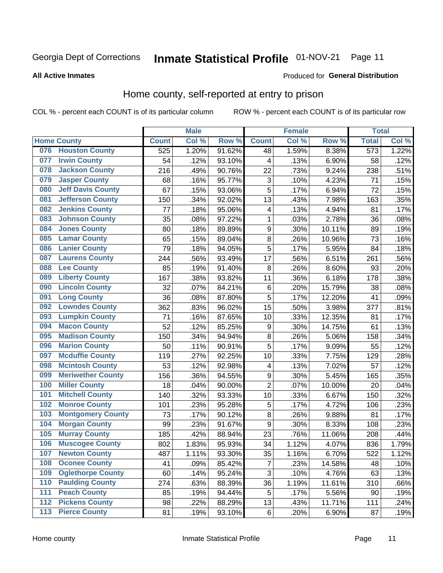## Inmate Statistical Profile 01-NOV-21 Page 11

**All Active Inmates** 

#### Produced for General Distribution

## Home county, self-reported at entry to prison

COL % - percent each COUNT is of its particular column

|                  |                          |              | <b>Male</b> |        |                         | <b>Female</b> |        | <b>Total</b> |       |
|------------------|--------------------------|--------------|-------------|--------|-------------------------|---------------|--------|--------------|-------|
|                  | <b>Home County</b>       | <b>Count</b> | Col %       | Row %  | <b>Count</b>            | Col %         | Row %  | <b>Total</b> | Col % |
| 076              | <b>Houston County</b>    | 525          | 1.20%       | 91.62% | 48                      | 1.59%         | 8.38%  | 573          | 1.22% |
| 077              | <b>Irwin County</b>      | 54           | .12%        | 93.10% | 4                       | .13%          | 6.90%  | 58           | .12%  |
| 078              | <b>Jackson County</b>    | 216          | .49%        | 90.76% | 22                      | .73%          | 9.24%  | 238          | .51%  |
| 079              | <b>Jasper County</b>     | 68           | .16%        | 95.77% | 3                       | .10%          | 4.23%  | 71           | .15%  |
| 080              | <b>Jeff Davis County</b> | 67           | .15%        | 93.06% | 5                       | .17%          | 6.94%  | 72           | .15%  |
| 081              | <b>Jefferson County</b>  | 150          | .34%        | 92.02% | 13                      | .43%          | 7.98%  | 163          | .35%  |
| 082              | <b>Jenkins County</b>    | 77           | .18%        | 95.06% | $\overline{\mathbf{4}}$ | .13%          | 4.94%  | 81           | .17%  |
| 083              | <b>Johnson County</b>    | 35           | .08%        | 97.22% | $\mathbf{1}$            | .03%          | 2.78%  | 36           | .08%  |
| 084              | <b>Jones County</b>      | 80           | .18%        | 89.89% | 9                       | .30%          | 10.11% | 89           | .19%  |
| 085              | <b>Lamar County</b>      | 65           | .15%        | 89.04% | $\overline{8}$          | .26%          | 10.96% | 73           | .16%  |
| 086              | <b>Lanier County</b>     | 79           | .18%        | 94.05% | $\overline{5}$          | .17%          | 5.95%  | 84           | .18%  |
| 087              | <b>Laurens County</b>    | 244          | .56%        | 93.49% | 17                      | .56%          | 6.51%  | 261          | .56%  |
| 088              | <b>Lee County</b>        | 85           | .19%        | 91.40% | 8                       | .26%          | 8.60%  | 93           | .20%  |
| 089              | <b>Liberty County</b>    | 167          | .38%        | 93.82% | 11                      | .36%          | 6.18%  | 178          | .38%  |
| 090              | <b>Lincoln County</b>    | 32           | .07%        | 84.21% | $\,6$                   | .20%          | 15.79% | 38           | .08%  |
| 091              | <b>Long County</b>       | 36           | .08%        | 87.80% | 5                       | .17%          | 12.20% | 41           | .09%  |
| 092              | <b>Lowndes County</b>    | 362          | .83%        | 96.02% | 15                      | .50%          | 3.98%  | 377          | .81%  |
| 093              | <b>Lumpkin County</b>    | 71           | .16%        | 87.65% | 10                      | .33%          | 12.35% | 81           | .17%  |
| 094              | <b>Macon County</b>      | 52           | .12%        | 85.25% | $\boldsymbol{9}$        | .30%          | 14.75% | 61           | .13%  |
| 095              | <b>Madison County</b>    | 150          | .34%        | 94.94% | 8                       | .26%          | 5.06%  | 158          | .34%  |
| 096              | <b>Marion County</b>     | 50           | .11%        | 90.91% | 5                       | .17%          | 9.09%  | 55           | .12%  |
| 097              | <b>Mcduffie County</b>   | 119          | .27%        | 92.25% | 10                      | .33%          | 7.75%  | 129          | .28%  |
| 098              | <b>Mcintosh County</b>   | 53           | .12%        | 92.98% | 4                       | .13%          | 7.02%  | 57           | .12%  |
| 099              | <b>Meriwether County</b> | 156          | .36%        | 94.55% | 9                       | .30%          | 5.45%  | 165          | .35%  |
| 100              | <b>Miller County</b>     | 18           | .04%        | 90.00% | $\overline{2}$          | .07%          | 10.00% | 20           | .04%  |
| 101              | <b>Mitchell County</b>   | 140          | .32%        | 93.33% | 10                      | .33%          | 6.67%  | 150          | .32%  |
| 102              | <b>Monroe County</b>     | 101          | .23%        | 95.28% | 5                       | .17%          | 4.72%  | 106          | .23%  |
| 103              | <b>Montgomery County</b> | 73           | .17%        | 90.12% | 8                       | .26%          | 9.88%  | 81           | .17%  |
| 104              | <b>Morgan County</b>     | 99           | .23%        | 91.67% | 9                       | .30%          | 8.33%  | 108          | .23%  |
| 105              | <b>Murray County</b>     | 185          | .42%        | 88.94% | 23                      | .76%          | 11.06% | 208          | .44%  |
| 106              | <b>Muscogee County</b>   | 802          | 1.83%       | 95.93% | 34                      | 1.12%         | 4.07%  | 836          | 1.79% |
| 107              | <b>Newton County</b>     | 487          | 1.11%       | 93.30% | 35                      | 1.16%         | 6.70%  | 522          | 1.12% |
| 108              | <b>Oconee County</b>     | 41           | .09%        | 85.42% | 7                       | .23%          | 14.58% | 48           | .10%  |
| 109              | <b>Oglethorpe County</b> | 60           | .14%        | 95.24% | 3                       | .10%          | 4.76%  | 63           | .13%  |
| 110              | <b>Paulding County</b>   | 274          | .63%        | 88.39% | 36                      | 1.19%         | 11.61% | 310          | .66%  |
| 111              | <b>Peach County</b>      | 85           | .19%        | 94.44% | 5                       | .17%          | 5.56%  | 90           | .19%  |
| $\overline{112}$ | <b>Pickens County</b>    | 98           | .22%        | 88.29% | 13                      | .43%          | 11.71% | 111          | .24%  |
| 113              | <b>Pierce County</b>     | 81           | .19%        | 93.10% | $\,6$                   | .20%          | 6.90%  | 87           | .19%  |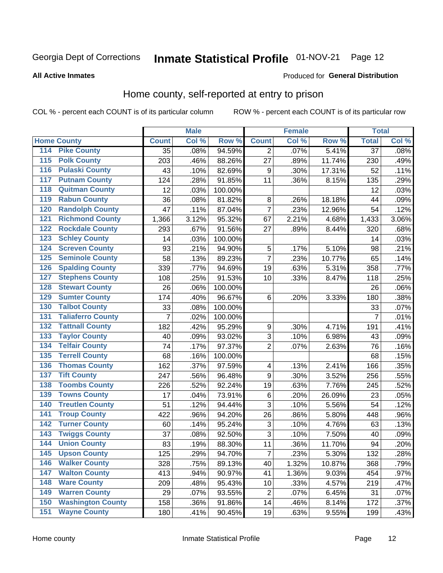## Inmate Statistical Profile 01-NOV-21 Page 12

### **All Active Inmates**

### Produced for General Distribution

## Home county, self-reported at entry to prison

COL % - percent each COUNT is of its particular column

|                  |                          |                 | <b>Male</b> |         |                  | <b>Female</b> |        | <b>Total</b>    |       |
|------------------|--------------------------|-----------------|-------------|---------|------------------|---------------|--------|-----------------|-------|
|                  | <b>Home County</b>       | <b>Count</b>    | Col %       | Row %   | <b>Count</b>     | Col %         | Row %  | <b>Total</b>    | Col % |
| 114              | <b>Pike County</b>       | $\overline{35}$ | .08%        | 94.59%  | 2                | .07%          | 5.41%  | $\overline{37}$ | .08%  |
| $\overline{115}$ | <b>Polk County</b>       | 203             | .46%        | 88.26%  | 27               | .89%          | 11.74% | 230             | .49%  |
| 116              | <b>Pulaski County</b>    | 43              | .10%        | 82.69%  | $\boldsymbol{9}$ | .30%          | 17.31% | 52              | .11%  |
| 117              | <b>Putnam County</b>     | 124             | .28%        | 91.85%  | 11               | .36%          | 8.15%  | 135             | .29%  |
| 118              | <b>Quitman County</b>    | 12              | .03%        | 100.00% |                  |               |        | 12              | .03%  |
| 119              | <b>Rabun County</b>      | 36              | .08%        | 81.82%  | 8                | .26%          | 18.18% | 44              | .09%  |
| 120              | <b>Randolph County</b>   | 47              | .11%        | 87.04%  | $\overline{7}$   | .23%          | 12.96% | 54              | .12%  |
| 121              | <b>Richmond County</b>   | 1,366           | 3.12%       | 95.32%  | 67               | 2.21%         | 4.68%  | 1,433           | 3.06% |
| 122              | <b>Rockdale County</b>   | 293             | .67%        | 91.56%  | 27               | .89%          | 8.44%  | 320             | .68%  |
| 123              | <b>Schley County</b>     | 14              | .03%        | 100.00% |                  |               |        | 14              | .03%  |
| 124              | <b>Screven County</b>    | 93              | .21%        | 94.90%  | $\mathbf 5$      | .17%          | 5.10%  | 98              | .21%  |
| 125              | <b>Seminole County</b>   | 58              | .13%        | 89.23%  | $\overline{7}$   | .23%          | 10.77% | 65              | .14%  |
| 126              | <b>Spalding County</b>   | 339             | .77%        | 94.69%  | 19               | .63%          | 5.31%  | 358             | .77%  |
| 127              | <b>Stephens County</b>   | 108             | .25%        | 91.53%  | 10               | .33%          | 8.47%  | 118             | .25%  |
| 128              | <b>Stewart County</b>    | 26              | .06%        | 100.00% |                  |               |        | 26              | .06%  |
| 129              | <b>Sumter County</b>     | 174             | .40%        | 96.67%  | 6                | .20%          | 3.33%  | 180             | .38%  |
| 130              | <b>Talbot County</b>     | 33              | .08%        | 100.00% |                  |               |        | 33              | .07%  |
| 131              | <b>Taliaferro County</b> | 7               | .02%        | 100.00% |                  |               |        | 7               | .01%  |
| 132              | <b>Tattnall County</b>   | 182             | .42%        | 95.29%  | 9                | .30%          | 4.71%  | 191             | .41%  |
| 133              | <b>Taylor County</b>     | 40              | .09%        | 93.02%  | 3                | .10%          | 6.98%  | 43              | .09%  |
| 134              | <b>Telfair County</b>    | 74              | .17%        | 97.37%  | $\overline{2}$   | .07%          | 2.63%  | 76              | .16%  |
| 135              | <b>Terrell County</b>    | 68              | .16%        | 100.00% |                  |               |        | 68              | .15%  |
| 136              | <b>Thomas County</b>     | 162             | .37%        | 97.59%  | 4                | .13%          | 2.41%  | 166             | .35%  |
| 137              | <b>Tift County</b>       | 247             | .56%        | 96.48%  | 9                | .30%          | 3.52%  | 256             | .55%  |
| 138              | <b>Toombs County</b>     | 226             | .52%        | 92.24%  | 19               | .63%          | 7.76%  | 245             | .52%  |
| 139              | <b>Towns County</b>      | 17              | .04%        | 73.91%  | $\,6$            | .20%          | 26.09% | 23              | .05%  |
| 140              | <b>Treutlen County</b>   | 51              | .12%        | 94.44%  | $\overline{3}$   | .10%          | 5.56%  | 54              | .12%  |
| 141              | <b>Troup County</b>      | 422             | .96%        | 94.20%  | 26               | .86%          | 5.80%  | 448             | .96%  |
| $\overline{142}$ | <b>Turner County</b>     | 60              | .14%        | 95.24%  | 3                | .10%          | 4.76%  | 63              | .13%  |
| 143              | <b>Twiggs County</b>     | 37              | .08%        | 92.50%  | 3                | .10%          | 7.50%  | 40              | .09%  |
| 144              | <b>Union County</b>      | 83              | .19%        | 88.30%  | 11               | .36%          | 11.70% | 94              | .20%  |
| 145              | <b>Upson County</b>      | 125             | .29%        | 94.70%  | $\overline{7}$   | .23%          | 5.30%  | 132             | .28%  |
| 146              | <b>Walker County</b>     | 328             | .75%        | 89.13%  | 40               | 1.32%         | 10.87% | 368             | .79%  |
| 147              | <b>Walton County</b>     | 413             | .94%        | 90.97%  | 41               | 1.36%         | 9.03%  | 454             | .97%  |
| 148              | <b>Ware County</b>       | 209             | .48%        | 95.43%  | 10               | .33%          | 4.57%  | 219             | .47%  |
| 149              | <b>Warren County</b>     | 29              | .07%        | 93.55%  | $\overline{2}$   | .07%          | 6.45%  | 31              | .07%  |
| 150              | <b>Washington County</b> | 158             | .36%        | 91.86%  | 14               | .46%          | 8.14%  | 172             | .37%  |
| 151              | <b>Wayne County</b>      | 180             | .41%        | 90.45%  | 19               | .63%          | 9.55%  | 199             | .43%  |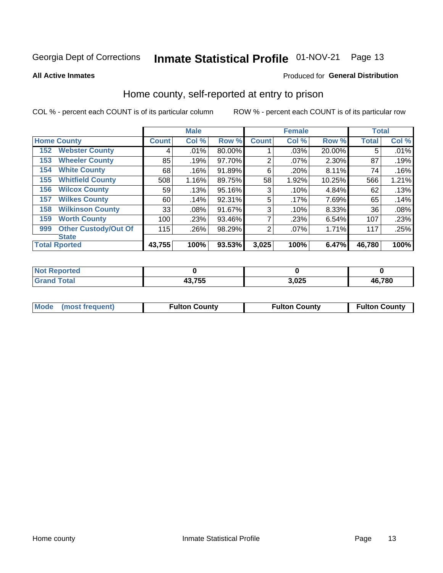## Inmate Statistical Profile 01-NOV-21 Page 13

**All Active Inmates** 

### Produced for General Distribution

## Home county, self-reported at entry to prison

COL % - percent each COUNT is of its particular column

|     |                             |              | <b>Male</b> |        |              | <b>Female</b> |        | <b>Total</b> |       |
|-----|-----------------------------|--------------|-------------|--------|--------------|---------------|--------|--------------|-------|
|     | <b>Home County</b>          | <b>Count</b> | Col %       | Row %  | <b>Count</b> | Col %         | Row %  | <b>Total</b> | Col % |
| 152 | <b>Webster County</b>       | 4            | .01%        | 80.00% |              | .03%          | 20.00% | 5            | .01%  |
| 153 | <b>Wheeler County</b>       | 85           | .19%        | 97.70% | 2            | .07%          | 2.30%  | 87           | .19%  |
| 154 | <b>White County</b>         | 68           | .16%        | 91.89% | 6            | .20%          | 8.11%  | 74           | .16%  |
| 155 | <b>Whitfield County</b>     | 508          | 1.16%       | 89.75% | 58           | 1.92%         | 10.25% | 566          | 1.21% |
| 156 | <b>Wilcox County</b>        | 59           | .13%        | 95.16% | 3            | .10%          | 4.84%  | 62           | .13%  |
| 157 | <b>Wilkes County</b>        | 60           | .14%        | 92.31% | 5            | .17%          | 7.69%  | 65           | .14%  |
| 158 | <b>Wilkinson County</b>     | 33           | $.08\%$     | 91.67% | 3            | .10%          | 8.33%  | 36           | .08%  |
| 159 | <b>Worth County</b>         | 100          | .23%        | 93.46% | 7            | .23%          | 6.54%  | 107          | .23%  |
| 999 | <b>Other Custody/Out Of</b> | 115          | .26%        | 98.29% | 2            | .07%          | 1.71%  | 117          | .25%  |
|     | <b>State</b>                |              |             |        |              |               |        |              |       |
|     | <b>Total Rported</b>        | 43,755       | 100%        | 93.53% | 3,025        | 100%          | 6.47%  | 46,780       | 100%  |

| <b>Reported</b><br>NO |        |      |              |
|-----------------------|--------|------|--------------|
| <b>Fotal</b><br>_____ | 43,755 | ,025 | 16,780<br>Дŀ |

|  | Mode (most frequent) | <b>Fulton County</b> | <b>Fulton County</b> | <b>Fulton County</b> |
|--|----------------------|----------------------|----------------------|----------------------|
|--|----------------------|----------------------|----------------------|----------------------|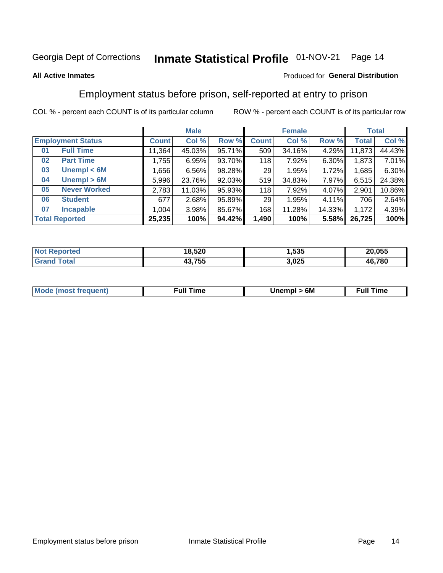#### Inmate Statistical Profile 01-NOV-21 Page 14

### **All Active Inmates**

### Produced for General Distribution

## Employment status before prison, self-reported at entry to prison

COL % - percent each COUNT is of its particular column

|                           |              | <b>Male</b> |        |              | <b>Female</b> |          |        | <b>Total</b> |
|---------------------------|--------------|-------------|--------|--------------|---------------|----------|--------|--------------|
| <b>Employment Status</b>  | <b>Count</b> | Col %       | Row %  | <b>Count</b> | Col %         | Row %    | Total  | Col %        |
| <b>Full Time</b><br>01    | 11,364       | 45.03%      | 95.71% | 509          | 34.16%        | $4.29\%$ | 11,873 | 44.43%       |
| <b>Part Time</b><br>02    | 1,755        | 6.95%       | 93.70% | 118          | 7.92%         | $6.30\%$ | 1,873  | 7.01%        |
| Unempl $<$ 6M<br>03       | 656, ا       | 6.56%       | 98.28% | 29           | 1.95%         | 1.72%    | 1,685  | 6.30%        |
| Unempl > 6M<br>04         | 5,996        | 23.76%      | 92.03% | 519          | 34.83%        | $7.97\%$ | 6,515  | 24.38%       |
| <b>Never Worked</b><br>05 | 2,783        | 11.03%      | 95.93% | 118          | 7.92%         | 4.07%    | 2,901  | 10.86%       |
| <b>Student</b><br>06      | 677          | 2.68%       | 95.89% | 29           | 1.95%         | 4.11%    | 706    | 2.64%        |
| <b>Incapable</b><br>07    | 1,004        | 3.98%       | 85.67% | 168          | 11.28%        | 14.33%   | 1,172  | 4.39%        |
| <b>Total Reported</b>     | 25,235       | 100%        | 94.42% | 1,490        | 100%          | 5.58%    | 26,725 | 100%         |

| Ter.<br>NO | 18,520      | <b>EOE</b><br>.ააა | 20,055 |
|------------|-------------|--------------------|--------|
| $\sim$     | 12 755<br>. | 3,025              | 46,780 |

| <b>Mode (most frequent)</b> | rull 1<br>the contract of the contract of the contract of the contract of the contract of the contract of the contract of | 6M | ïme<br>ιuι<br>the contract of the contract of the contract of the contract of the contract of the contract of the contract of |
|-----------------------------|---------------------------------------------------------------------------------------------------------------------------|----|-------------------------------------------------------------------------------------------------------------------------------|
|                             |                                                                                                                           |    |                                                                                                                               |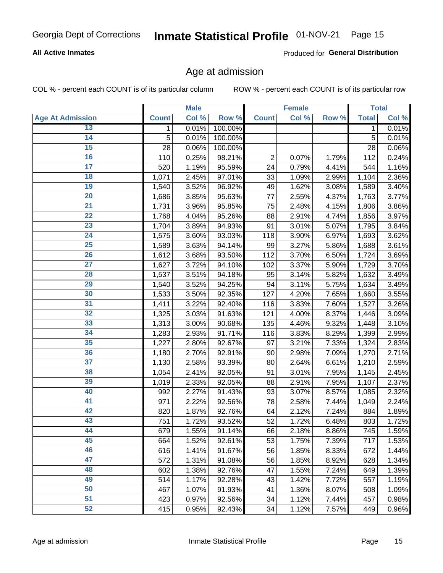## Inmate Statistical Profile 01-NOV-21 Page 15

### **All Active Inmates**

Produced for General Distribution

## Age at admission

COL % - percent each COUNT is of its particular column

|                         |              | <b>Male</b> |         |                | <b>Female</b> |       |              | <b>Total</b> |
|-------------------------|--------------|-------------|---------|----------------|---------------|-------|--------------|--------------|
| <b>Age At Admission</b> | <b>Count</b> | Col %       | Row %   | <b>Count</b>   | Col %         | Row % | <b>Total</b> | Col %        |
| 13                      | 1            | 0.01%       | 100.00% |                |               |       | 1            | 0.01%        |
| $\overline{14}$         | 5            | 0.01%       | 100.00% |                |               |       | 5            | 0.01%        |
| 15                      | 28           | 0.06%       | 100.00% |                |               |       | 28           | 0.06%        |
| 16                      | 110          | 0.25%       | 98.21%  | $\overline{2}$ | 0.07%         | 1.79% | 112          | 0.24%        |
| $\overline{17}$         | 520          | 1.19%       | 95.59%  | 24             | 0.79%         | 4.41% | 544          | 1.16%        |
| 18                      | 1,071        | 2.45%       | 97.01%  | 33             | 1.09%         | 2.99% | 1,104        | 2.36%        |
| 19                      | 1,540        | 3.52%       | 96.92%  | 49             | 1.62%         | 3.08% | 1,589        | 3.40%        |
| $\overline{20}$         | 1,686        | 3.85%       | 95.63%  | 77             | 2.55%         | 4.37% | 1,763        | 3.77%        |
| $\overline{21}$         | 1,731        | 3.96%       | 95.85%  | 75             | 2.48%         | 4.15% | 1,806        | 3.86%        |
| $\overline{22}$         | 1,768        | 4.04%       | 95.26%  | 88             | 2.91%         | 4.74% | 1,856        | 3.97%        |
| 23                      | 1,704        | 3.89%       | 94.93%  | 91             | 3.01%         | 5.07% | 1,795        | 3.84%        |
| $\overline{24}$         | 1,575        | 3.60%       | 93.03%  | 118            | 3.90%         | 6.97% | 1,693        | 3.62%        |
| $\overline{25}$         | 1,589        | 3.63%       | 94.14%  | 99             | 3.27%         | 5.86% | 1,688        | 3.61%        |
| 26                      | 1,612        | 3.68%       | 93.50%  | 112            | 3.70%         | 6.50% | 1,724        | 3.69%        |
| 27                      | 1,627        | 3.72%       | 94.10%  | 102            | 3.37%         | 5.90% | 1,729        | 3.70%        |
| 28                      | 1,537        | 3.51%       | 94.18%  | 95             | 3.14%         | 5.82% | 1,632        | 3.49%        |
| 29                      | 1,540        | 3.52%       | 94.25%  | 94             | 3.11%         | 5.75% | 1,634        | 3.49%        |
| 30                      | 1,533        | 3.50%       | 92.35%  | 127            | 4.20%         | 7.65% | 1,660        | 3.55%        |
| 31                      | 1,411        | 3.22%       | 92.40%  | 116            | 3.83%         | 7.60% | 1,527        | 3.26%        |
| 32                      | 1,325        | 3.03%       | 91.63%  | 121            | 4.00%         | 8.37% | 1,446        | 3.09%        |
| 33                      | 1,313        | 3.00%       | 90.68%  | 135            | 4.46%         | 9.32% | 1,448        | 3.10%        |
| $\overline{34}$         | 1,283        | 2.93%       | 91.71%  | 116            | 3.83%         | 8.29% | 1,399        | 2.99%        |
| 35                      | 1,227        | 2.80%       | 92.67%  | 97             | 3.21%         | 7.33% | 1,324        | 2.83%        |
| 36                      | 1,180        | 2.70%       | 92.91%  | 90             | 2.98%         | 7.09% | 1,270        | 2.71%        |
| $\overline{37}$         | 1,130        | 2.58%       | 93.39%  | 80             | 2.64%         | 6.61% | 1,210        | 2.59%        |
| 38                      | 1,054        | 2.41%       | 92.05%  | 91             | 3.01%         | 7.95% | 1,145        | 2.45%        |
| 39                      | 1,019        | 2.33%       | 92.05%  | 88             | 2.91%         | 7.95% | 1,107        | 2.37%        |
| 40                      | 992          | 2.27%       | 91.43%  | 93             | 3.07%         | 8.57% | 1,085        | 2.32%        |
| 41                      | 971          | 2.22%       | 92.56%  | 78             | 2.58%         | 7.44% | 1,049        | 2.24%        |
| 42                      | 820          | 1.87%       | 92.76%  | 64             | 2.12%         | 7.24% | 884          | 1.89%        |
| 43                      | 751          | 1.72%       | 93.52%  | 52             | 1.72%         | 6.48% | 803          | 1.72%        |
| 44                      | 679          | 1.55%       | 91.14%  | 66             | 2.18%         | 8.86% | 745          | 1.59%        |
| 45                      | 664          | 1.52%       | 92.61%  | 53             | 1.75%         | 7.39% | 717          | 1.53%        |
| 46                      | 616          | 1.41%       | 91.67%  | 56             | 1.85%         | 8.33% | 672          | 1.44%        |
| 47                      | 572          | 1.31%       | 91.08%  | 56             | 1.85%         | 8.92% | 628          | 1.34%        |
| 48                      | 602          | 1.38%       | 92.76%  | 47             | 1.55%         | 7.24% | 649          | 1.39%        |
| 49                      | 514          | 1.17%       | 92.28%  | 43             | 1.42%         | 7.72% | 557          | 1.19%        |
| 50                      | 467          | 1.07%       | 91.93%  | 41             | 1.36%         | 8.07% | 508          | 1.09%        |
| 51                      | 423          | 0.97%       | 92.56%  | 34             | 1.12%         | 7.44% | 457          | 0.98%        |
| 52                      | 415          | 0.95%       | 92.43%  | 34             | 1.12%         | 7.57% | 449          | 0.96%        |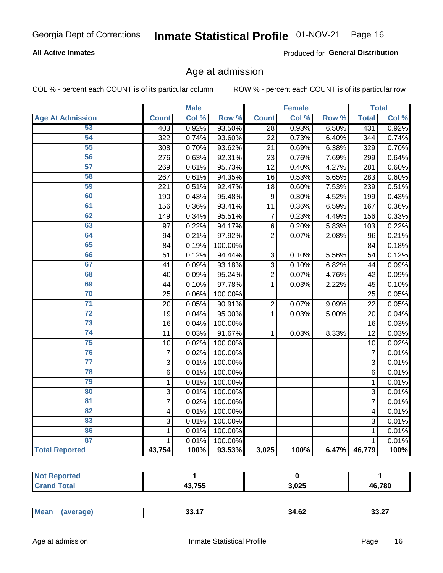## Inmate Statistical Profile 01-NOV-21 Page 16

### **All Active Inmates**

Produced for General Distribution

## Age at admission

COL % - percent each COUNT is of its particular column

|                         |                | <b>Male</b> |         |                 | <b>Female</b> |       |                 | <b>Total</b> |
|-------------------------|----------------|-------------|---------|-----------------|---------------|-------|-----------------|--------------|
| <b>Age At Admission</b> | <b>Count</b>   | Col %       | Row %   | <b>Count</b>    | Col %         | Row % | <b>Total</b>    | Col %        |
| 53                      | 403            | 0.92%       | 93.50%  | $\overline{28}$ | 0.93%         | 6.50% | 431             | 0.92%        |
| 54                      | 322            | 0.74%       | 93.60%  | 22              | 0.73%         | 6.40% | 344             | 0.74%        |
| 55                      | 308            | 0.70%       | 93.62%  | 21              | 0.69%         | 6.38% | 329             | 0.70%        |
| 56                      | 276            | 0.63%       | 92.31%  | 23              | 0.76%         | 7.69% | 299             | 0.64%        |
| 57                      | 269            | 0.61%       | 95.73%  | 12              | 0.40%         | 4.27% | 281             | 0.60%        |
| 58                      | 267            | 0.61%       | 94.35%  | 16              | 0.53%         | 5.65% | 283             | 0.60%        |
| 59                      | 221            | 0.51%       | 92.47%  | 18              | 0.60%         | 7.53% | 239             | 0.51%        |
| 60                      | 190            | 0.43%       | 95.48%  | 9               | 0.30%         | 4.52% | 199             | 0.43%        |
| 61                      | 156            | 0.36%       | 93.41%  | 11              | 0.36%         | 6.59% | 167             | 0.36%        |
| 62                      | 149            | 0.34%       | 95.51%  | $\overline{7}$  | 0.23%         | 4.49% | 156             | 0.33%        |
| 63                      | 97             | 0.22%       | 94.17%  | $\,6$           | 0.20%         | 5.83% | 103             | 0.22%        |
| 64                      | 94             | 0.21%       | 97.92%  | $\overline{2}$  | 0.07%         | 2.08% | 96              | 0.21%        |
| 65                      | 84             | 0.19%       | 100.00% |                 |               |       | 84              | 0.18%        |
| 66                      | 51             | 0.12%       | 94.44%  | 3               | 0.10%         | 5.56% | 54              | 0.12%        |
| 67                      | 41             | 0.09%       | 93.18%  | 3               | 0.10%         | 6.82% | 44              | 0.09%        |
| 68                      | 40             | 0.09%       | 95.24%  | $\overline{2}$  | 0.07%         | 4.76% | 42              | 0.09%        |
| 69                      | 44             | 0.10%       | 97.78%  | $\mathbf{1}$    | 0.03%         | 2.22% | 45              | 0.10%        |
| 70                      | 25             | 0.06%       | 100.00% |                 |               |       | 25              | 0.05%        |
| $\overline{71}$         | 20             | 0.05%       | 90.91%  | $\overline{2}$  | 0.07%         | 9.09% | 22              | 0.05%        |
| $\overline{72}$         | 19             | 0.04%       | 95.00%  | $\mathbf{1}$    | 0.03%         | 5.00% | 20              | 0.04%        |
| 73                      | 16             | 0.04%       | 100.00% |                 |               |       | 16              | 0.03%        |
| $\overline{74}$         | 11             | 0.03%       | 91.67%  | $\mathbf{1}$    | 0.03%         | 8.33% | $\overline{12}$ | 0.03%        |
| 75                      | 10             | 0.02%       | 100.00% |                 |               |       | 10              | 0.02%        |
| 76                      | $\overline{7}$ | 0.02%       | 100.00% |                 |               |       | $\overline{7}$  | 0.01%        |
| $\overline{77}$         | $\overline{3}$ | 0.01%       | 100.00% |                 |               |       | $\overline{3}$  | 0.01%        |
| 78                      | $\overline{6}$ | 0.01%       | 100.00% |                 |               |       | $\overline{6}$  | 0.01%        |
| 79                      | $\mathbf 1$    | 0.01%       | 100.00% |                 |               |       | $\mathbf{1}$    | 0.01%        |
| 80                      | 3              | 0.01%       | 100.00% |                 |               |       | $\overline{3}$  | 0.01%        |
| 81                      | $\overline{7}$ | 0.02%       | 100.00% |                 |               |       | 7               | 0.01%        |
| $\overline{82}$         | 4              | 0.01%       | 100.00% |                 |               |       | 4               | 0.01%        |
| 83                      | 3              | 0.01%       | 100.00% |                 |               |       | 3               | 0.01%        |
| 86                      | $\mathbf{1}$   | 0.01%       | 100.00% |                 |               |       | 1               | 0.01%        |
| 87                      | $\mathbf{1}$   | 0.01%       | 100.00% |                 |               |       | $\mathbf{1}$    | 0.01%        |
| <b>Total Reported</b>   | 43,754         | 100%        | 93.53%  | 3,025           | 100%          | 6.47% | 46,779          | 100%         |

| 43.755 | 3,025 | 46,780 |
|--------|-------|--------|

| .<br>____<br>____ | <b>Me</b><br>0017<br>34.62<br>. 7 |
|-------------------|-----------------------------------|
|-------------------|-----------------------------------|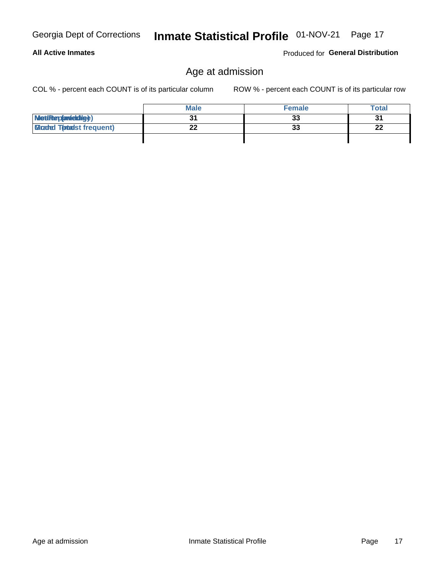**All Active Inmates** 

## Inmate Statistical Profile 01-NOV-21 Page 17

## Age at admission

COL % - percent each COUNT is of its particular column

ROW % - percent each COUNT is of its particular row

Produced for General Distribution

|                                  | <b>Male</b> | <b>Female</b> | <b>Total</b> |
|----------------------------------|-------------|---------------|--------------|
| MetiRep(anicidig)                |             | 33            | 31           |
| <b>Micaded Tomadst frequent)</b> | ^^          | 33            | 22           |
|                                  |             |               |              |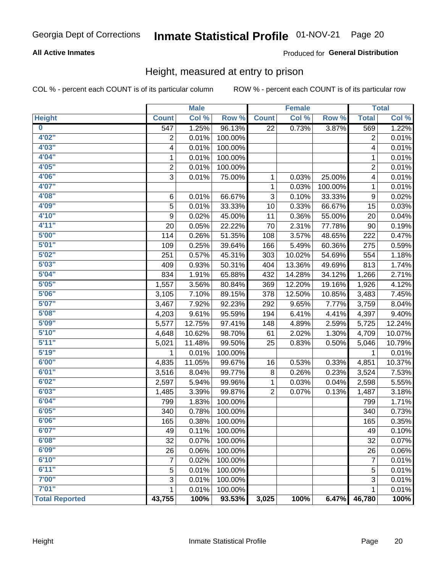## Inmate Statistical Profile 01-NOV-21 Page 20

### **All Active Inmates**

### Produced for General Distribution

## Height, measured at entry to prison

COL % - percent each COUNT is of its particular column

|                         |                | <b>Male</b> |         |                | <b>Female</b> |         |                         | <b>Total</b> |
|-------------------------|----------------|-------------|---------|----------------|---------------|---------|-------------------------|--------------|
| <b>Height</b>           | <b>Count</b>   | Col %       | Row %   | <b>Count</b>   | Col %         | Row %   | <b>Total</b>            | Col %        |
| $\overline{\mathbf{0}}$ | 547            | 1.25%       | 96.13%  | 22             | 0.73%         | 3.87%   | 569                     | 1.22%        |
| 4'02''                  | 2              | 0.01%       | 100.00% |                |               |         | $\overline{c}$          | 0.01%        |
| 4'03''                  | 4              | 0.01%       | 100.00% |                |               |         | 4                       | 0.01%        |
| 4'04"                   | 1              | 0.01%       | 100.00% |                |               |         | 1                       | 0.01%        |
| 4'05"                   | $\overline{2}$ | 0.01%       | 100.00% |                |               |         | $\overline{2}$          | 0.01%        |
| 4'06"                   | 3              | 0.01%       | 75.00%  | 1              | 0.03%         | 25.00%  | $\overline{\mathbf{4}}$ | 0.01%        |
| 4'07"                   |                |             |         | 1              | 0.03%         | 100.00% | 1                       | 0.01%        |
| 4'08"                   | $\,6$          | 0.01%       | 66.67%  | 3              | 0.10%         | 33.33%  | 9                       | 0.02%        |
| 4'09"                   | 5              | 0.01%       | 33.33%  | 10             | 0.33%         | 66.67%  | 15                      | 0.03%        |
| 4'10''                  | 9              | 0.02%       | 45.00%  | 11             | 0.36%         | 55.00%  | 20                      | 0.04%        |
| 4'11''                  | 20             | 0.05%       | 22.22%  | 70             | 2.31%         | 77.78%  | 90                      | 0.19%        |
| 5'00''                  | 114            | 0.26%       | 51.35%  | 108            | 3.57%         | 48.65%  | 222                     | 0.47%        |
| 5'01"                   | 109            | 0.25%       | 39.64%  | 166            | 5.49%         | 60.36%  | 275                     | 0.59%        |
| 5'02"                   | 251            | 0.57%       | 45.31%  | 303            | 10.02%        | 54.69%  | 554                     | 1.18%        |
| 5'03''                  | 409            | 0.93%       | 50.31%  | 404            | 13.36%        | 49.69%  | 813                     | 1.74%        |
| 5'04"                   | 834            | 1.91%       | 65.88%  | 432            | 14.28%        | 34.12%  | 1,266                   | 2.71%        |
| 5'05"                   | 1,557          | 3.56%       | 80.84%  | 369            | 12.20%        | 19.16%  | 1,926                   | 4.12%        |
| 5'06''                  | 3,105          | 7.10%       | 89.15%  | 378            | 12.50%        | 10.85%  | 3,483                   | 7.45%        |
| 5'07''                  | 3,467          | 7.92%       | 92.23%  | 292            | 9.65%         | 7.77%   | 3,759                   | 8.04%        |
| 5'08''                  | 4,203          | 9.61%       | 95.59%  | 194            | 6.41%         | 4.41%   | 4,397                   | 9.40%        |
| 5'09''                  | 5,577          | 12.75%      | 97.41%  | 148            | 4.89%         | 2.59%   | 5,725                   | 12.24%       |
| 5'10''                  | 4,648          | 10.62%      | 98.70%  | 61             | 2.02%         | 1.30%   | 4,709                   | 10.07%       |
| 5'11''                  | 5,021          | 11.48%      | 99.50%  | 25             | 0.83%         | 0.50%   | 5,046                   | 10.79%       |
| 5'19''                  | 1              | 0.01%       | 100.00% |                |               |         | 1                       | 0.01%        |
| 6'00''                  | 4,835          | 11.05%      | 99.67%  | 16             | 0.53%         | 0.33%   | 4,851                   | 10.37%       |
| 6'01''                  | 3,516          | 8.04%       | 99.77%  | 8              | 0.26%         | 0.23%   | 3,524                   | 7.53%        |
| 6'02"                   | 2,597          | 5.94%       | 99.96%  | 1              | 0.03%         | 0.04%   | 2,598                   | 5.55%        |
| 6'03''                  | 1,485          | 3.39%       | 99.87%  | $\overline{2}$ | 0.07%         | 0.13%   | 1,487                   | 3.18%        |
| 6'04"                   | 799            | 1.83%       | 100.00% |                |               |         | 799                     | 1.71%        |
| 6'05"                   | 340            | 0.78%       | 100.00% |                |               |         | 340                     | 0.73%        |
| 6'06''                  | 165            | 0.38%       | 100.00% |                |               |         | 165                     | 0.35%        |
| 6'07''                  | 49             | 0.11%       | 100.00% |                |               |         | 49                      | 0.10%        |
| 6'08"                   | 32             | 0.07%       | 100.00% |                |               |         | 32                      | 0.07%        |
| 6'09''                  | 26             | 0.06%       | 100.00% |                |               |         | 26                      | 0.06%        |
| 6'10''                  | 7              | 0.02%       | 100.00% |                |               |         | 7                       | 0.01%        |
| 6'11''                  | 5              | 0.01%       | 100.00% |                |               |         | 5                       | 0.01%        |
| 7'00"                   | 3              | 0.01%       | 100.00% |                |               |         | 3                       | 0.01%        |
| 7'01''                  | 1              | 0.01%       | 100.00% |                |               |         | 1                       | 0.01%        |
| <b>Total Reported</b>   | 43,755         | 100%        | 93.53%  | 3,025          | 100%          | 6.47%   | 46,780                  | 100%         |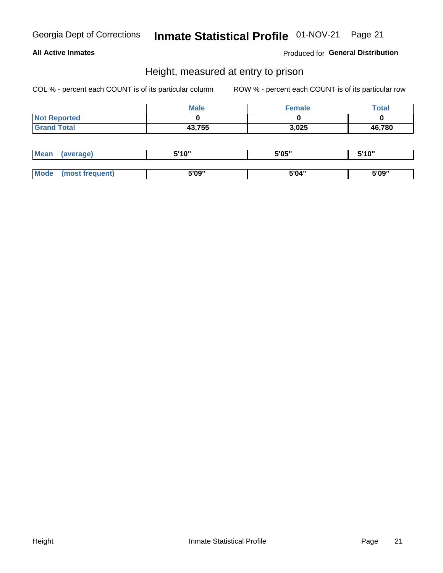## Inmate Statistical Profile 01-NOV-21 Page 21

### **All Active Inmates**

Produced for General Distribution

## Height, measured at entry to prison

COL % - percent each COUNT is of its particular column

|                     | <b>Male</b> | <b>Female</b> | Total  |
|---------------------|-------------|---------------|--------|
| <b>Not Reported</b> |             |               |        |
| <b>Grand Total</b>  | 43,755      | 3,025         | 46,780 |

| <b>Mean</b> | 'average) | EI4 OIL | 5'05" | 5'10" |
|-------------|-----------|---------|-------|-------|
|             |           |         |       |       |
| $M_{\odot}$ | frequent) | 5'09"   | 5'04" | 5'09" |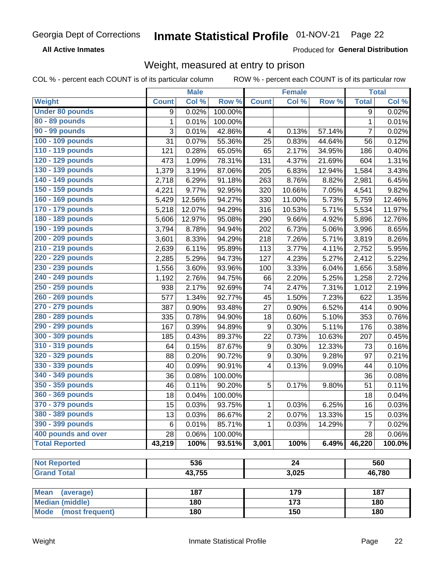#### Inmate Statistical Profile 01-NOV-21 Page 22

**All Active Inmates** 

Produced for General Distribution

## Weight, measured at entry to prison

COL % - percent each COUNT is of its particular column

|                          |              | <b>Male</b> |         |                  | <b>Female</b>    |        |                | <b>Total</b> |
|--------------------------|--------------|-------------|---------|------------------|------------------|--------|----------------|--------------|
| Weight                   | <b>Count</b> | Col %       | Row %   | <b>Count</b>     | Col %            | Row %  | <b>Total</b>   | Col %        |
| <b>Under 80 pounds</b>   | 9            | 0.02%       | 100.00% |                  |                  |        | 9              | 0.02%        |
| 80 - 89 pounds           | $\mathbf{1}$ | 0.01%       | 100.00% |                  |                  |        | $\mathbf 1$    | 0.01%        |
| 90 - 99 pounds           | 3            | 0.01%       | 42.86%  | 4                | 0.13%            | 57.14% | $\overline{7}$ | 0.02%        |
| 100 - 109 pounds         | 31           | 0.07%       | 55.36%  | 25               | 0.83%            | 44.64% | 56             | 0.12%        |
| 110 - 119 pounds         | 121          | 0.28%       | 65.05%  | 65               | 2.17%            | 34.95% | 186            | 0.40%        |
| 120 - 129 pounds         | 473          | 1.09%       | 78.31%  | 131              | 4.37%            | 21.69% | 604            | 1.31%        |
| 130 - 139 pounds         | 1,379        | 3.19%       | 87.06%  | 205              | 6.83%            | 12.94% | 1,584          | 3.43%        |
| 140 - 149 pounds         | 2,718        | 6.29%       | 91.18%  | 263              | 8.76%            | 8.82%  | 2,981          | 6.45%        |
| 150 - 159 pounds         | 4,221        | 9.77%       | 92.95%  | 320              | 10.66%           | 7.05%  | 4,541          | 9.82%        |
| 160 - 169 pounds         | 5,429        | 12.56%      | 94.27%  | 330              | 11.00%           | 5.73%  | 5,759          | 12.46%       |
| 170 - 179 pounds         | 5,218        | 12.07%      | 94.29%  | 316              | 10.53%           | 5.71%  | 5,534          | 11.97%       |
| 180 - 189 pounds         | 5,606        | 12.97%      | 95.08%  | 290              | 9.66%            | 4.92%  | 5,896          | 12.76%       |
| 190 - 199 pounds         | 3,794        | 8.78%       | 94.94%  | 202              | 6.73%            | 5.06%  | 3,996          | 8.65%        |
| 200 - 209 pounds         | 3,601        | 8.33%       | 94.29%  | 218              | 7.26%            | 5.71%  | 3,819          | 8.26%        |
| 210 - 219 pounds         | 2,639        | 6.11%       | 95.89%  | 113              | 3.77%            | 4.11%  | 2,752          | 5.95%        |
| 220 - 229 pounds         | 2,285        | 5.29%       | 94.73%  | 127              | 4.23%            | 5.27%  | 2,412          | 5.22%        |
| 230 - 239 pounds         | 1,556        | 3.60%       | 93.96%  | 100              | 3.33%            | 6.04%  | 1,656          | 3.58%        |
| 240 - 249 pounds         | 1,192        | 2.76%       | 94.75%  | 66               | 2.20%            | 5.25%  | 1,258          | 2.72%        |
| 250 - 259 pounds         | 938          | 2.17%       | 92.69%  | 74               | 2.47%            | 7.31%  | 1,012          | 2.19%        |
| 260 - 269 pounds         | 577          | 1.34%       | 92.77%  | 45               | 1.50%            | 7.23%  | 622            | 1.35%        |
| 270 - 279 pounds         | 387          | 0.90%       | 93.48%  | 27               | 0.90%            | 6.52%  | 414            | 0.90%        |
| 280 - 289 pounds         | 335          | 0.78%       | 94.90%  | 18               | 0.60%            | 5.10%  | 353            | 0.76%        |
| 290 - 299 pounds         | 167          | 0.39%       | 94.89%  | 9                | 0.30%            | 5.11%  | 176            | 0.38%        |
| 300 - 309 pounds         | 185          | 0.43%       | 89.37%  | 22               | 0.73%            | 10.63% | 207            | 0.45%        |
| 310 - 319 pounds         | 64           | 0.15%       | 87.67%  | $\boldsymbol{9}$ | 0.30%            | 12.33% | 73             | 0.16%        |
| 320 - 329 pounds         | 88           | 0.20%       | 90.72%  | $\boldsymbol{9}$ | 0.30%            | 9.28%  | 97             | 0.21%        |
| 330 - 339 pounds         | 40           | 0.09%       | 90.91%  | $\overline{4}$   | 0.13%            | 9.09%  | 44             | 0.10%        |
| 340 - 349 pounds         | 36           | 0.08%       | 100.00% |                  |                  |        | 36             | 0.08%        |
| 350 - 359 pounds         | 46           | 0.11%       | 90.20%  | 5                | $0.17\%$         | 9.80%  | 51             | 0.11%        |
| 360 - 369 pounds         | 18           | 0.04%       | 100.00% |                  |                  |        | 18             | 0.04%        |
| 370 - 379 pounds         | 15           | 0.03%       | 93.75%  | 1                | 0.03%            | 6.25%  | 16             | 0.03%        |
| 380 - 389 pounds         | 13           | 0.03%       | 86.67%  | $\boldsymbol{2}$ | 0.07%            | 13.33% | 15             | 0.03%        |
| 390 - 399 pounds         | 6            | 0.01%       | 85.71%  | 1                | 0.03%            | 14.29% | 7              | 0.02%        |
| 400 pounds and over      | 28           | 0.06%       | 100.00% |                  |                  |        | 28             | 0.06%        |
| <b>Total Reported</b>    | 43,219       | 100%        | 93.51%  | 3,001            | 100%             | 6.49%  | 46,220         | 100.0%       |
|                          |              |             |         |                  |                  |        |                |              |
| <b>Not Reported</b>      |              | 536         |         |                  | $\overline{24}$  |        |                | 560          |
| <b>Grand Total</b>       |              | 43,755      |         |                  | 3,025            |        |                | 46,780       |
|                          |              |             |         |                  |                  |        |                |              |
| <b>Mean</b><br>(average) |              | 187         |         |                  | 179              |        |                | 187          |
| <b>Median (middle)</b>   |              | 180         |         |                  | $\overline{173}$ |        |                | 180          |
| Mode (most frequent)     |              | 180         |         |                  | 150              |        |                | 180          |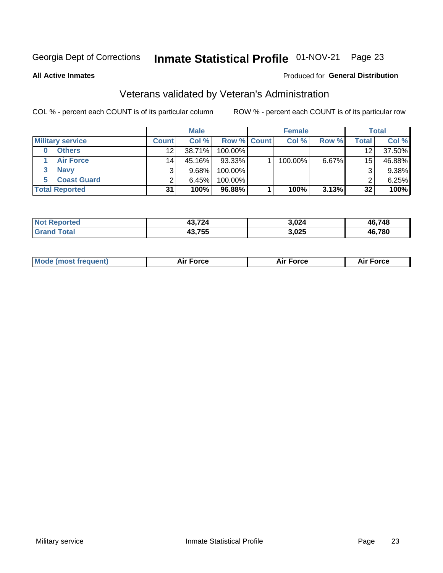## Inmate Statistical Profile 01-NOV-21 Page 23

**All Active Inmates** 

### Produced for General Distribution

## Veterans validated by Veteran's Administration

COL % - percent each COUNT is of its particular column

|                         |              | <b>Male</b> |             | <b>Female</b> |          |              | <b>Total</b> |
|-------------------------|--------------|-------------|-------------|---------------|----------|--------------|--------------|
| <b>Military service</b> | <b>Count</b> | Col %       | Row % Count | Col %         | Row %    | <b>Total</b> | Col %        |
| <b>Others</b>           | 12           | 38.71%      | 100.00%     |               |          | 12           | 37.50%       |
| <b>Air Force</b>        | 14           | 45.16%      | 93.33%      | 100.00%       | $6.67\%$ | 15           | 46.88%       |
| <b>Navy</b>             |              | 9.68%       | 100.00%     |               |          | 3            | 9.38%        |
| <b>Coast Guard</b>      |              | 6.45%       | 100.00%     |               |          | ⌒            | 6.25%        |
| <b>Total Reported</b>   | 31           | 100%        | 96.88%      | 100%          | 3.13%    | 32           | 100%         |

|                   | ላ.024<br>$\sim$ | 46.748 |
|-------------------|-----------------|--------|
| フトト<br>. .<br>790 | 3,025           | 46.780 |

|  | <b>Mode (most frequent)</b> | Force<br><b>NU</b> | <b>Force</b> | ™orce<br>AI. |
|--|-----------------------------|--------------------|--------------|--------------|
|--|-----------------------------|--------------------|--------------|--------------|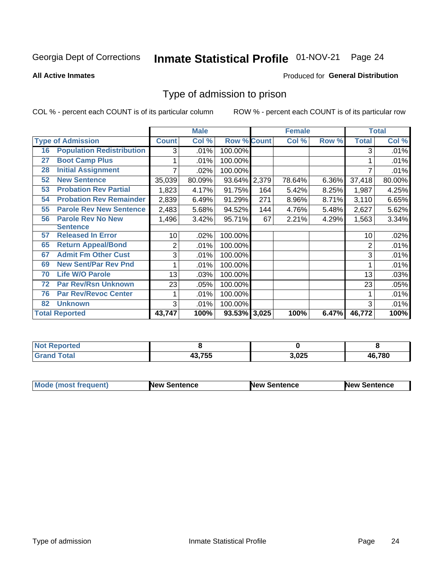#### Inmate Statistical Profile 01-NOV-21 Page 24

**All Active Inmates** 

### Produced for General Distribution

## Type of admission to prison

COL % - percent each COUNT is of its particular column

|    |                                  |              | <b>Male</b> |                    |     | <b>Female</b> |       |              | <b>Total</b> |
|----|----------------------------------|--------------|-------------|--------------------|-----|---------------|-------|--------------|--------------|
|    | <b>Type of Admission</b>         | <b>Count</b> | Col %       | <b>Row % Count</b> |     | Col %         | Row % | <b>Total</b> | Col %        |
| 16 | <b>Population Redistribution</b> | 3            | .01%        | 100.00%            |     |               |       | 3            | .01%         |
| 27 | <b>Boot Camp Plus</b>            |              | .01%        | 100.00%            |     |               |       |              | .01%         |
| 28 | <b>Initial Assignment</b>        |              | .02%        | 100.00%            |     |               |       |              | .01%         |
| 52 | <b>New Sentence</b>              | 35,039       | 80.09%      | 93.64% 2,379       |     | 78.64%        | 6.36% | 37,418       | 80.00%       |
| 53 | <b>Probation Rev Partial</b>     | 1,823        | 4.17%       | 91.75%             | 164 | 5.42%         | 8.25% | 1,987        | 4.25%        |
| 54 | <b>Probation Rev Remainder</b>   | 2,839        | 6.49%       | 91.29%             | 271 | 8.96%         | 8.71% | 3,110        | 6.65%        |
| 55 | <b>Parole Rev New Sentence</b>   | 2,483        | 5.68%       | 94.52%             | 144 | 4.76%         | 5.48% | 2,627        | 5.62%        |
| 56 | <b>Parole Rev No New</b>         | 1,496        | 3.42%       | 95.71%             | 67  | 2.21%         | 4.29% | 1,563        | 3.34%        |
|    | <b>Sentence</b>                  |              |             |                    |     |               |       |              |              |
| 57 | <b>Released In Error</b>         | 10           | .02%        | 100.00%            |     |               |       | 10           | .02%         |
| 65 | <b>Return Appeal/Bond</b>        | 2            | .01%        | 100.00%            |     |               |       | 2            | .01%         |
| 67 | <b>Admit Fm Other Cust</b>       | 3            | .01%        | 100.00%            |     |               |       | 3            | .01%         |
| 69 | <b>New Sent/Par Rev Pnd</b>      |              | .01%        | 100.00%            |     |               |       |              | .01%         |
| 70 | <b>Life W/O Parole</b>           | 13           | .03%        | 100.00%            |     |               |       | 13           | .03%         |
| 72 | <b>Par Rev/Rsn Unknown</b>       | 23           | .05%        | 100.00%            |     |               |       | 23           | .05%         |
| 76 | <b>Par Rev/Revoc Center</b>      |              | .01%        | 100.00%            |     |               |       |              | .01%         |
| 82 | <b>Unknown</b>                   | 3            | .01%        | 100.00%            |     |               |       | 3            | .01%         |
|    | <b>Total Reported</b>            | 43,747       | 100%        | 93.53% 3,025       |     | 100%          | 6.47% | 46,772       | 100%         |

| <b>Reported</b><br>NG |        |       |        |
|-----------------------|--------|-------|--------|
| Total<br>Gr:          | オウ・フロロ | 3,025 | 46,780 |

| <b>Mode (most frequent)</b> | <b>New Sentence</b> | <b>New Sentence</b> | <b>New Sentence</b> |
|-----------------------------|---------------------|---------------------|---------------------|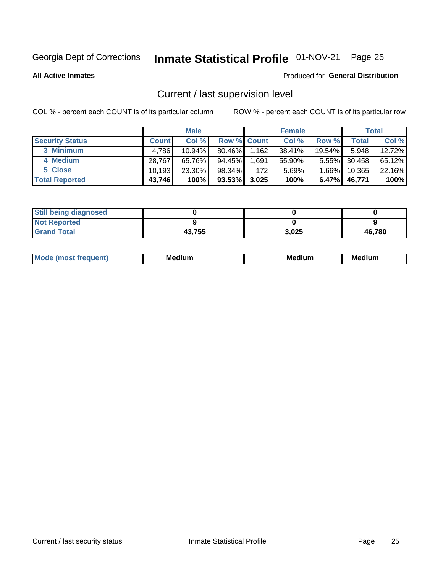## Inmate Statistical Profile 01-NOV-21 Page 25

**All Active Inmates** 

### Produced for General Distribution

## Current / last supervision level

COL % - percent each COUNT is of its particular column

|                        |              | <b>Male</b> |                    |       | <b>Female</b> |          |        | <b>Total</b> |
|------------------------|--------------|-------------|--------------------|-------|---------------|----------|--------|--------------|
| <b>Security Status</b> | <b>Count</b> | Col %       | <b>Row % Count</b> |       | Col %         | Row %    | Total  | Col %        |
| 3 Minimum              | 4,786        | $10.94\%$   | 80.46%             | 1,162 | 38.41%        | 19.54%   | 5,948  | 12.72%       |
| 4 Medium               | 28.767       | 65.76%      | 94.45%             | 1,691 | 55.90%        | $5.55\%$ | 30,458 | 65.12%       |
| 5 Close                | 10.193       | $23.30\%$   | 98.34%             | 172   | 5.69%         | $1.66\%$ | 10,365 | 22.16%       |
| <b>Total Reported</b>  | 43,746       | 100%        | $93.53\%$          | 3,025 | 100%          | $6.47\%$ | 46,771 | 100%         |

| <b>Still being diagnosed</b> |        |       |        |
|------------------------------|--------|-------|--------|
| <b>Not Reported</b>          |        |       |        |
| <b>Grand Total</b>           | 43,755 | 3,025 | 46,780 |

| M | M | . . |
|---|---|-----|
|   |   |     |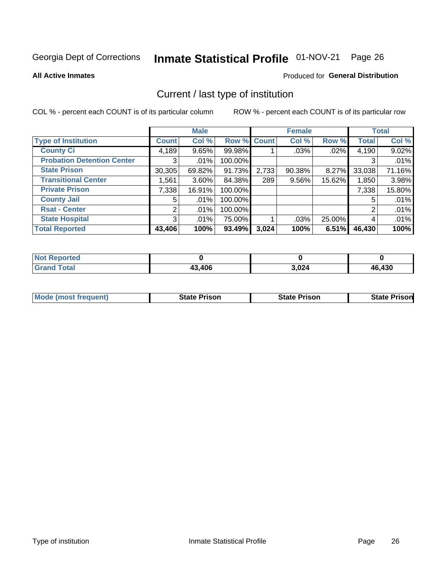## Inmate Statistical Profile 01-NOV-21 Page 26

**All Active Inmates** 

### Produced for General Distribution

## Current / last type of institution

COL % - percent each COUNT is of its particular column

|                                   |                | <b>Male</b> |             |       | <b>Female</b> |        |              | <b>Total</b> |
|-----------------------------------|----------------|-------------|-------------|-------|---------------|--------|--------------|--------------|
| <b>Type of Institution</b>        | <b>Count</b>   | Col %       | Row % Count |       | Col %         | Row %  | <b>Total</b> | Col %        |
| <b>County Ci</b>                  | 4,189          | 9.65%       | 99.98%      |       | .03%          | .02%   | 4,190        | 9.02%        |
| <b>Probation Detention Center</b> | 3              | .01%        | 100.00%     |       |               |        | 3            | .01%         |
| <b>State Prison</b>               | 30,305         | 69.82%      | 91.73%      | 2,733 | 90.38%        | 8.27%  | 33,038       | 71.16%       |
| <b>Transitional Center</b>        | 1,561          | $3.60\%$    | 84.38%      | 289   | $9.56\%$      | 15.62% | 1,850        | 3.98%        |
| <b>Private Prison</b>             | 7,338          | 16.91%      | 100.00%     |       |               |        | 7,338        | 15.80%       |
| <b>County Jail</b>                | 5              | .01%        | 100.00%     |       |               |        | 5            | .01%         |
| <b>Rsat - Center</b>              | $\overline{2}$ | $.01\%$     | 100.00%     |       |               |        | 2            | .01%         |
| <b>State Hospital</b>             | 3 <sup>1</sup> | $.01\%$     | 75.00%      |       | .03%          | 25.00% | 4            | .01%         |
| <b>Total Reported</b>             | 43,406         | 100%        | 93.49%      | 3,024 | 100%          | 6.51%  | 46,430       | 100%         |

| <b>Not Reported</b> |        |       |        |
|---------------------|--------|-------|--------|
| <b>Grand Total</b>  | 43,406 | 3,024 | 46,430 |

| <b>Mode (most frequent)</b> | <b>State Prison</b> | <b>State Prison</b> | <b>State Prisonl</b> |
|-----------------------------|---------------------|---------------------|----------------------|
|                             |                     |                     |                      |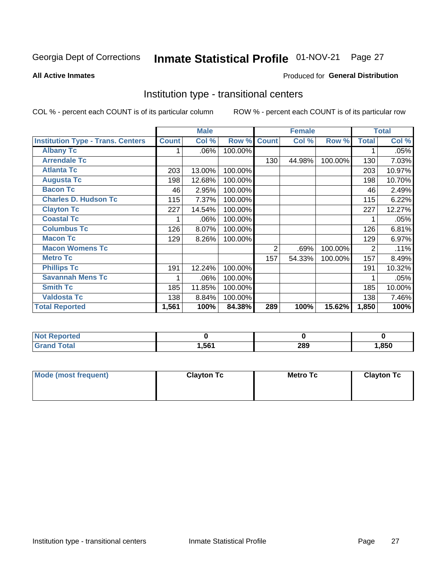#### Inmate Statistical Profile 01-NOV-21 Page 27

#### **All Active Inmates**

### Produced for General Distribution

## Institution type - transitional centers

COL % - percent each COUNT is of its particular column

|                                          |              | <b>Male</b> |         |              | <b>Female</b> |         |              | <b>Total</b> |
|------------------------------------------|--------------|-------------|---------|--------------|---------------|---------|--------------|--------------|
| <b>Institution Type - Trans. Centers</b> | <b>Count</b> | Col %       | Row %   | <b>Count</b> | Col %         | Row %   | <b>Total</b> | Col %        |
| <b>Albany Tc</b>                         |              | .06%        | 100.00% |              |               |         |              | .05%         |
| <b>Arrendale Tc</b>                      |              |             |         | 130          | 44.98%        | 100.00% | 130          | 7.03%        |
| <b>Atlanta Tc</b>                        | 203          | 13.00%      | 100.00% |              |               |         | 203          | 10.97%       |
| <b>Augusta Tc</b>                        | 198          | 12.68%      | 100.00% |              |               |         | 198          | 10.70%       |
| <b>Bacon Tc</b>                          | 46           | 2.95%       | 100.00% |              |               |         | 46           | 2.49%        |
| <b>Charles D. Hudson Tc</b>              | 115          | 7.37%       | 100.00% |              |               |         | 115          | 6.22%        |
| <b>Clayton Tc</b>                        | 227          | 14.54%      | 100.00% |              |               |         | 227          | 12.27%       |
| <b>Coastal Tc</b>                        |              | .06%        | 100.00% |              |               |         |              | .05%         |
| <b>Columbus Tc</b>                       | 126          | 8.07%       | 100.00% |              |               |         | 126          | 6.81%        |
| <b>Macon Tc</b>                          | 129          | 8.26%       | 100.00% |              |               |         | 129          | 6.97%        |
| <b>Macon Womens Tc</b>                   |              |             |         | 2            | .69%          | 100.00% | 2            | .11%         |
| <b>Metro Tc</b>                          |              |             |         | 157          | 54.33%        | 100.00% | 157          | 8.49%        |
| <b>Phillips Tc</b>                       | 191          | 12.24%      | 100.00% |              |               |         | 191          | 10.32%       |
| <b>Savannah Mens Tc</b>                  | 1            | .06%        | 100.00% |              |               |         |              | .05%         |
| <b>Smith Tc</b>                          | 185          | 11.85%      | 100.00% |              |               |         | 185          | 10.00%       |
| <b>Valdosta Tc</b>                       | 138          | 8.84%       | 100.00% |              |               |         | 138          | 7.46%        |
| <b>Total Reported</b>                    | 1,561        | 100%        | 84.38%  | 289          | 100%          | 15.62%  | 1,850        | 100%         |

| <b>Reported</b><br>⊹N∩\ |       |            |      |
|-------------------------|-------|------------|------|
| Total                   | .561, | ה ה<br>20J | ,850 |

| Mode (most frequent) | <b>Clayton Tc</b> | Metro Tc | <b>Clayton Tc</b> |
|----------------------|-------------------|----------|-------------------|
|                      |                   |          |                   |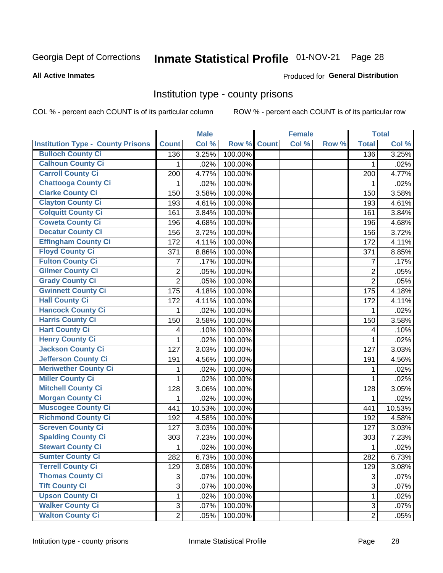## Inmate Statistical Profile 01-NOV-21 Page 28

#### **All Active Inmates**

#### Produced for General Distribution

### Institution type - county prisons

COL % - percent each COUNT is of its particular column

|                                          |                | <b>Male</b> |         |              | <b>Female</b> |       |                | <b>Total</b> |
|------------------------------------------|----------------|-------------|---------|--------------|---------------|-------|----------------|--------------|
| <b>Institution Type - County Prisons</b> | <b>Count</b>   | Col %       | Row %   | <b>Count</b> | Col %         | Row % | <b>Total</b>   | Col %        |
| <b>Bulloch County Ci</b>                 | 136            | 3.25%       | 100.00% |              |               |       | 136            | 3.25%        |
| <b>Calhoun County Ci</b>                 | 1              | .02%        | 100.00% |              |               |       | 1              | .02%         |
| <b>Carroll County Ci</b>                 | 200            | 4.77%       | 100.00% |              |               |       | 200            | 4.77%        |
| <b>Chattooga County Ci</b>               | 1              | .02%        | 100.00% |              |               |       | 1              | .02%         |
| <b>Clarke County Ci</b>                  | 150            | 3.58%       | 100.00% |              |               |       | 150            | 3.58%        |
| <b>Clayton County Ci</b>                 | 193            | 4.61%       | 100.00% |              |               |       | 193            | 4.61%        |
| <b>Colquitt County Ci</b>                | 161            | 3.84%       | 100.00% |              |               |       | 161            | 3.84%        |
| <b>Coweta County Ci</b>                  | 196            | 4.68%       | 100.00% |              |               |       | 196            | 4.68%        |
| <b>Decatur County Ci</b>                 | 156            | 3.72%       | 100.00% |              |               |       | 156            | 3.72%        |
| <b>Effingham County Ci</b>               | 172            | 4.11%       | 100.00% |              |               |       | 172            | 4.11%        |
| <b>Floyd County Ci</b>                   | 371            | 8.86%       | 100.00% |              |               |       | 371            | 8.85%        |
| <b>Fulton County Ci</b>                  | 7              | .17%        | 100.00% |              |               |       | $\overline{7}$ | .17%         |
| <b>Gilmer County Ci</b>                  | $\overline{2}$ | .05%        | 100.00% |              |               |       | $\overline{2}$ | .05%         |
| <b>Grady County Ci</b>                   | $\overline{2}$ | .05%        | 100.00% |              |               |       | $\overline{2}$ | .05%         |
| <b>Gwinnett County Ci</b>                | 175            | 4.18%       | 100.00% |              |               |       | 175            | 4.18%        |
| <b>Hall County Ci</b>                    | 172            | 4.11%       | 100.00% |              |               |       | 172            | 4.11%        |
| <b>Hancock County Ci</b>                 | 1              | .02%        | 100.00% |              |               |       | 1              | .02%         |
| <b>Harris County Ci</b>                  | 150            | 3.58%       | 100.00% |              |               |       | 150            | 3.58%        |
| <b>Hart County Ci</b>                    | 4              | .10%        | 100.00% |              |               |       | 4              | .10%         |
| <b>Henry County Ci</b>                   | 1              | .02%        | 100.00% |              |               |       | 1              | .02%         |
| <b>Jackson County Ci</b>                 | 127            | 3.03%       | 100.00% |              |               |       | 127            | 3.03%        |
| <b>Jefferson County Ci</b>               | 191            | 4.56%       | 100.00% |              |               |       | 191            | 4.56%        |
| <b>Meriwether County Ci</b>              | 1              | .02%        | 100.00% |              |               |       | 1              | .02%         |
| <b>Miller County Ci</b>                  | 1              | .02%        | 100.00% |              |               |       | 1              | .02%         |
| <b>Mitchell County Ci</b>                | 128            | 3.06%       | 100.00% |              |               |       | 128            | 3.05%        |
| <b>Morgan County Ci</b>                  | 1              | .02%        | 100.00% |              |               |       | 1              | .02%         |
| <b>Muscogee County Ci</b>                | 441            | 10.53%      | 100.00% |              |               |       | 441            | 10.53%       |
| <b>Richmond County Ci</b>                | 192            | 4.58%       | 100.00% |              |               |       | 192            | 4.58%        |
| <b>Screven County Ci</b>                 | 127            | 3.03%       | 100.00% |              |               |       | 127            | 3.03%        |
| <b>Spalding County Ci</b>                | 303            | 7.23%       | 100.00% |              |               |       | 303            | 7.23%        |
| <b>Stewart County Ci</b>                 | 1              | .02%        | 100.00% |              |               |       | 1              | .02%         |
| <b>Sumter County Ci</b>                  | 282            | 6.73%       | 100.00% |              |               |       | 282            | 6.73%        |
| <b>Terrell County Ci</b>                 | 129            | 3.08%       | 100.00% |              |               |       | 129            | 3.08%        |
| <b>Thomas County Ci</b>                  | 3              | .07%        | 100.00% |              |               |       | 3              | .07%         |
| <b>Tift County Ci</b>                    | $\overline{3}$ | .07%        | 100.00% |              |               |       | 3              | .07%         |
| <b>Upson County Ci</b>                   | 1              | .02%        | 100.00% |              |               |       | 1              | .02%         |
| <b>Walker County Ci</b>                  | 3              | .07%        | 100.00% |              |               |       | 3              | .07%         |
| <b>Walton County Ci</b>                  | $\overline{2}$ | .05%        | 100.00% |              |               |       | $\overline{2}$ | .05%         |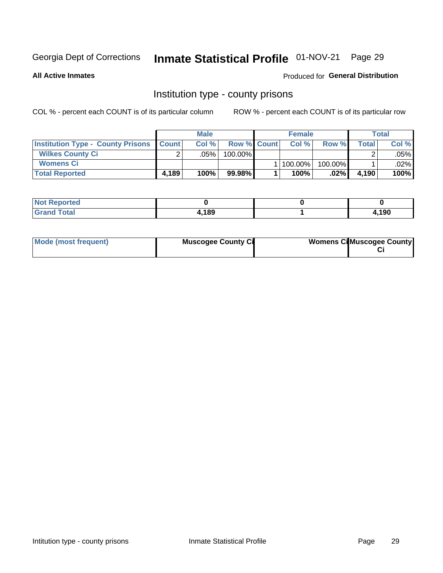## Inmate Statistical Profile 01-NOV-21 Page 29

**All Active Inmates** 

Produced for General Distribution

## Institution type - county prisons

COL % - percent each COUNT is of its particular column

|                                                    | <b>Male</b> |         |                    | <b>Female</b> |             |            | <b>Total</b> |        |
|----------------------------------------------------|-------------|---------|--------------------|---------------|-------------|------------|--------------|--------|
| <b>Institution Type - County Prisons   Count  </b> |             | Col%    | <b>Row % Count</b> |               | Col %       | Row %      | Total        | Col %  |
| <b>Wilkes County Ci</b>                            | $\sim$      | $.05\%$ | $100.00\%$         |               |             |            |              | .05% l |
| <b>Womens Ci</b>                                   |             |         |                    |               | 1   100.00% | $100.00\%$ |              | .02% l |
| <b>Total Reported</b>                              | 4,189       | 100%    | 99.98%             |               | 100%        | .02%       | 4.190        | 100%   |

| Reported<br>' NOT |      |              |
|-------------------|------|--------------|
| <b>otal</b>       | .189 | <b>1,190</b> |

| Mode (most frequent) | <b>Muscogee County Ci</b> | <b>Womens Ci</b> Muscogee County |
|----------------------|---------------------------|----------------------------------|
|----------------------|---------------------------|----------------------------------|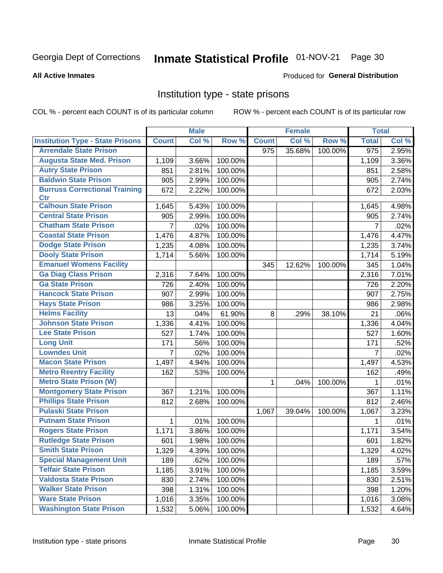## Inmate Statistical Profile 01-NOV-21 Page 30

#### **All Active Inmates**

### Produced for General Distribution

### Institution type - state prisons

COL % - percent each COUNT is of its particular column

|                                         |                | <b>Male</b> |         |              | <b>Female</b> |         | <b>Total</b>     |       |
|-----------------------------------------|----------------|-------------|---------|--------------|---------------|---------|------------------|-------|
| <b>Institution Type - State Prisons</b> | <b>Count</b>   | Col %       | Row %   | <b>Count</b> | Col %         | Row %   | <b>Total</b>     | Col % |
| <b>Arrendale State Prison</b>           |                |             |         | 975          | 35.68%        | 100.00% | $\overline{975}$ | 2.95% |
| <b>Augusta State Med. Prison</b>        | 1,109          | 3.66%       | 100.00% |              |               |         | 1,109            | 3.36% |
| <b>Autry State Prison</b>               | 851            | 2.81%       | 100.00% |              |               |         | 851              | 2.58% |
| <b>Baldwin State Prison</b>             | 905            | 2.99%       | 100.00% |              |               |         | 905              | 2.74% |
| <b>Burruss Correctional Training</b>    | 672            | 2.22%       | 100.00% |              |               |         | 672              | 2.03% |
| <b>Ctr</b>                              |                |             |         |              |               |         |                  |       |
| <b>Calhoun State Prison</b>             | 1,645          | 5.43%       | 100.00% |              |               |         | 1,645            | 4.98% |
| <b>Central State Prison</b>             | 905            | 2.99%       | 100.00% |              |               |         | 905              | 2.74% |
| <b>Chatham State Prison</b>             | $\overline{7}$ | .02%        | 100.00% |              |               |         | 7                | .02%  |
| <b>Coastal State Prison</b>             | 1,476          | 4.87%       | 100.00% |              |               |         | 1,476            | 4.47% |
| <b>Dodge State Prison</b>               | 1,235          | 4.08%       | 100.00% |              |               |         | 1,235            | 3.74% |
| <b>Dooly State Prison</b>               | 1,714          | 5.66%       | 100.00% |              |               |         | 1,714            | 5.19% |
| <b>Emanuel Womens Facility</b>          |                |             |         | 345          | 12.62%        | 100.00% | 345              | 1.04% |
| <b>Ga Diag Class Prison</b>             | 2,316          | 7.64%       | 100.00% |              |               |         | 2,316            | 7.01% |
| <b>Ga State Prison</b>                  | 726            | 2.40%       | 100.00% |              |               |         | 726              | 2.20% |
| <b>Hancock State Prison</b>             | 907            | 2.99%       | 100.00% |              |               |         | 907              | 2.75% |
| <b>Hays State Prison</b>                | 986            | 3.25%       | 100.00% |              |               |         | 986              | 2.98% |
| <b>Helms Facility</b>                   | 13             | .04%        | 61.90%  | 8            | .29%          | 38.10%  | 21               | .06%  |
| <b>Johnson State Prison</b>             | 1,336          | 4.41%       | 100.00% |              |               |         | 1,336            | 4.04% |
| <b>Lee State Prison</b>                 | 527            | 1.74%       | 100.00% |              |               |         | 527              | 1.60% |
| <b>Long Unit</b>                        | 171            | .56%        | 100.00% |              |               |         | 171              | .52%  |
| <b>Lowndes Unit</b>                     | 7              | .02%        | 100.00% |              |               |         | $\overline{7}$   | .02%  |
| <b>Macon State Prison</b>               | 1,497          | 4.94%       | 100.00% |              |               |         | 1,497            | 4.53% |
| <b>Metro Reentry Facility</b>           | 162            | .53%        | 100.00% |              |               |         | 162              | .49%  |
| <b>Metro State Prison (W)</b>           |                |             |         | 1            | .04%          | 100.00% | 1                | .01%  |
| <b>Montgomery State Prison</b>          | 367            | 1.21%       | 100.00% |              |               |         | 367              | 1.11% |
| <b>Phillips State Prison</b>            | 812            | 2.68%       | 100.00% |              |               |         | 812              | 2.46% |
| <b>Pulaski State Prison</b>             |                |             |         | 1,067        | 39.04%        | 100.00% | 1,067            | 3.23% |
| <b>Putnam State Prison</b>              | $\mathbf{1}$   | .01%        | 100.00% |              |               |         | 1                | .01%  |
| <b>Rogers State Prison</b>              | 1,171          | 3.86%       | 100.00% |              |               |         | 1,171            | 3.54% |
| <b>Rutledge State Prison</b>            | 601            | 1.98%       | 100.00% |              |               |         | 601              | 1.82% |
| <b>Smith State Prison</b>               | 1,329          | 4.39%       | 100.00% |              |               |         | 1,329            | 4.02% |
| <b>Special Management Unit</b>          | 189            | .62%        | 100.00% |              |               |         | 189              | .57%  |
| <b>Telfair State Prison</b>             | 1,185          | 3.91%       | 100.00% |              |               |         | 1,185            | 3.59% |
| <b>Valdosta State Prison</b>            | 830            | 2.74%       | 100.00% |              |               |         | 830              | 2.51% |
| <b>Walker State Prison</b>              | 398            | 1.31%       | 100.00% |              |               |         | 398              | 1.20% |
| <b>Ware State Prison</b>                | 1,016          | 3.35%       | 100.00% |              |               |         | 1,016            | 3.08% |
| <b>Washington State Prison</b>          | 1,532          | 5.06%       | 100.00% |              |               |         | 1,532            | 4.64% |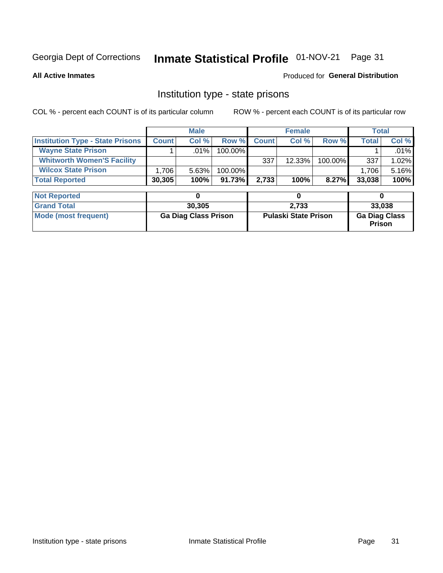#### Inmate Statistical Profile 01-NOV-21 Page 31

**All Active Inmates** 

### Produced for General Distribution

## Institution type - state prisons

COL % - percent each COUNT is of its particular column

|                                         |              | <b>Male</b> |            |              | <b>Female</b> |          | Total        |          |
|-----------------------------------------|--------------|-------------|------------|--------------|---------------|----------|--------------|----------|
| <b>Institution Type - State Prisons</b> | <b>Count</b> | Col %       | Row %I     | <b>Count</b> | Col %         | Row %    | <b>Total</b> | Col %    |
| <b>Wayne State Prison</b>               |              | $.01\%$     | $100.00\%$ |              |               |          |              | $.01\%$  |
| <b>Whitworth Women'S Facility</b>       |              |             |            | 337          | $12.33\%$     | 100.00%  | 337          | $1.02\%$ |
| <b>Wilcox State Prison</b>              | ' 706.       | 5.63%       | 100.00%    |              |               |          | 1.706        | 5.16%    |
| <b>Total Reported</b>                   | 30,305       | 100%        | 91.73%     | 2.733        | 100%          | $8.27\%$ | 33,038       | 100%     |

| <b>Not Reported</b>  |                             |                             |                                       |
|----------------------|-----------------------------|-----------------------------|---------------------------------------|
| <b>Grand Total</b>   | 30,305                      | 2,733                       | 33,038                                |
| Mode (most frequent) | <b>Ga Diag Class Prison</b> | <b>Pulaski State Prison</b> | <b>Ga Diag Class</b><br><b>Prison</b> |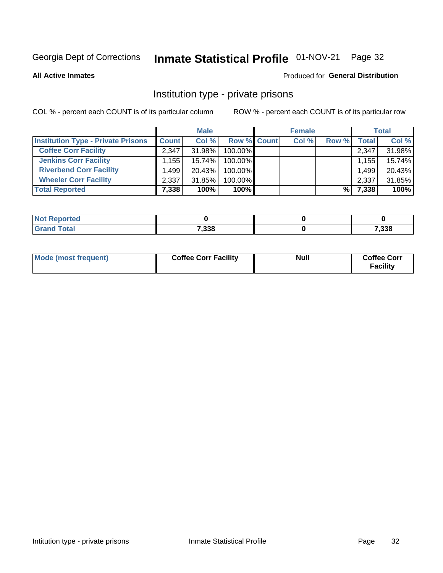## Inmate Statistical Profile 01-NOV-21 Page 32

**All Active Inmates** 

### Produced for General Distribution

## Institution type - private prisons

COL % - percent each COUNT is of its particular column

|                                           |                   | <b>Male</b> |                    | <b>Female</b> |       |       | <b>Total</b> |
|-------------------------------------------|-------------------|-------------|--------------------|---------------|-------|-------|--------------|
| <b>Institution Type - Private Prisons</b> | <b>Count</b>      | Col %       | <b>Row % Count</b> | Col %         | Row % | Total | Col %        |
| <b>Coffee Corr Facility</b>               | 2.347             | 31.98%      | 100.00%            |               |       | 2,347 | 31.98%       |
| <b>Jenkins Corr Facility</b>              | .155 <sup>1</sup> | 15.74%      | $100.00\%$         |               |       | 1,155 | 15.74%       |
| <b>Riverbend Corr Facility</b>            | .499              | $20.43\%$   | 100.00%            |               |       | 1,499 | 20.43%       |
| <b>Wheeler Corr Facility</b>              | 2,337             | 31.85%      | 100.00%            |               |       | 2,337 | 31.85%       |
| <b>Total Reported</b>                     | 7,338             | 100%        | 100%               |               | %     | 7,338 | 100%         |

| <b>Reported</b><br>' NOI |       |       |
|--------------------------|-------|-------|
| <b>Total</b>             | 7,338 | 7,338 |

| Mode (most frequent) | <b>Coffee Corr Facility</b> | <b>Null</b> | <b>Coffee Corr</b><br><b>Facility</b> |
|----------------------|-----------------------------|-------------|---------------------------------------|
|----------------------|-----------------------------|-------------|---------------------------------------|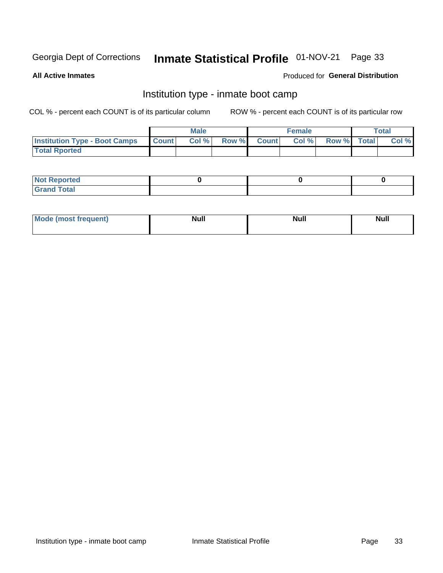#### Inmate Statistical Profile 01-NOV-21 Page 33

**All Active Inmates** 

### Produced for General Distribution

## Institution type - inmate boot camp

COL % - percent each COUNT is of its particular column

|                                            | <b>Male</b> |                    | <b>Female</b> |             | <b>Total</b> |
|--------------------------------------------|-------------|--------------------|---------------|-------------|--------------|
| <b>Institution Type - Boot Camps Count</b> | Col%        | <b>Row % Count</b> | Col%          | Row % Total | Col %        |
| <b>Total Rported</b>                       |             |                    |               |             |              |

| <b>Not Reported</b>            |  |  |
|--------------------------------|--|--|
| <b>Total</b><br>C <sub>r</sub> |  |  |

| Mod<br>uamo | Nul.<br>$- - - - - -$ | <b>Null</b> | <br>uu.<br>------ |
|-------------|-----------------------|-------------|-------------------|
|             |                       |             |                   |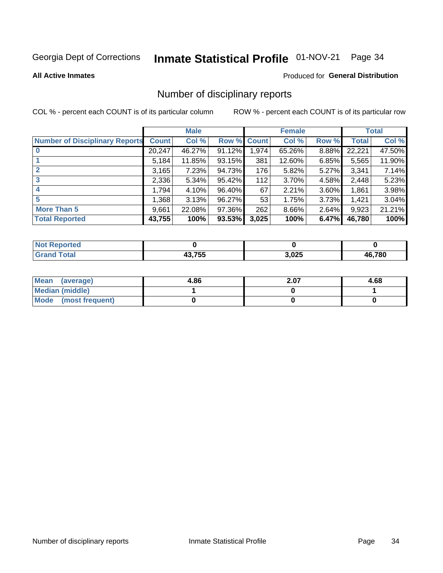## Inmate Statistical Profile 01-NOV-21 Page 34

#### **All Active Inmates**

#### Produced for General Distribution

## Number of disciplinary reports

COL % - percent each COUNT is of its particular column

|                                       |              | <b>Male</b> |        |              | <b>Female</b> |          |              | <b>Total</b> |
|---------------------------------------|--------------|-------------|--------|--------------|---------------|----------|--------------|--------------|
| <b>Number of Disciplinary Reports</b> | <b>Count</b> | Col %       | Row %  | <b>Count</b> | Col %         | Row %    | <b>Total</b> | Col %        |
| $\bf{0}$                              | 20,247       | 46.27%      | 91.12% | 1,974        | 65.26%        | 8.88%    | 22,221       | 47.50%       |
|                                       | 5.184        | 11.85%      | 93.15% | 381          | 12.60%        | 6.85%    | 5,565        | 11.90%       |
| $\overline{2}$                        | 3,165        | 7.23%       | 94.73% | 176          | 5.82%         | $5.27\%$ | 3,341        | 7.14%        |
| 3                                     | 2,336        | 5.34%       | 95.42% | 112          | 3.70%         | 4.58%    | 2,448        | 5.23%        |
| 4                                     | 1,794        | 4.10%       | 96.40% | 67           | 2.21%         | 3.60%    | 1,861        | 3.98%        |
| 5                                     | 1,368        | 3.13%       | 96.27% | 53           | 1.75%         | $3.73\%$ | 1,421        | 3.04%        |
| <b>More Than 5</b>                    | 9,661        | 22.08%      | 97.36% | 262          | 8.66%         | 2.64%    | 9,923        | 21.21%       |
| <b>Total Reported</b>                 | 43,755       | 100%        | 93.53% | 3,025        | 100%          | 6.47%    | 46,780       | 100%         |

| prted<br>NOI      |        |       |        |
|-------------------|--------|-------|--------|
| <sup>-</sup> otar | 13 755 | 3,025 | 46.780 |

| Mean (average)       | 4.86 | 2.07 | 4.68 |
|----------------------|------|------|------|
| Median (middle)      |      |      |      |
| Mode (most frequent) |      |      |      |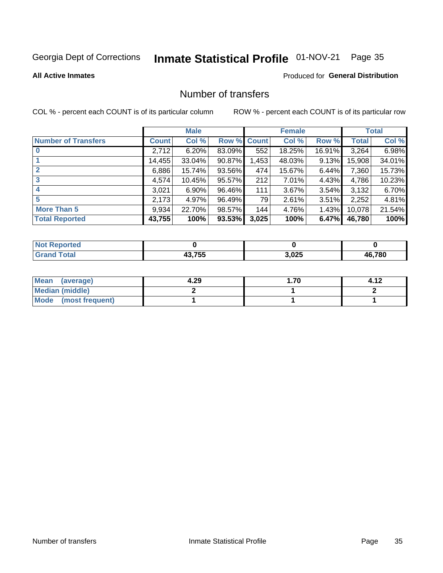## Inmate Statistical Profile 01-NOV-21 Page 35

#### **All Active Inmates**

### Produced for General Distribution

## Number of transfers

COL % - percent each COUNT is of its particular column

|                            |         | <b>Male</b> |             |       | <b>Female</b> |          |              | <b>Total</b> |
|----------------------------|---------|-------------|-------------|-------|---------------|----------|--------------|--------------|
| <b>Number of Transfers</b> | Count l | Col %       | Row % Count |       | Col %         | Row %    | <b>Total</b> | Col %        |
|                            | 2,712   | 6.20%       | 83.09%      | 552   | 18.25%        | 16.91%   | 3,264        | 6.98%        |
|                            | 14,455  | 33.04%      | 90.87%      | 1,453 | 48.03%        | 9.13%    | 15,908       | 34.01%       |
| $\mathbf{2}$               | 6,886   | 15.74%      | 93.56%      | 474   | 15.67%        | 6.44%    | 7,360        | 15.73%       |
| 3                          | 4,574   | 10.45%      | 95.57%      | 212   | 7.01%         | 4.43%    | 4,786        | 10.23%       |
|                            | 3,021   | $6.90\%$    | 96.46%      | 111   | 3.67%         | $3.54\%$ | 3,132        | 6.70%        |
| 5                          | 2,173   | 4.97%       | 96.49%      | 79    | 2.61%         | $3.51\%$ | 2,252        | 4.81%        |
| <b>More Than 5</b>         | 9,934   | 22.70%      | 98.57%      | 144   | 4.76%         | $1.43\%$ | 10,078       | 21.54%       |
| <b>Total Reported</b>      | 43,755  | 100%        | 93.53%      | 3,025 | 100%          | 6.47%    | 46,780       | 100%         |

| งrted<br>NO  |             |       |        |
|--------------|-------------|-------|--------|
| <b>Fotal</b> | 12 755<br>. | 3,025 | 46.780 |

| Mean (average)       | 4.29 | . 70. . |  |
|----------------------|------|---------|--|
| Median (middle)      |      |         |  |
| Mode (most frequent) |      |         |  |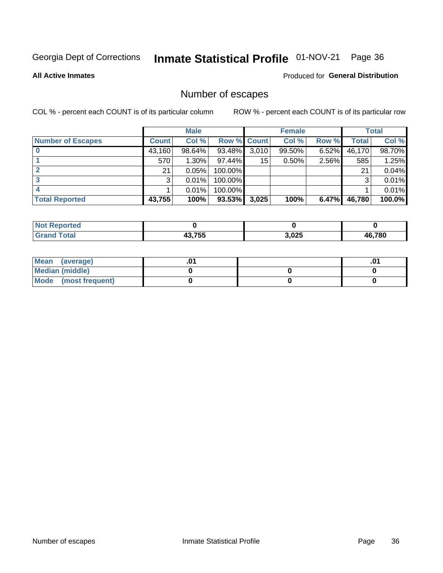## Inmate Statistical Profile 01-NOV-21 Page 36

**All Active Inmates** 

Produced for General Distribution

## Number of escapes

COL % - percent each COUNT is of its particular column

|                          |              | <b>Male</b> |             |       | <b>Female</b> |          |        | <b>Total</b> |
|--------------------------|--------------|-------------|-------------|-------|---------------|----------|--------|--------------|
| <b>Number of Escapes</b> | <b>Count</b> | Col %       | Row % Count |       | Col %         | Row %    | Total  | Col %        |
|                          | 43,160       | 98.64%      | 93.48%      | 3,010 | 99.50%        | $6.52\%$ | 46,170 | 98.70%       |
|                          | 570          | $1.30\%$    | 97.44%      | 15    | 0.50%         | 2.56%    | 585    | 1.25%        |
|                          | 21           | 0.05%       | 100.00%     |       |               |          | 21     | 0.04%        |
|                          | 3            | 0.01%       | $100.00\%$  |       |               |          | ົ      | 0.01%        |
|                          |              | 0.01%       | 100.00%     |       |               |          |        | 0.01%        |
| <b>Total Reported</b>    | 43,755       | 100%        | 93.53%      | 3,025 | 100%          | $6.47\%$ | 46,780 | 100.0%       |

| <b>orted</b><br><b>NOT</b> |             |       |        |
|----------------------------|-------------|-------|--------|
| Total                      | 12 755<br>. | 3,025 | 46,780 |

| Mean (average)       |  | .0 <sup>1</sup> |
|----------------------|--|-----------------|
| Median (middle)      |  |                 |
| Mode (most frequent) |  |                 |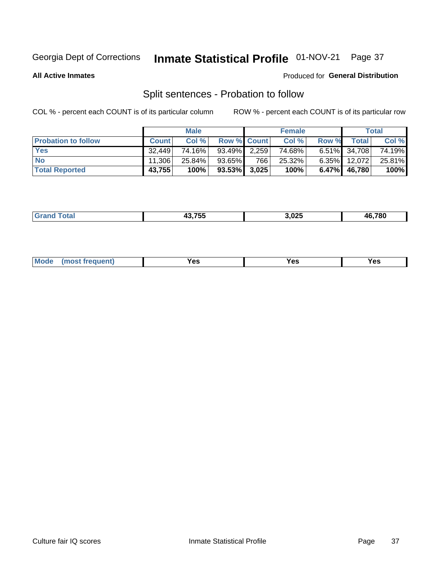#### Inmate Statistical Profile 01-NOV-21 Page 37

**All Active Inmates** 

### Produced for General Distribution

## Split sentences - Probation to follow

COL % - percent each COUNT is of its particular column

|                            |              | <b>Male</b> |                 |     | <b>Female</b> |          |                     | <b>Total</b> |
|----------------------------|--------------|-------------|-----------------|-----|---------------|----------|---------------------|--------------|
| <b>Probation to follow</b> | <b>Count</b> | Col%        | Row % Count     |     | Col %         | Row %    | Total               | Col %        |
| <b>Yes</b>                 | 32.449       | 74.16%      | $93.49\%$ 2.259 |     | 74.68%        |          | 6.51% 34,708        | 74.19%       |
| <b>No</b>                  | 11.306       | $25.84\%$   | 93.65%          | 766 | $25.32\%$     | $6.35\%$ | 12,072              | 25.81%       |
| <b>Total Reported</b>      | 43,755       | 100%        | $93.53\%$ 3,025 |     | 100%          | $6.47\%$ | 46,780 <sup>'</sup> | 100%         |

| _______ | 19 7EE | 3.025<br>__ | 6.780<br>46 |
|---------|--------|-------------|-------------|
|         |        |             |             |

| M<br>reauent)<br>/٥<br>$\sim$<br>v.,<br>.<br>w<br>$\cdot$ - $\cdot$ |  |  |  |  |  |
|---------------------------------------------------------------------|--|--|--|--|--|
|---------------------------------------------------------------------|--|--|--|--|--|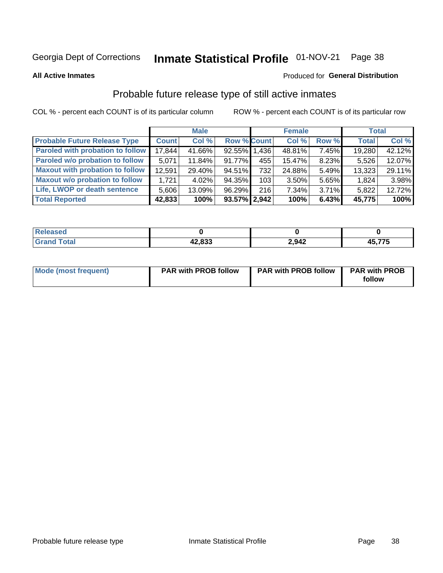# Inmate Statistical Profile 01-NOV-21 Page 38

**All Active Inmates** 

#### Produced for General Distribution

### Probable future release type of still active inmates

COL % - percent each COUNT is of its particular column

|                                         |              | <b>Male</b> |                    |                  | <b>Female</b> |          | <b>Total</b> |        |
|-----------------------------------------|--------------|-------------|--------------------|------------------|---------------|----------|--------------|--------|
| <b>Probable Future Release Type</b>     | <b>Count</b> | Col %       | <b>Row % Count</b> |                  | Col %         | Row %    | <b>Total</b> | Col %  |
| <b>Paroled with probation to follow</b> | 17,844       | 41.66%      | 92.55% 1.436       |                  | 48.81%        | 7.45%    | 19,280       | 42.12% |
| Paroled w/o probation to follow         | 5,071        | 11.84%      | 91.77%             | 455              | 15.47%        | 8.23%    | 5,526        | 12.07% |
| <b>Maxout with probation to follow</b>  | 12,591       | 29.40%      | 94.51%             | 732              | 24.88%        | 5.49%    | 13,323       | 29.11% |
| <b>Maxout w/o probation to follow</b>   | 1.721        | 4.02%       | 94.35%             | 103 <sub>l</sub> | 3.50%         | 5.65%    | 1,824        | 3.98%  |
| Life, LWOP or death sentence            | 5,606        | 13.09%      | 96.29%             | 216              | 7.34%         | $3.71\%$ | 5,822        | 12.72% |
| <b>Total Reported</b>                   | 42,833       | 100%        | $93.57\%$ 2,942    |                  | 100%          | 6.43%    | 45,775       | 100%   |

| . otal | دده مه | 2,942 | ,775 |
|--------|--------|-------|------|
|        | .,oაა  |       | л.   |

| Mode (most frequent) | <b>PAR with PROB follow</b> | <b>PAR with PROB follow</b> | <b>PAR with PROB</b> |
|----------------------|-----------------------------|-----------------------------|----------------------|
|                      |                             |                             | follow               |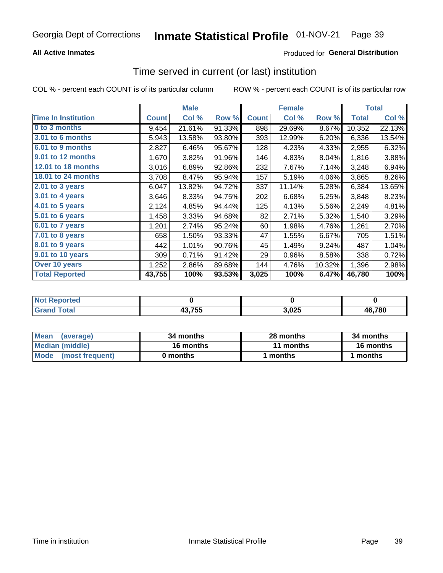### **All Active Inmates**

### **Produced for General Distribution**

# Time served in current (or last) institution

COL % - percent each COUNT is of its particular column

|                            |              | <b>Male</b> |        |              | <b>Female</b> |        |              | <b>Total</b> |
|----------------------------|--------------|-------------|--------|--------------|---------------|--------|--------------|--------------|
| <b>Time In Institution</b> | <b>Count</b> | Col %       | Row %  | <b>Count</b> | Col %         | Row %  | <b>Total</b> | Col %        |
| 0 to 3 months              | 9,454        | 21.61%      | 91.33% | 898          | 29.69%        | 8.67%  | 10,352       | 22.13%       |
| 3.01 to 6 months           | 5,943        | 13.58%      | 93.80% | 393          | 12.99%        | 6.20%  | 6,336        | 13.54%       |
| 6.01 to 9 months           | 2,827        | 6.46%       | 95.67% | 128          | 4.23%         | 4.33%  | 2,955        | 6.32%        |
| 9.01 to 12 months          | 1,670        | 3.82%       | 91.96% | 146          | 4.83%         | 8.04%  | 1,816        | 3.88%        |
| <b>12.01 to 18 months</b>  | 3,016        | 6.89%       | 92.86% | 232          | 7.67%         | 7.14%  | 3,248        | 6.94%        |
| 18.01 to 24 months         | 3,708        | 8.47%       | 95.94% | 157          | 5.19%         | 4.06%  | 3,865        | 8.26%        |
| $2.01$ to 3 years          | 6,047        | 13.82%      | 94.72% | 337          | 11.14%        | 5.28%  | 6,384        | 13.65%       |
| 3.01 to 4 years            | 3,646        | 8.33%       | 94.75% | 202          | 6.68%         | 5.25%  | 3,848        | 8.23%        |
| 4.01 to 5 years            | 2,124        | 4.85%       | 94.44% | 125          | 4.13%         | 5.56%  | 2,249        | 4.81%        |
| 5.01 to 6 years            | 1,458        | 3.33%       | 94.68% | 82           | 2.71%         | 5.32%  | 1,540        | 3.29%        |
| 6.01 to 7 years            | 1,201        | 2.74%       | 95.24% | 60           | 1.98%         | 4.76%  | 1,261        | 2.70%        |
| 7.01 to 8 years            | 658          | 1.50%       | 93.33% | 47           | 1.55%         | 6.67%  | 705          | 1.51%        |
| 8.01 to 9 years            | 442          | 1.01%       | 90.76% | 45           | 1.49%         | 9.24%  | 487          | 1.04%        |
| 9.01 to 10 years           | 309          | 0.71%       | 91.42% | 29           | 0.96%         | 8.58%  | 338          | 0.72%        |
| Over 10 years              | 1,252        | 2.86%       | 89.68% | 144          | 4.76%         | 10.32% | 1,396        | 2.98%        |
| <b>Total Reported</b>      | 43,755       | 100%        | 93.53% | 3,025        | 100%          | 6.47%  | 46,780       | 100%         |

| orted<br><b>NOT</b> |        |      |        |
|---------------------|--------|------|--------|
| `∩fa                | 43,755 | ,025 | 46.780 |

| <b>Mean</b><br>(average) | 34 months | 28 months | 34 months |
|--------------------------|-----------|-----------|-----------|
| Median (middle)          | 16 months | 11 months | 16 months |
| Mode (most frequent)     | 0 months  | months    | ∣ months  |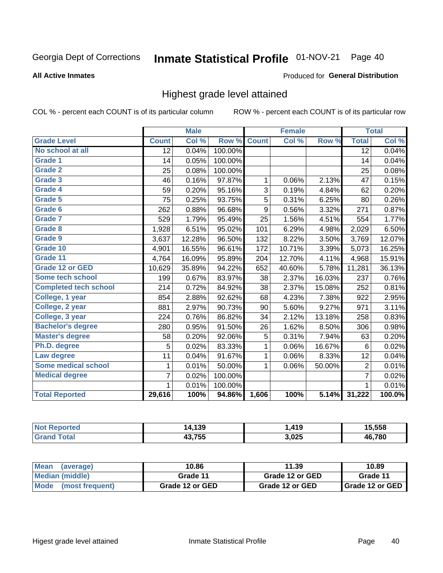#### Inmate Statistical Profile 01-NOV-21 Page 40

#### **All Active Inmates**

# Produced for General Distribution

## Highest grade level attained

COL % - percent each COUNT is of its particular column

|                              |                 | <b>Male</b> |         |              | <b>Female</b> |        |                 | <b>Total</b> |
|------------------------------|-----------------|-------------|---------|--------------|---------------|--------|-----------------|--------------|
| <b>Grade Level</b>           | <b>Count</b>    | Col %       | Row %   | <b>Count</b> | Col %         | Row %  | <b>Total</b>    | Col %        |
| No school at all             | $\overline{12}$ | 0.04%       | 100.00% |              |               |        | $\overline{12}$ | 0.04%        |
| <b>Grade 1</b>               | 14              | 0.05%       | 100.00% |              |               |        | 14              | 0.04%        |
| <b>Grade 2</b>               | 25              | 0.08%       | 100.00% |              |               |        | 25              | 0.08%        |
| Grade 3                      | 46              | 0.16%       | 97.87%  | $\mathbf{1}$ | 0.06%         | 2.13%  | 47              | 0.15%        |
| Grade 4                      | 59              | 0.20%       | 95.16%  | 3            | 0.19%         | 4.84%  | 62              | 0.20%        |
| Grade 5                      | 75              | 0.25%       | 93.75%  | 5            | 0.31%         | 6.25%  | 80              | 0.26%        |
| Grade 6                      | 262             | 0.88%       | 96.68%  | 9            | 0.56%         | 3.32%  | 271             | 0.87%        |
| <b>Grade 7</b>               | 529             | 1.79%       | 95.49%  | 25           | 1.56%         | 4.51%  | 554             | 1.77%        |
| Grade 8                      | 1,928           | 6.51%       | 95.02%  | 101          | 6.29%         | 4.98%  | 2,029           | 6.50%        |
| Grade 9                      | 3,637           | 12.28%      | 96.50%  | 132          | 8.22%         | 3.50%  | 3,769           | 12.07%       |
| Grade 10                     | 4,901           | 16.55%      | 96.61%  | 172          | 10.71%        | 3.39%  | 5,073           | 16.25%       |
| Grade 11                     | 4,764           | 16.09%      | 95.89%  | 204          | 12.70%        | 4.11%  | 4,968           | 15.91%       |
| <b>Grade 12 or GED</b>       | 10,629          | 35.89%      | 94.22%  | 652          | 40.60%        | 5.78%  | 11,281          | 36.13%       |
| <b>Some tech school</b>      | 199             | 0.67%       | 83.97%  | 38           | 2.37%         | 16.03% | 237             | 0.76%        |
| <b>Completed tech school</b> | 214             | 0.72%       | 84.92%  | 38           | 2.37%         | 15.08% | 252             | 0.81%        |
| College, 1 year              | 854             | 2.88%       | 92.62%  | 68           | 4.23%         | 7.38%  | 922             | 2.95%        |
| College, 2 year              | 881             | 2.97%       | 90.73%  | 90           | 5.60%         | 9.27%  | 971             | 3.11%        |
| College, 3 year              | 224             | 0.76%       | 86.82%  | 34           | 2.12%         | 13.18% | 258             | 0.83%        |
| <b>Bachelor's degree</b>     | 280             | 0.95%       | 91.50%  | 26           | 1.62%         | 8.50%  | 306             | 0.98%        |
| <b>Master's degree</b>       | 58              | 0.20%       | 92.06%  | 5            | 0.31%         | 7.94%  | 63              | 0.20%        |
| Ph.D. degree                 | 5               | 0.02%       | 83.33%  | 1            | 0.06%         | 16.67% | 6               | 0.02%        |
| Law degree                   | 11              | 0.04%       | 91.67%  | $\mathbf{1}$ | 0.06%         | 8.33%  | 12              | 0.04%        |
| <b>Some medical school</b>   | 1               | 0.01%       | 50.00%  | 1            | 0.06%         | 50.00% | $\overline{2}$  | 0.01%        |
| <b>Medical degree</b>        | 7               | 0.02%       | 100.00% |              |               |        | $\overline{7}$  | 0.02%        |
|                              | $\mathbf 1$     | 0.01%       | 100.00% |              |               |        | 1               | 0.01%        |
| <b>Total Reported</b>        | 29,616          | 100%        | 94.86%  | 1,606        | 100%          | 5.14%  | 31,222          | 100.0%       |

| 130<br>103         | 419            | 5.558         |
|--------------------|----------------|---------------|
| <b>12 フドド</b><br>. | 2.025<br>ა,uzუ | <b>46 780</b> |

| <b>Mean</b><br>(average) | 10.86           | 11.39           | 10.89           |  |
|--------------------------|-----------------|-----------------|-----------------|--|
| Median (middle)          | Grade 11        | Grade 12 or GED | Grade 11        |  |
| Mode<br>(most frequent)  | Grade 12 or GED | Grade 12 or GED | Grade 12 or GED |  |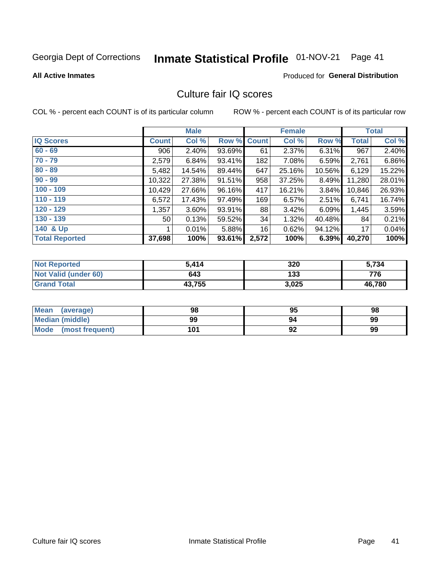# Inmate Statistical Profile 01-NOV-21 Page 41

**All Active Inmates** 

### **Produced for General Distribution**

## Culture fair IQ scores

COL % - percent each COUNT is of its particular column

|                       |              | <b>Male</b> |             |       | <b>Female</b> |        |              | <b>Total</b> |
|-----------------------|--------------|-------------|-------------|-------|---------------|--------|--------------|--------------|
| <b>IQ Scores</b>      | <b>Count</b> | Col %       | Row % Count |       | Col %         | Row %  | <b>Total</b> | Col %        |
| $60 - 69$             | 906          | 2.40%       | 93.69%      | 61    | 2.37%         | 6.31%  | 967          | 2.40%        |
| $70 - 79$             | 2,579        | 6.84%       | 93.41%      | 182   | 7.08%         | 6.59%  | 2,761        | 6.86%        |
| $80 - 89$             | 5,482        | 14.54%      | 89.44%      | 647   | 25.16%        | 10.56% | 6,129        | 15.22%       |
| $90 - 99$             | 10,322       | 27.38%      | $91.51\%$   | 958   | 37.25%        | 8.49%  | 11,280       | 28.01%       |
| $100 - 109$           | 10,429       | 27.66%      | 96.16%      | 417   | 16.21%        | 3.84%  | 10,846       | 26.93%       |
| $110 - 119$           | 6,572        | 17.43%      | 97.49%      | 169   | 6.57%         | 2.51%  | 6,741        | 16.74%       |
| $120 - 129$           | 1,357        | 3.60%       | 93.91%      | 88    | $3.42\%$      | 6.09%  | 1,445        | 3.59%        |
| $130 - 139$           | 50           | 0.13%       | 59.52%      | 34    | 1.32%         | 40.48% | 84           | 0.21%        |
| 140 & Up              |              | 0.01%       | 5.88%       | 16    | 0.62%         | 94.12% | 17           | 0.04%        |
| <b>Total Reported</b> | 37,698       | 100%        | 93.61%      | 2,572 | 100%          | 6.39%  | 40,270       | 100%         |

| <b>Not Reported</b>         | 5,414  | 320   | 5,734  |
|-----------------------------|--------|-------|--------|
| <b>Not Valid (under 60)</b> | 643    | 133   | 776    |
| <b>Grand Total</b>          | 43,755 | 3,025 | 46,780 |

| <b>Mean</b><br>(average) | 98  | 95 | 98 |
|--------------------------|-----|----|----|
| <b>Median (middle)</b>   | 99  | 94 | 99 |
| Mode<br>(most frequent)  | 101 | 92 | 99 |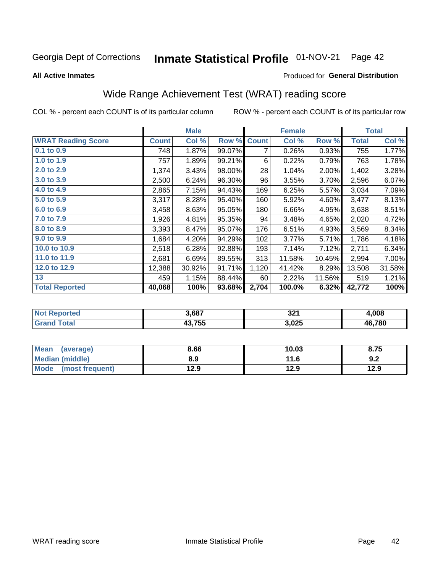#### Inmate Statistical Profile 01-NOV-21 Page 42

#### **All Active Inmates**

#### Produced for General Distribution

## Wide Range Achievement Test (WRAT) reading score

COL % - percent each COUNT is of its particular column

|                           |              | <b>Male</b> |        |              | <b>Female</b> |        |              | <b>Total</b> |
|---------------------------|--------------|-------------|--------|--------------|---------------|--------|--------------|--------------|
| <b>WRAT Reading Score</b> | <b>Count</b> | Col %       | Row %  | <b>Count</b> | Col %         | Row %  | <b>Total</b> | Col %        |
| $0.1$ to $0.9$            | 748          | 1.87%       | 99.07% | 7            | 0.26%         | 0.93%  | 755          | 1.77%        |
| 1.0 to 1.9                | 757          | 1.89%       | 99.21% | 6            | 0.22%         | 0.79%  | 763          | 1.78%        |
| 2.0 to 2.9                | 1,374        | 3.43%       | 98.00% | 28           | 1.04%         | 2.00%  | 1,402        | 3.28%        |
| 3.0 to 3.9                | 2,500        | 6.24%       | 96.30% | 96           | 3.55%         | 3.70%  | 2,596        | 6.07%        |
| 4.0 to 4.9                | 2,865        | 7.15%       | 94.43% | 169          | 6.25%         | 5.57%  | 3,034        | 7.09%        |
| 5.0 to 5.9                | 3,317        | 8.28%       | 95.40% | 160          | 5.92%         | 4.60%  | 3,477        | 8.13%        |
| 6.0 to 6.9                | 3,458        | 8.63%       | 95.05% | 180          | 6.66%         | 4.95%  | 3,638        | 8.51%        |
| 7.0 to 7.9                | 1,926        | 4.81%       | 95.35% | 94           | 3.48%         | 4.65%  | 2,020        | 4.72%        |
| 8.0 to 8.9                | 3,393        | 8.47%       | 95.07% | 176          | 6.51%         | 4.93%  | 3,569        | 8.34%        |
| 9.0 to 9.9                | 1,684        | 4.20%       | 94.29% | 102          | 3.77%         | 5.71%  | 1,786        | 4.18%        |
| 10.0 to 10.9              | 2,518        | 6.28%       | 92.88% | 193          | 7.14%         | 7.12%  | 2,711        | 6.34%        |
| 11.0 to 11.9              | 2,681        | 6.69%       | 89.55% | 313          | 11.58%        | 10.45% | 2,994        | 7.00%        |
| 12.0 to 12.9              | 12,388       | 30.92%      | 91.71% | 1,120        | 41.42%        | 8.29%  | 13,508       | 31.58%       |
| 13                        | 459          | 1.15%       | 88.44% | 60           | 2.22%         | 11.56% | 519          | 1.21%        |
| <b>Total Reported</b>     | 40,068       | 100%        | 93.68% | 2,704        | 100.0%        | 6.32%  | 42,772       | 100%         |

| -тес<br>NO | 3,687  | 321   | .008   |
|------------|--------|-------|--------|
|            | 43,755 | 3,025 | 46,780 |

| Mean (average)       | 8.66 | 10.03 | 8.75 |
|----------------------|------|-------|------|
| Median (middle)      | 8.9  | 11.6  | 9.2  |
| Mode (most frequent) | 12.9 | 12.9  | 12.9 |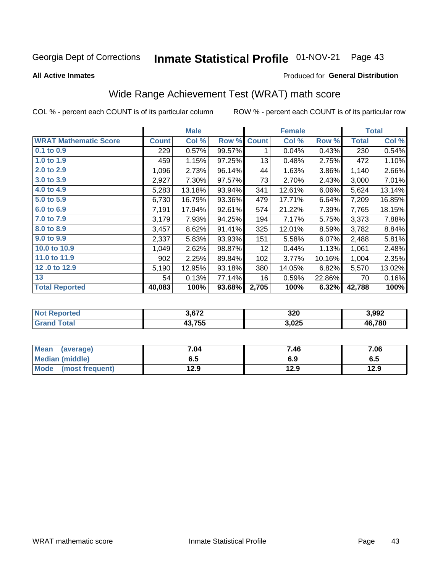#### Inmate Statistical Profile 01-NOV-21 Page 43

**All Active Inmates** 

#### Produced for General Distribution

## Wide Range Achievement Test (WRAT) math score

COL % - percent each COUNT is of its particular column

|                              |              | <b>Male</b> |        |              | <b>Female</b> |        |              | <b>Total</b> |
|------------------------------|--------------|-------------|--------|--------------|---------------|--------|--------------|--------------|
| <b>WRAT Mathematic Score</b> | <b>Count</b> | Col %       | Row %  | <b>Count</b> | Col %         | Row %  | <b>Total</b> | Col %        |
| $0.1$ to $0.9$               | 229          | 0.57%       | 99.57% |              | 0.04%         | 0.43%  | 230          | 0.54%        |
| 1.0 to 1.9                   | 459          | 1.15%       | 97.25% | 13           | 0.48%         | 2.75%  | 472          | 1.10%        |
| 2.0 to 2.9                   | 1,096        | 2.73%       | 96.14% | 44           | 1.63%         | 3.86%  | 1,140        | 2.66%        |
| 3.0 to 3.9                   | 2,927        | 7.30%       | 97.57% | 73           | 2.70%         | 2.43%  | 3,000        | 7.01%        |
| 4.0 to 4.9                   | 5,283        | 13.18%      | 93.94% | 341          | 12.61%        | 6.06%  | 5,624        | 13.14%       |
| 5.0 to 5.9                   | 6,730        | 16.79%      | 93.36% | 479          | 17.71%        | 6.64%  | 7,209        | 16.85%       |
| 6.0 to 6.9                   | 7,191        | 17.94%      | 92.61% | 574          | 21.22%        | 7.39%  | 7,765        | 18.15%       |
| 7.0 to 7.9                   | 3,179        | 7.93%       | 94.25% | 194          | 7.17%         | 5.75%  | 3,373        | 7.88%        |
| 8.0 to 8.9                   | 3,457        | 8.62%       | 91.41% | 325          | 12.01%        | 8.59%  | 3,782        | 8.84%        |
| 9.0 to 9.9                   | 2,337        | 5.83%       | 93.93% | 151          | 5.58%         | 6.07%  | 2,488        | 5.81%        |
| 10.0 to 10.9                 | 1,049        | 2.62%       | 98.87% | 12           | 0.44%         | 1.13%  | 1,061        | 2.48%        |
| 11.0 to 11.9                 | 902          | 2.25%       | 89.84% | 102          | 3.77%         | 10.16% | 1,004        | 2.35%        |
| 12.0 to 12.9                 | 5,190        | 12.95%      | 93.18% | 380          | 14.05%        | 6.82%  | 5,570        | 13.02%       |
| 13                           | 54           | 0.13%       | 77.14% | 16           | 0.59%         | 22.86% | 70           | 0.16%        |
| <b>Total Reported</b>        | 40,083       | 100%        | 93.68% | 2,705        | 100%          | 6.32%  | 42,788       | 100%         |

| meo  | ידה כ  | 320   | 3,992  |
|------|--------|-------|--------|
| otal | 43.755 | 3,025 | 46,780 |

| <b>Mean</b><br>(average)       | 7.04 | 7.46 | 7.06 |
|--------------------------------|------|------|------|
| Median (middle)                | 6.5  | 6.9  | ს.ე  |
| <b>Mode</b><br>(most frequent) | 12.9 | 12.9 | 12.9 |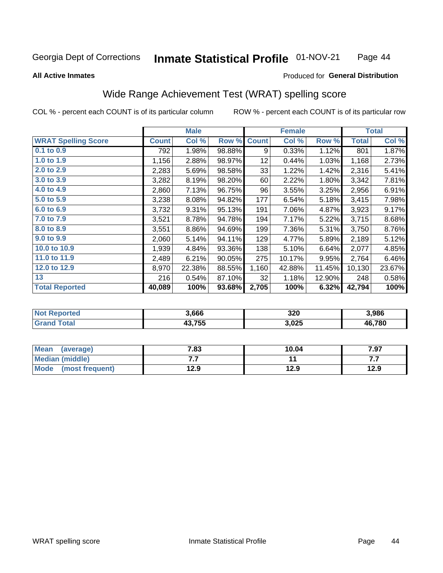#### Inmate Statistical Profile 01-NOV-21 Page 44

#### **All Active Inmates**

#### Produced for General Distribution

## Wide Range Achievement Test (WRAT) spelling score

COL % - percent each COUNT is of its particular column

|                            |              | <b>Male</b> |        |              | <b>Female</b> |        |              | <b>Total</b> |
|----------------------------|--------------|-------------|--------|--------------|---------------|--------|--------------|--------------|
| <b>WRAT Spelling Score</b> | <b>Count</b> | Col %       | Row %  | <b>Count</b> | Col %         | Row %  | <b>Total</b> | Col %        |
| $0.1$ to $0.9$             | 792          | 1.98%       | 98.88% | 9            | 0.33%         | 1.12%  | 801          | 1.87%        |
| 1.0 to 1.9                 | 1,156        | 2.88%       | 98.97% | 12           | 0.44%         | 1.03%  | 1,168        | 2.73%        |
| 2.0 to 2.9                 | 2,283        | 5.69%       | 98.58% | 33           | 1.22%         | 1.42%  | 2,316        | 5.41%        |
| 3.0 to 3.9                 | 3,282        | 8.19%       | 98.20% | 60           | 2.22%         | 1.80%  | 3,342        | 7.81%        |
| 4.0 to 4.9                 | 2,860        | 7.13%       | 96.75% | 96           | 3.55%         | 3.25%  | 2,956        | 6.91%        |
| 5.0 to 5.9                 | 3,238        | 8.08%       | 94.82% | 177          | 6.54%         | 5.18%  | 3,415        | 7.98%        |
| 6.0 to 6.9                 | 3,732        | 9.31%       | 95.13% | 191          | 7.06%         | 4.87%  | 3,923        | 9.17%        |
| 7.0 to 7.9                 | 3,521        | 8.78%       | 94.78% | 194          | 7.17%         | 5.22%  | 3,715        | 8.68%        |
| 8.0 to 8.9                 | 3,551        | 8.86%       | 94.69% | 199          | 7.36%         | 5.31%  | 3,750        | 8.76%        |
| 9.0 to 9.9                 | 2,060        | 5.14%       | 94.11% | 129          | 4.77%         | 5.89%  | 2,189        | 5.12%        |
| 10.0 to 10.9               | 1,939        | 4.84%       | 93.36% | 138          | 5.10%         | 6.64%  | 2,077        | 4.85%        |
| 11.0 to 11.9               | 2,489        | 6.21%       | 90.05% | 275          | 10.17%        | 9.95%  | 2,764        | 6.46%        |
| 12.0 to 12.9               | 8,970        | 22.38%      | 88.55% | 1,160        | 42.88%        | 11.45% | 10,130       | 23.67%       |
| 13                         | 216          | 0.54%       | 87.10% | 32           | 1.18%         | 12.90% | 248          | 0.58%        |
| <b>Total Reported</b>      | 40,089       | 100%        | 93.68% | 2,705        | 100%          | 6.32%  | 42,794       | 100%         |

| prted<br>NO | 3,666  | 320   | 3,986  |
|-------------|--------|-------|--------|
| $5 - 6 - 1$ | 43,755 | 3,025 | 46,780 |

| <b>Mean</b><br>(average) | 7.83 | 10.04 | 7.97 |
|--------------------------|------|-------|------|
| <b>Median (middle)</b>   | .    |       | .    |
| Mode (most frequent)     | 12.9 | 12.9  | 12.9 |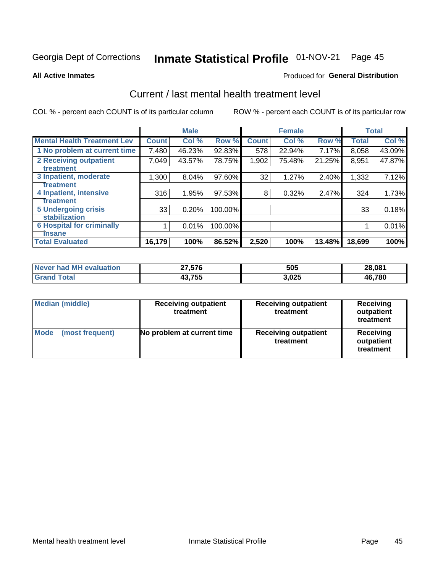# Inmate Statistical Profile 01-NOV-21 Page 45

#### **All Active Inmates**

### **Produced for General Distribution**

## Current / last mental health treatment level

COL % - percent each COUNT is of its particular column

|                                    |              | <b>Male</b> |         |              | <b>Female</b> |          |              | <b>Total</b> |
|------------------------------------|--------------|-------------|---------|--------------|---------------|----------|--------------|--------------|
| <b>Mental Health Treatment Lev</b> | <b>Count</b> | Col %       | Row %   | <b>Count</b> | Col %         | Row %    | <b>Total</b> | Col %        |
| 1 No problem at current time       | 7,480        | 46.23%      | 92.83%  | 578          | 22.94%        | 7.17%    | 8,058        | 43.09%       |
| 2 Receiving outpatient             | 7,049        | 43.57%      | 78.75%  | 1,902        | 75.48%        | 21.25%   | 8,951        | 47.87%       |
| <b>Treatment</b>                   |              |             |         |              |               |          |              |              |
| 3 Inpatient, moderate              | 1,300        | 8.04%       | 97.60%  | 32           | 1.27%         | $2.40\%$ | 1,332        | 7.12%        |
| Treatment                          |              |             |         |              |               |          |              |              |
| 4 Inpatient, intensive             | 316          | 1.95%       | 97.53%  | 8            | 0.32%         | 2.47%    | 324          | 1.73%        |
| Treatment                          |              |             |         |              |               |          |              |              |
| <b>5 Undergoing crisis</b>         | 33           | 0.20%       | 100.00% |              |               |          | 33           | 0.18%        |
| <b>Stabilization</b>               |              |             |         |              |               |          |              |              |
| <b>6 Hospital for criminally</b>   |              | 0.01%       | 100.00% |              |               |          |              | 0.01%        |
| <b>Tinsane</b>                     |              |             |         |              |               |          |              |              |
| <b>Total Evaluated</b>             | 16,179       | 100%        | 86.52%  | 2,520        | 100%          | 13.48%   | 18,699       | 100%         |

| Never had MH evaluation | 27,576 | 505   | 28,081 |
|-------------------------|--------|-------|--------|
| <b>Grand Total</b>      | 43,755 | 3,025 | 46,780 |

| <b>Median (middle)</b>         | <b>Receiving outpatient</b><br>treatment | <b>Receiving outpatient</b><br>treatment | <b>Receiving</b><br>outpatient<br>treatment |  |
|--------------------------------|------------------------------------------|------------------------------------------|---------------------------------------------|--|
| <b>Mode</b><br>(most frequent) | No problem at current time               | <b>Receiving outpatient</b><br>treatment | Receiving<br>outpatient<br>treatment        |  |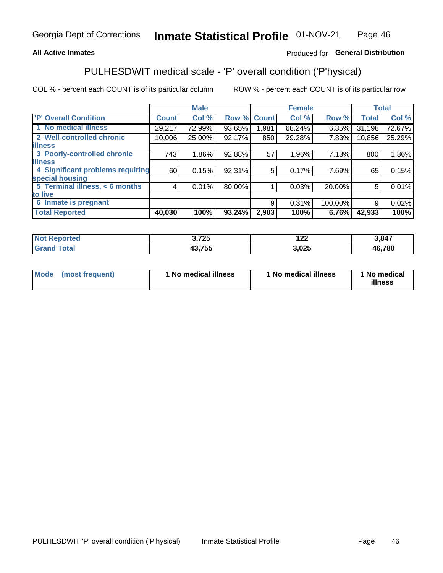### **All Active Inmates**

### Produced for General Distribution

## PULHESDWIT medical scale - 'P' overall condition ('P'hysical)

COL % - percent each COUNT is of its particular column

|                                  |              | <b>Male</b> |        |              | <b>Female</b> |         |              | <b>Total</b> |
|----------------------------------|--------------|-------------|--------|--------------|---------------|---------|--------------|--------------|
| <b>P' Overall Condition</b>      | <b>Count</b> | Col %       | Row %  | <b>Count</b> | Col %         | Row %   | <b>Total</b> | Col %        |
| 1 No medical illness             | 29,217       | 72.99%      | 93.65% | .981         | 68.24%        | 6.35%   | 31,198       | 72.67%       |
| 2 Well-controlled chronic        | 10,006       | 25.00%      | 92.17% | 850          | 29.28%        | 7.83%   | 10,856       | 25.29%       |
| <b>lillness</b>                  |              |             |        |              |               |         |              |              |
| 3 Poorly-controlled chronic      | 743          | $1.86\%$    | 92.88% | 57           | $1.96\%$      | 7.13%   | 800          | 1.86%        |
| <b>illness</b>                   |              |             |        |              |               |         |              |              |
| 4 Significant problems requiring | 60           | 0.15%       | 92.31% | 5            | 0.17%         | 7.69%   | 65           | 0.15%        |
| special housing                  |              |             |        |              |               |         |              |              |
| 5 Terminal illness, < 6 months   | 4            | 0.01%       | 80.00% |              | 0.03%         | 20.00%  | 5            | 0.01%        |
| to live                          |              |             |        |              |               |         |              |              |
| 6 Inmate is pregnant             |              |             |        | 9            | 0.31%         | 100.00% | 9            | 0.02%        |
| <b>Total Reported</b>            | 40,030       | 100%        | 93.24% | 2,903        | 100%          | 6.76%   | 42,933       | 100%         |

| тео | המד ה<br>1 LJ | 1 A A<br>14L | 3,847  |
|-----|---------------|--------------|--------|
|     | $\sim$ -rr    | .025<br>- -  | 46,780 |

| Mode<br>(most frequent) |  | <sup>1</sup> No medical illness | 1 No medical illness | 1 No medical<br>illness |
|-------------------------|--|---------------------------------|----------------------|-------------------------|
|-------------------------|--|---------------------------------|----------------------|-------------------------|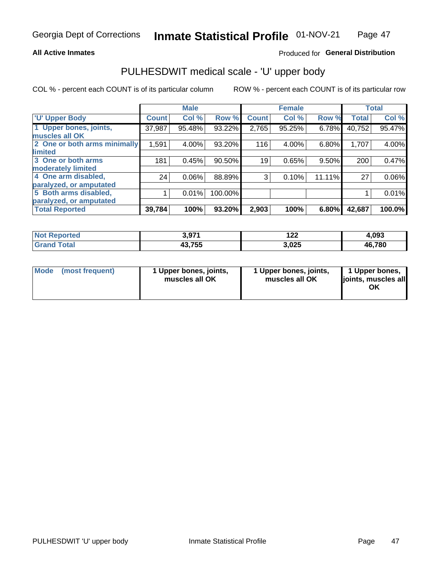#### **All Active Inmates**

### Produced for General Distribution

# PULHESDWIT medical scale - 'U' upper body

COL % - percent each COUNT is of its particular column

|                              |              | <b>Male</b> |         |              | <b>Female</b> |        |              | <b>Total</b> |
|------------------------------|--------------|-------------|---------|--------------|---------------|--------|--------------|--------------|
| <b>U' Upper Body</b>         | <b>Count</b> | Col %       | Row %   | <b>Count</b> | Col %         | Row %  | <b>Total</b> | Col %        |
| 1 Upper bones, joints,       | 37,987       | 95.48%      | 93.22%  | 2,765        | 95.25%        | 6.78%  | 40,752       | 95.47%       |
| muscles all OK               |              |             |         |              |               |        |              |              |
| 2 One or both arms minimally | 1,591        | 4.00%       | 93.20%  | 116          | 4.00%         | 6.80%  | 1,707        | 4.00%        |
| limited                      |              |             |         |              |               |        |              |              |
| 3 One or both arms           | 181          | 0.45%       | 90.50%  | 19           | 0.65%         | 9.50%  | 200          | 0.47%        |
| <b>moderately limited</b>    |              |             |         |              |               |        |              |              |
| 4 One arm disabled,          | 24           | 0.06%       | 88.89%  | 3            | 0.10%         | 11.11% | 27           | 0.06%        |
| paralyzed, or amputated      |              |             |         |              |               |        |              |              |
| 5 Both arms disabled,        |              | 0.01%       | 100.00% |              |               |        |              | 0.01%        |
| paralyzed, or amputated      |              |             |         |              |               |        |              |              |
| <b>Total Reported</b>        | 39,784       | 100%        | 93.20%  | 2,903        | 100%          | 6.80%  | 42,687       | 100.0%       |

| <b>Not Reported</b>   | Q71<br><b>VOI</b> . | 1 へへ<br>1 Z Z | 4.093  |
|-----------------------|---------------------|---------------|--------|
| <b>Total</b><br>Grand | 43,755              | 3,025         | 46,780 |

|  | Mode (most frequent) | 1 Upper bones, joints,<br>muscles all OK | 1 Upper bones, joints,<br>muscles all OK | 1 Upper bones,<br>joints, muscles all<br>ΟK |
|--|----------------------|------------------------------------------|------------------------------------------|---------------------------------------------|
|--|----------------------|------------------------------------------|------------------------------------------|---------------------------------------------|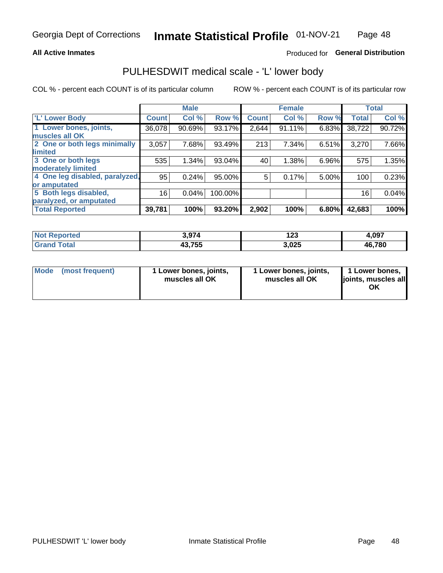#### **All Active Inmates**

### Produced for General Distribution

## PULHESDWIT medical scale - 'L' lower body

COL % - percent each COUNT is of its particular column

|                                |              | <b>Male</b> |         |              | <b>Female</b> |       |              | <b>Total</b> |
|--------------------------------|--------------|-------------|---------|--------------|---------------|-------|--------------|--------------|
| 'L' Lower Body                 | <b>Count</b> | Col %       | Row %   | <b>Count</b> | Col %         | Row % | <b>Total</b> | Col %        |
| 1 Lower bones, joints,         | 36,078       | 90.69%      | 93.17%  | 2,644        | 91.11%        | 6.83% | 38,722       | 90.72%       |
| muscles all OK                 |              |             |         |              |               |       |              |              |
| 2 One or both legs minimally   | 3,057        | 7.68%       | 93.49%  | 213          | 7.34%         | 6.51% | 3,270        | 7.66%        |
| limited                        |              |             |         |              |               |       |              |              |
| 3 One or both legs             | 535          | 1.34%       | 93.04%  | 40           | 1.38%         | 6.96% | 575          | 1.35%        |
| moderately limited             |              |             |         |              |               |       |              |              |
| 4 One leg disabled, paralyzed, | 95           | 0.24%       | 95.00%  | 5            | 0.17%         | 5.00% | 100          | 0.23%        |
| or amputated                   |              |             |         |              |               |       |              |              |
| 5 Both legs disabled,          | 16           | 0.04%       | 100.00% |              |               |       | 16           | 0.04%        |
| paralyzed, or amputated        |              |             |         |              |               |       |              |              |
| <b>Total Reported</b>          | 39,781       | 100%        | 93.20%  | 2,902        | 100%          | 6.80% | 42,683       | 100%         |

| <b>Not Reported</b>               | 974<br>. | 1 A A<br>ن 1 | 4,097  |
|-----------------------------------|----------|--------------|--------|
| <b>Total</b><br>Gran <sub>(</sub> | 43,755   | 3,025        | 46,780 |

| Mode | (most frequent) | 1 Lower bones, joints,<br>muscles all OK | I Lower bones, joints,<br>muscles all OK | 1 Lower bones,<br>joints, muscles all<br>ΟK |
|------|-----------------|------------------------------------------|------------------------------------------|---------------------------------------------|
|------|-----------------|------------------------------------------|------------------------------------------|---------------------------------------------|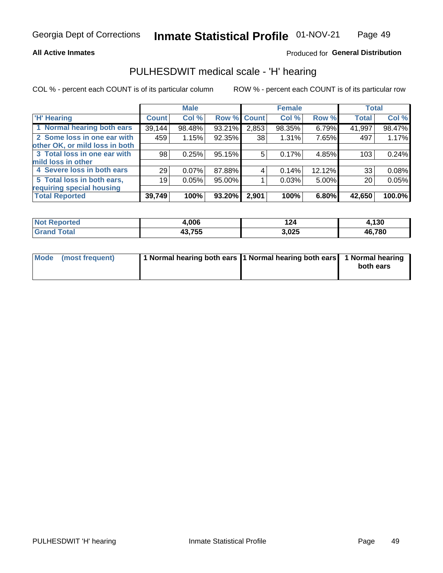#### **All Active Inmates**

### Produced for General Distribution

### PULHESDWIT medical scale - 'H' hearing

COL % - percent each COUNT is of its particular column

|                                |              | <b>Male</b> |             |       | <b>Female</b> |        | <b>Total</b> |        |
|--------------------------------|--------------|-------------|-------------|-------|---------------|--------|--------------|--------|
| <b>H' Hearing</b>              | <b>Count</b> | Col %       | Row % Count |       | Col %         | Row %  | <b>Total</b> | Col %  |
| 1 Normal hearing both ears     | 39,144       | 98.48%      | 93.21%      | 2,853 | 98.35%        | 6.79%  | 41,997       | 98.47% |
| 2 Some loss in one ear with    | 459          | 1.15%       | 92.35%      | 38    | 1.31%         | 7.65%  | 497          | 1.17%  |
| other OK, or mild loss in both |              |             |             |       |               |        |              |        |
| 3 Total loss in one ear with   | 98           | 0.25%       | 95.15%      | 5     | 0.17%         | 4.85%  | 103          | 0.24%  |
| mild loss in other             |              |             |             |       |               |        |              |        |
| 4 Severe loss in both ears     | 29           | 0.07%       | 87.88%      | 4     | 0.14%         | 12.12% | 33           | 0.08%  |
| 5 Total loss in both ears,     | 19           | 0.05%       | 95.00%      |       | 0.03%         | 5.00%  | 20           | 0.05%  |
| requiring special housing      |              |             |             |       |               |        |              |        |
| <b>Total Reported</b>          | 39,749       | 100%        | 93.20%      | 2,901 | 100%          | 6.80%  | 42,650       | 100.0% |

| тес | .006               | 124   | 120<br>טכו |
|-----|--------------------|-------|------------|
|     | 19 7EE<br>.<br>rv. | 3,025 | 46,780     |

| Mode (most frequent) | 1 Normal hearing both ears 11 Normal hearing both ears 1 Normal hearing | both ears |
|----------------------|-------------------------------------------------------------------------|-----------|
|                      |                                                                         |           |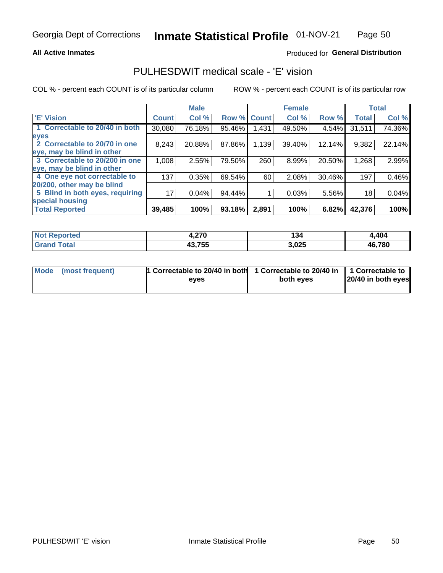#### **All Active Inmates**

### Produced for General Distribution

### PULHESDWIT medical scale - 'E' vision

COL % - percent each COUNT is of its particular column

|                                 |              | <b>Male</b> |        |              | <b>Female</b> |        |              | <b>Total</b> |
|---------------------------------|--------------|-------------|--------|--------------|---------------|--------|--------------|--------------|
| 'E' Vision                      | <b>Count</b> | Col %       | Row %  | <b>Count</b> | Col %         | Row %  | <b>Total</b> | Col %        |
| 1 Correctable to 20/40 in both  | 30,080       | 76.18%      | 95.46% | .431         | 49.50%        | 4.54%  | 31,511       | 74.36%       |
| eyes                            |              |             |        |              |               |        |              |              |
| 2 Correctable to 20/70 in one   | 8,243        | 20.88%      | 87.86% | 1,139        | 39.40%        | 12.14% | 9,382        | 22.14%       |
| eye, may be blind in other      |              |             |        |              |               |        |              |              |
| 3 Correctable to 20/200 in one  | 1,008        | 2.55%       | 79.50% | 260          | 8.99%         | 20.50% | 1,268        | 2.99%        |
| eye, may be blind in other      |              |             |        |              |               |        |              |              |
| 4 One eye not correctable to    | 137          | 0.35%       | 69.54% | 60           | 2.08%         | 30.46% | 197          | 0.46%        |
| 20/200, other may be blind      |              |             |        |              |               |        |              |              |
| 5 Blind in both eyes, requiring | 17           | 0.04%       | 94.44% |              | 0.03%         | 5.56%  | 18           | 0.04%        |
| special housing                 |              |             |        |              |               |        |              |              |
| <b>Total Reported</b>           | 39,485       | 100%        | 93.18% | 2,891        | 100%          | 6.82%  | 42,376       | 100%         |

| <b>Not Reported</b> | -220<br>7,4 I V | l 34  | 4,404  |
|---------------------|-----------------|-------|--------|
| Гоtа                | 43,755          | 3,025 | 46,780 |

| Mode (most frequent) | 1 Correctable to 20/40 in both<br>eves | 1 Correctable to 20/40 in   1 Correctable to  <br>both eves | 20/40 in both eyes |  |
|----------------------|----------------------------------------|-------------------------------------------------------------|--------------------|--|
|                      |                                        |                                                             |                    |  |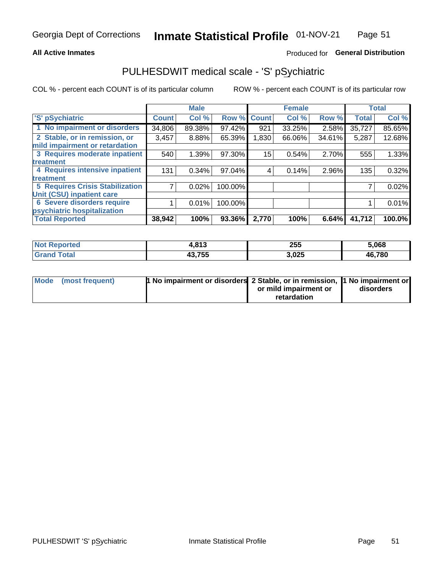#### **All Active Inmates**

### Produced for General Distribution

## PULHESDWIT medical scale - 'S' pSychiatric

COL % - percent each COUNT is of its particular column

|                                        |              | <b>Male</b> |         |              | <b>Female</b> |        |              | <b>Total</b> |
|----------------------------------------|--------------|-------------|---------|--------------|---------------|--------|--------------|--------------|
| 'S' pSychiatric                        | <b>Count</b> | Col %       | Row %   | <b>Count</b> | Col %         | Row %  | <b>Total</b> | Col %        |
| 1 No impairment or disorders           | 34,806       | 89.38%      | 97.42%  | 921          | 33.25%        | 2.58%  | 35,727       | 85.65%       |
| 2 Stable, or in remission, or          | 3,457        | 8.88%       | 65.39%  | 1,830        | 66.06%        | 34.61% | 5,287        | 12.68%       |
| mild impairment or retardation         |              |             |         |              |               |        |              |              |
| 3 Requires moderate inpatient          | 540          | 1.39%       | 97.30%  | 15           | 0.54%         | 2.70%  | 555          | 1.33%        |
| treatment                              |              |             |         |              |               |        |              |              |
| 4 Requires intensive inpatient         | 131          | 0.34%       | 97.04%  | 4            | 0.14%         | 2.96%  | 135          | 0.32%        |
| treatment                              |              |             |         |              |               |        |              |              |
| <b>5 Requires Crisis Stabilization</b> |              | 0.02%       | 100.00% |              |               |        |              | 0.02%        |
| Unit (CSU) inpatient care              |              |             |         |              |               |        |              |              |
| <b>6 Severe disorders require</b>      |              | 0.01%       | 100.00% |              |               |        |              | 0.01%        |
| psychiatric hospitalization            |              |             |         |              |               |        |              |              |
| <b>Total Reported</b>                  | 38,942       | 100%        | 93.36%  | 2,770        | 100%          | 6.64%  | 41,712       | 100.0%       |

| <b>Not Reported</b>   | 042<br>1,0 I J | 255   | 5,068  |
|-----------------------|----------------|-------|--------|
| <b>Total</b><br>. Grs | 43,755         | 3,025 | 46,780 |

| Mode | (most frequent) | <b>1 No impairment or disorders</b> 2 Stable, or in remission, 1 No impairment or |                       |           |
|------|-----------------|-----------------------------------------------------------------------------------|-----------------------|-----------|
|      |                 |                                                                                   | or mild impairment or | disorders |
|      |                 |                                                                                   | retardation           |           |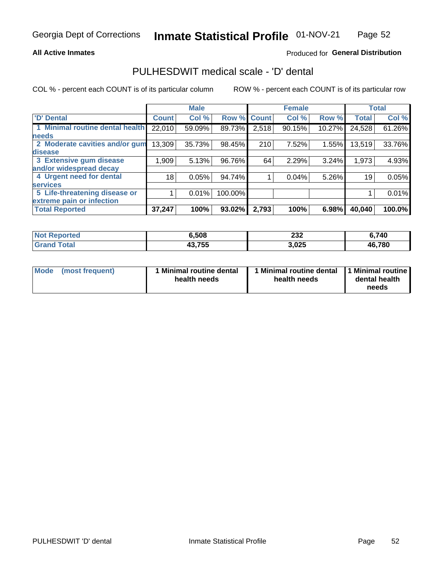#### **All Active Inmates**

### Produced for General Distribution

## PULHESDWIT medical scale - 'D' dental

COL % - percent each COUNT is of its particular column

|                                 |              | <b>Male</b> |         |              | <b>Female</b> |        |              | <b>Total</b> |
|---------------------------------|--------------|-------------|---------|--------------|---------------|--------|--------------|--------------|
| 'D' Dental                      | <b>Count</b> | Col %       | Row %   | <b>Count</b> | Col %         | Row %  | <b>Total</b> | Col %        |
| 1 Minimal routine dental health | 22,010       | 59.09%      | 89.73%  | 2,518        | 90.15%        | 10.27% | 24,528       | 61.26%       |
| <b>needs</b>                    |              |             |         |              |               |        |              |              |
| 2 Moderate cavities and/or gum  | 13,309       | 35.73%      | 98.45%  | 210          | 7.52%         | 1.55%  | 13,519       | 33.76%       |
| disease                         |              |             |         |              |               |        |              |              |
| 3 Extensive gum disease         | 1,909        | 5.13%       | 96.76%  | 64           | 2.29%         | 3.24%  | 1,973        | 4.93%        |
| and/or widespread decay         |              |             |         |              |               |        |              |              |
| 4 Urgent need for dental        | 18           | 0.05%       | 94.74%  |              | 0.04%         | 5.26%  | 19           | 0.05%        |
| <b>services</b>                 |              |             |         |              |               |        |              |              |
| 5 Life-threatening disease or   |              | 0.01%       | 100.00% |              |               |        |              | 0.01%        |
| extreme pain or infection       |              |             |         |              |               |        |              |              |
| <b>Total Reported</b>           | 37,247       | 100%        | 93.02%  | 2,793        | 100%          | 6.98%  | 40,040       | 100.0%       |

| <b>Not Reported</b> | 6,508  | nne<br>ZJZ | 6,740  |
|---------------------|--------|------------|--------|
| Total<br>' Grand    | 43,755 | 3,025      | 46,780 |

| 1 Minimal routine dental<br>Mode<br>(most frequent)<br>health needs | 1 Minimal routine dental 1 Minimal routine<br>health needs | dental health<br>needs |
|---------------------------------------------------------------------|------------------------------------------------------------|------------------------|
|---------------------------------------------------------------------|------------------------------------------------------------|------------------------|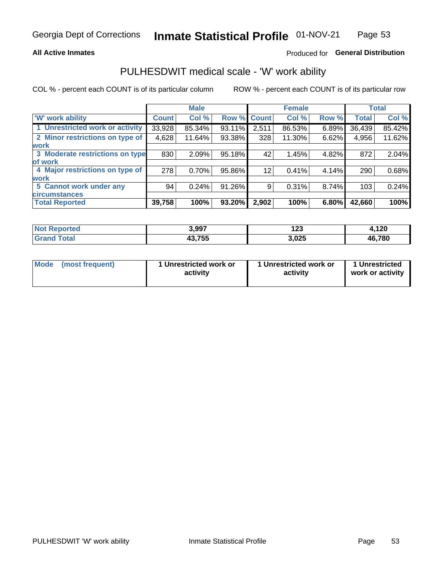### **All Active Inmates**

### Produced for General Distribution

## PULHESDWIT medical scale - 'W' work ability

COL % - percent each COUNT is of its particular column

|                                 |              | <b>Male</b> |        |             | <b>Female</b> |       |              | <b>Total</b> |
|---------------------------------|--------------|-------------|--------|-------------|---------------|-------|--------------|--------------|
| <b>W' work ability</b>          | <b>Count</b> | Col %       |        | Row % Count | Col %         | Row % | <b>Total</b> | Col %        |
| 1 Unrestricted work or activity | 33,928       | 85.34%      | 93.11% | 2,511       | 86.53%        | 6.89% | 36,439       | 85.42%       |
| 2 Minor restrictions on type of | 4,628        | 11.64%      | 93.38% | 328         | 11.30%        | 6.62% | 4,956        | 11.62%       |
| <b>work</b>                     |              |             |        |             |               |       |              |              |
| 3 Moderate restrictions on type | 830          | 2.09%       | 95.18% | 42          | 1.45%         | 4.82% | 872          | 2.04%        |
| lof work                        |              |             |        |             |               |       |              |              |
| 4 Major restrictions on type of | 278          | 0.70%       | 95.86% | 12          | 0.41%         | 4.14% | 290          | 0.68%        |
| <b>work</b>                     |              |             |        |             |               |       |              |              |
| 5 Cannot work under any         | 94           | 0.24%       | 91.26% | 9           | 0.31%         | 8.74% | 103          | 0.24%        |
| <b>circumstances</b>            |              |             |        |             |               |       |              |              |
| <b>Total Reported</b>           | 39,758       | 100%        | 93.20% | 2,902       | 100%          | 6.80% | 42,660       | 100%         |

| <b>Not Reported</b> | 3,997  | . מח<br>1 Z.J | .120،<br>" |
|---------------------|--------|---------------|------------|
| Total<br>' Grand    | 43,755 | 3,025         | 46,780     |

| <b>Mode</b>     | 1 Unrestricted work or | 1 Unrestricted work or | 1 Unrestricted   |
|-----------------|------------------------|------------------------|------------------|
| (most frequent) | activity               | activity               | work or activity |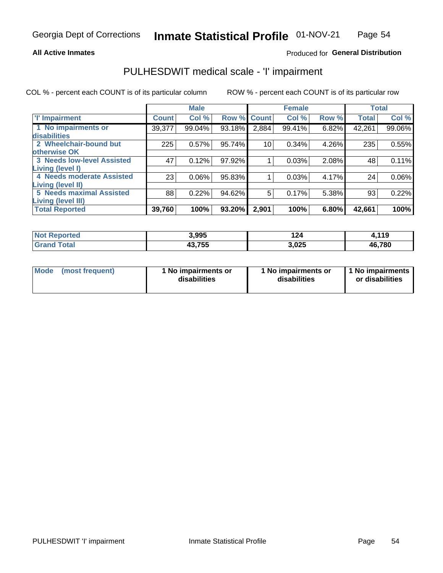#### **All Active Inmates**

### Produced for General Distribution

## PULHESDWIT medical scale - 'I' impairment

COL % - percent each COUNT is of its particular column

|                                                              |              | <b>Male</b> |        |                    | <b>Female</b> |       |              | <b>Total</b> |
|--------------------------------------------------------------|--------------|-------------|--------|--------------------|---------------|-------|--------------|--------------|
| <b>T' Impairment</b>                                         | <b>Count</b> | Col %       |        | <b>Row % Count</b> | Col %         | Row % | <b>Total</b> | Col %        |
| 1 No impairments or<br>disabilities                          | 39,377       | 99.04%      | 93.18% | 2,884              | 99.41%        | 6.82% | 42,261       | 99.06%       |
| 2 Wheelchair-bound but<br>otherwise OK                       | 225          | 0.57%       | 95.74% | 10                 | 0.34%         | 4.26% | 235          | 0.55%        |
| <b>3 Needs low-level Assisted</b><br>Living (level I)        | 47           | 0.12%       | 97.92% |                    | 0.03%         | 2.08% | 48           | 0.11%        |
| 4 Needs moderate Assisted<br><b>Living (level II)</b>        | 23           | 0.06%       | 95.83% |                    | 0.03%         | 4.17% | 24           | $0.06\%$     |
| <b>5 Needs maximal Assisted</b><br><b>Living (level III)</b> | 88           | 0.22%       | 94.62% | 5                  | 0.17%         | 5.38% | 93           | 0.22%        |
| <b>Total Reported</b>                                        | 39,760       | 100%        | 93.20% | 2,901              | 100%          | 6.80% | 42,661       | 100%         |

| <b>Not</b><br>Reported | 3,995  | 124   | 4,119  |
|------------------------|--------|-------|--------|
| ™otai                  | 43,755 | 3,025 | 46,780 |

| Mode | (most frequent) | 1 No impairments or<br>disabilities | 1 No impairments or<br>disabilities | 1 No impairments<br>or disabilities |
|------|-----------------|-------------------------------------|-------------------------------------|-------------------------------------|
|------|-----------------|-------------------------------------|-------------------------------------|-------------------------------------|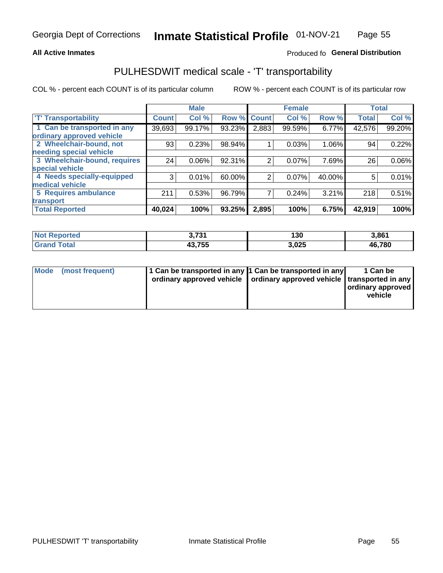### **All Active Inmates**

### Produced fo General Distribution

## PULHESDWIT medical scale - 'T' transportability

COL % - percent each COUNT is of its particular column

|                              |              | <b>Male</b> |        |                | <b>Female</b> |        | <b>Total</b> |        |
|------------------------------|--------------|-------------|--------|----------------|---------------|--------|--------------|--------|
| <b>T' Transportability</b>   | <b>Count</b> | Col %       | Row %  | <b>Count</b>   | Col %         | Row %  | <b>Total</b> | Col %  |
| 1 Can be transported in any  | 39,693       | 99.17%      | 93.23% | 2,883          | 99.59%        | 6.77%  | 42,576       | 99.20% |
| ordinary approved vehicle    |              |             |        |                |               |        |              |        |
| 2 Wheelchair-bound, not      | 93           | 0.23%       | 98.94% |                | 0.03%         | 1.06%  | 94           | 0.22%  |
| needing special vehicle      |              |             |        |                |               |        |              |        |
| 3 Wheelchair-bound, requires | 24           | 0.06%       | 92.31% | $\overline{2}$ | 0.07%         | 7.69%  | 26           | 0.06%  |
| special vehicle              |              |             |        |                |               |        |              |        |
| 4 Needs specially-equipped   | 3            | 0.01%       | 60.00% | 2              | 0.07%         | 40.00% | 5            | 0.01%  |
| medical vehicle              |              |             |        |                |               |        |              |        |
| 5 Requires ambulance         | 211          | 0.53%       | 96.79% | 7              | 0.24%         | 3.21%  | 218          | 0.51%  |
| transport                    |              |             |        |                |               |        |              |        |
| <b>Total Reported</b>        | 40,024       | 100%        | 93.25% | 2,895          | 100%          | 6.75%  | 42,919       | 100%   |

| <b>Not</b><br>Reported | つ フつイ<br>J.IJI | 130   | 3,861  |
|------------------------|----------------|-------|--------|
| <b>Fotal</b>           | 43,755         | 3,025 | 46,780 |

|  | Mode (most frequent) | 1 Can be transported in any 1 Can be transported in any<br>ordinary approved vehicle   ordinary approved vehicle   transported in any |  | 1 Can be<br>  ordinary approved  <br>vehicle |
|--|----------------------|---------------------------------------------------------------------------------------------------------------------------------------|--|----------------------------------------------|
|--|----------------------|---------------------------------------------------------------------------------------------------------------------------------------|--|----------------------------------------------|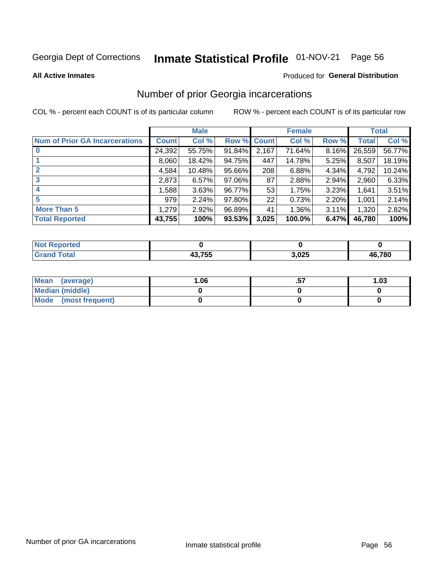#### Inmate Statistical Profile 01-NOV-21 Page 56

#### **All Active Inmates**

### **Produced for General Distribution**

### Number of prior Georgia incarcerations

COL % - percent each COUNT is of its particular column

|                                       |        | <b>Male</b> |             |       | <b>Female</b> |       |        | <b>Total</b> |
|---------------------------------------|--------|-------------|-------------|-------|---------------|-------|--------|--------------|
| <b>Num of Prior GA Incarcerations</b> | Count  | Col %       | Row % Count |       | Col %         | Row % | Total  | Col %        |
|                                       | 24,392 | 55.75%      | 91.84%      | 2,167 | 71.64%        | 8.16% | 26,559 | 56.77%       |
|                                       | 8,060  | 18.42%      | 94.75%      | 447   | 14.78%        | 5.25% | 8,507  | 18.19%       |
| $\overline{2}$                        | 4,584  | 10.48%      | 95.66%      | 208   | 6.88%         | 4.34% | 4,792  | 10.24%       |
| 3                                     | 2,873  | 6.57%       | $97.06\%$   | 87    | 2.88%         | 2.94% | 2,960  | 6.33%        |
| $\boldsymbol{4}$                      | 1,588  | 3.63%       | 96.77%      | 53    | 1.75%         | 3.23% | 1,641  | 3.51%        |
| 5                                     | 979    | 2.24%       | 97.80%      | 22    | 0.73%         | 2.20% | 1,001  | 2.14%        |
| <b>More Than 5</b>                    | 1,279  | 2.92%       | 96.89%      | 41    | 1.36%         | 3.11% | 1,320  | 2.82%        |
| <b>Total Reported</b>                 | 43,755 | 100%        | $93.53\%$   | 3,025 | 100.0%        | 6.47% | 46,780 | 100%         |

| orted<br>NO.      |        |       |        |
|-------------------|--------|-------|--------|
| <b>otal</b><br>Gr | 12.755 | 3,025 | 46,780 |

| Mean (average)       | 06.، | 1.03 |
|----------------------|------|------|
| Median (middle)      |      |      |
| Mode (most frequent) |      |      |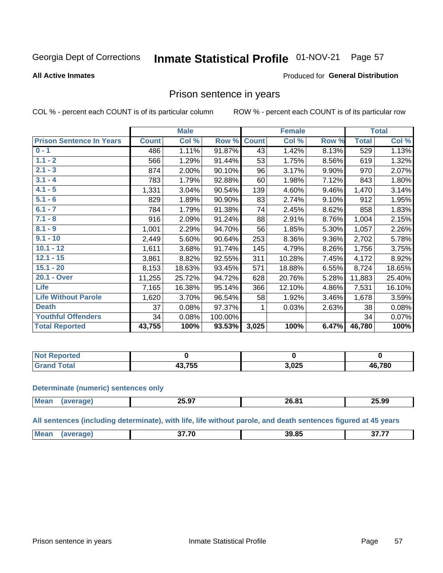#### Inmate Statistical Profile 01-NOV-21 Page 57

#### **All Active Inmates**

### **Produced for General Distribution**

### Prison sentence in years

COL % - percent each COUNT is of its particular column

ROW % - percent each COUNT is of its particular row

|                                 |              | <b>Male</b> |         |              | <b>Female</b> |       |              | <b>Total</b> |
|---------------------------------|--------------|-------------|---------|--------------|---------------|-------|--------------|--------------|
| <b>Prison Sentence In Years</b> | <b>Count</b> | Col %       | Row %   | <b>Count</b> | Col %         | Row % | <b>Total</b> | Col %        |
| $0 - 1$                         | 486          | 1.11%       | 91.87%  | 43           | 1.42%         | 8.13% | 529          | 1.13%        |
| $1.1 - 2$                       | 566          | 1.29%       | 91.44%  | 53           | 1.75%         | 8.56% | 619          | 1.32%        |
| $2.1 - 3$                       | 874          | 2.00%       | 90.10%  | 96           | 3.17%         | 9.90% | 970          | 2.07%        |
| $3.1 - 4$                       | 783          | 1.79%       | 92.88%  | 60           | 1.98%         | 7.12% | 843          | 1.80%        |
| $4.1 - 5$                       | 1,331        | 3.04%       | 90.54%  | 139          | 4.60%         | 9.46% | 1,470        | 3.14%        |
| $5.1 - 6$                       | 829          | 1.89%       | 90.90%  | 83           | 2.74%         | 9.10% | 912          | 1.95%        |
| $6.1 - 7$                       | 784          | 1.79%       | 91.38%  | 74           | 2.45%         | 8.62% | 858          | 1.83%        |
| $7.1 - 8$                       | 916          | 2.09%       | 91.24%  | 88           | 2.91%         | 8.76% | 1,004        | 2.15%        |
| $8.1 - 9$                       | 1,001        | 2.29%       | 94.70%  | 56           | 1.85%         | 5.30% | 1,057        | 2.26%        |
| $9.1 - 10$                      | 2,449        | 5.60%       | 90.64%  | 253          | 8.36%         | 9.36% | 2,702        | 5.78%        |
| $10.1 - 12$                     | 1,611        | 3.68%       | 91.74%  | 145          | 4.79%         | 8.26% | 1,756        | 3.75%        |
| $12.1 - 15$                     | 3,861        | 8.82%       | 92.55%  | 311          | 10.28%        | 7.45% | 4,172        | 8.92%        |
| $15.1 - 20$                     | 8,153        | 18.63%      | 93.45%  | 571          | 18.88%        | 6.55% | 8,724        | 18.65%       |
| 20.1 - Over                     | 11,255       | 25.72%      | 94.72%  | 628          | 20.76%        | 5.28% | 11,883       | 25.40%       |
| <b>Life</b>                     | 7,165        | 16.38%      | 95.14%  | 366          | 12.10%        | 4.86% | 7,531        | 16.10%       |
| <b>Life Without Parole</b>      | 1,620        | 3.70%       | 96.54%  | 58           | 1.92%         | 3.46% | 1,678        | 3.59%        |
| <b>Death</b>                    | 37           | 0.08%       | 97.37%  |              | 0.03%         | 2.63% | 38           | 0.08%        |
| <b>Youthful Offenders</b>       | 34           | 0.08%       | 100.00% |              |               |       | 34           | 0.07%        |
| <b>Total Reported</b>           | 43,755       | 100%        | 93.53%  | 3,025        | 100%          | 6.47% | 46,780       | 100%         |

| Reported<br>I NOT |                               |     |        |
|-------------------|-------------------------------|-----|--------|
|                   | $\sim$ - $\sim$<br>バヘル<br>∪ ש | በ25 | 46,780 |

#### **Determinate (numeric) sentences only**

| <b>Mean</b> | 25.YI | ne na<br>- v.v | 25.99 |
|-------------|-------|----------------|-------|
|             |       |                |       |

All sentences (including determinate), with life, life without parole, and death sentences figured at 45 years

| 39 R5<br>$\sim$ $\sim$ $\sim$<br>27.70<br>Me |  |  |  |
|----------------------------------------------|--|--|--|
|                                              |  |  |  |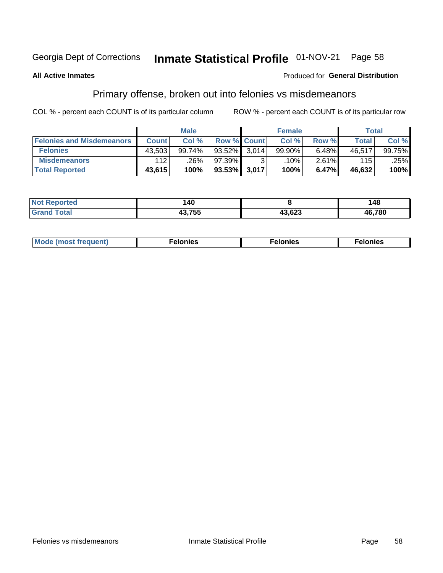#### Inmate Statistical Profile 01-NOV-21 Page 58

#### **All Active Inmates**

#### Produced for General Distribution

## Primary offense, broken out into felonies vs misdemeanors

COL % - percent each COUNT is of its particular column

|                                  | <b>Male</b>  |        |                    |       | <b>Female</b> | Total |        |        |
|----------------------------------|--------------|--------|--------------------|-------|---------------|-------|--------|--------|
| <b>Felonies and Misdemeanors</b> | <b>Count</b> | Col%   | <b>Row % Count</b> |       | Col%          | Row % | Total  | Col%   |
| <b>Felonies</b>                  | 43,503       | 99.74% | $93.52\%$          | 3.014 | 99.90%        | 6.48% | 46,517 | 99.75% |
| <b>Misdemeanors</b>              | 112          | .26%   | 97.39%1            |       | .10%          | 2.61% | 115    | .25%   |
| <b>Total Reported</b>            | 43,615       | 100%   | 93.53% 3.017       |       | 100%          | 6.47% | 46,632 | 100%   |

| <b>Not</b><br>rted<br>en | 140         |        | 48     |
|--------------------------|-------------|--------|--------|
| Grar<br>⊺otaı            | 10.755<br>. | 43,623 | 46,780 |

| Mo | ____ | 11 C.S<br>. | onies<br>. |
|----|------|-------------|------------|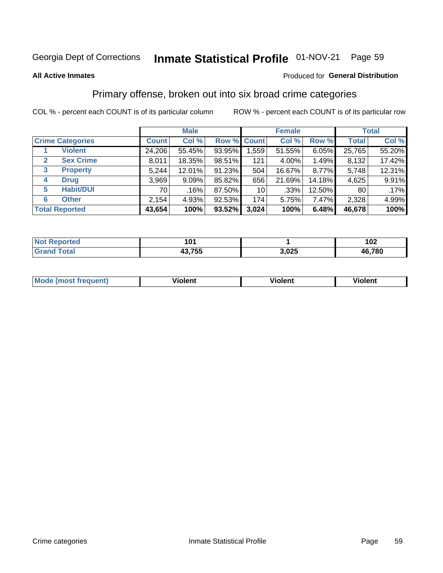#### Inmate Statistical Profile 01-NOV-21 Page 59

#### **All Active Inmates**

#### Produced for General Distribution

### Primary offense, broken out into six broad crime categories

COL % - percent each COUNT is of its particular column

|                         |                  | <b>Male</b>  |        |        |                 | <b>Female</b> | <b>Total</b> |                 |        |
|-------------------------|------------------|--------------|--------|--------|-----------------|---------------|--------------|-----------------|--------|
| <b>Crime Categories</b> |                  | <b>Count</b> | Col %  |        | Row % Count     | Col %         | Row %        | <b>Total</b>    | Col %  |
|                         | <b>Violent</b>   | 24,206       | 55.45% | 93.95% | 1,559           | 51.55%        | 6.05%        | 25,765          | 55.20% |
| $\mathbf{2}$            | <b>Sex Crime</b> | 8.011        | 18.35% | 98.51% | 121             | 4.00%         | $1.49\%$     | 8,132           | 17.42% |
| 3                       | <b>Property</b>  | 5,244        | 12.01% | 91.23% | 504             | 16.67%        | 8.77%        | 5,748           | 12.31% |
| 4                       | <b>Drug</b>      | 3,969        | 9.09%  | 85.82% | 656             | 21.69%        | 14.18%       | 4,625           | 9.91%  |
| 5                       | <b>Habit/DUI</b> | 70 l         | .16%   | 87.50% | 10 <sup>1</sup> | $.33\%$       | 12.50%       | 80 <sub>1</sub> | .17%   |
| 6                       | <b>Other</b>     | 2,154        | 4.93%  | 92.53% | 174             | 5.75%         | 7.47%        | 2,328           | 4.99%  |
| <b>Total Reported</b>   |                  | 43,654       | 100%   | 93.52% | 3,024           | 100%          | 6.48%        | 46,678          | 100%   |

| enorted<br>NC | ın.                         |              | 102    |
|---------------|-----------------------------|--------------|--------|
| <b>otal</b>   | ラミミ<br>הו<br>. .<br>טט ווטו | ハクド<br>J.UZJ | 46,780 |

| Mode<br>freauent)<br>anst tr | .<br>/iolent | <br>Violent | .<br><b>Tiolent</b> |
|------------------------------|--------------|-------------|---------------------|
|                              |              |             |                     |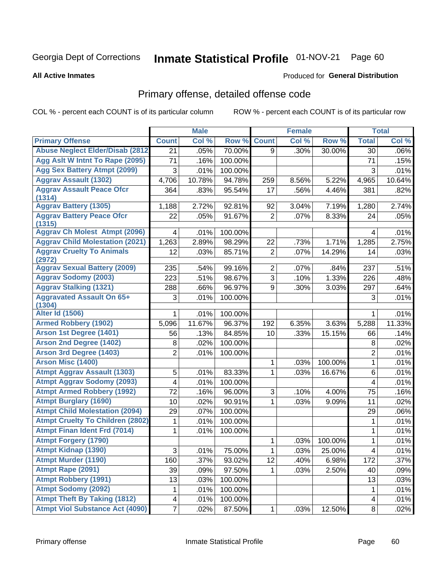#### Inmate Statistical Profile 01-NOV-21 Page 60

#### **All Active Inmates**

### **Produced for General Distribution**

### Primary offense, detailed offense code

COL % - percent each COUNT is of its particular column

|                                            |                | <b>Male</b> |         |                | <b>Female</b> |         |                         | <b>Total</b> |
|--------------------------------------------|----------------|-------------|---------|----------------|---------------|---------|-------------------------|--------------|
| <b>Primary Offense</b>                     | <b>Count</b>   | Col %       | Row %   | <b>Count</b>   | Col %         | Row %   | <b>Total</b>            | Col %        |
| <b>Abuse Neglect Elder/Disab (2812)</b>    | 21             | .05%        | 70.00%  | 9              | .30%          | 30.00%  | 30                      | $.06\%$      |
| Agg Aslt W Intnt To Rape (2095)            | 71             | .16%        | 100.00% |                |               |         | 71                      | .15%         |
| <b>Agg Sex Battery Atmpt (2099)</b>        | 3              | .01%        | 100.00% |                |               |         | 3                       | .01%         |
| <b>Aggrav Assault (1302)</b>               | 4,706          | 10.78%      | 94.78%  | 259            | 8.56%         | 5.22%   | 4,965                   | 10.64%       |
| <b>Aggrav Assault Peace Ofcr</b>           | 364            | .83%        | 95.54%  | 17             | .56%          | 4.46%   | 381                     | .82%         |
| (1314)                                     |                |             |         |                |               |         |                         |              |
| <b>Aggrav Battery (1305)</b>               | 1,188          | 2.72%       | 92.81%  | 92             | 3.04%         | 7.19%   | 1,280                   | 2.74%        |
| <b>Aggrav Battery Peace Ofcr</b><br>(1315) | 22             | .05%        | 91.67%  | $\overline{2}$ | .07%          | 8.33%   | 24                      | .05%         |
| <b>Aggrav Ch Molest Atmpt (2096)</b>       | 4              | .01%        | 100.00% |                |               |         | 4                       | .01%         |
| <b>Aggrav Child Molestation (2021)</b>     | 1,263          | 2.89%       | 98.29%  | 22             | .73%          | 1.71%   | 1,285                   | 2.75%        |
| <b>Aggrav Cruelty To Animals</b><br>(2972) | 12             | .03%        | 85.71%  | $\overline{2}$ | .07%          | 14.29%  | 14                      | .03%         |
| <b>Aggrav Sexual Battery (2009)</b>        | 235            | .54%        | 99.16%  | $\overline{2}$ | .07%          | .84%    | 237                     | .51%         |
| <b>Aggrav Sodomy (2003)</b>                | 223            | .51%        | 98.67%  | $\overline{3}$ | .10%          | 1.33%   | 226                     | .48%         |
| <b>Aggrav Stalking (1321)</b>              | 288            | .66%        | 96.97%  | 9              | .30%          | 3.03%   | 297                     | .64%         |
| <b>Aggravated Assault On 65+</b>           | 3              | .01%        | 100.00% |                |               |         | 3                       | .01%         |
| (1304)                                     |                |             |         |                |               |         |                         |              |
| <b>Alter Id (1506)</b>                     |                | .01%        | 100.00% |                |               |         | 1                       | .01%         |
| <b>Armed Robbery (1902)</b>                | 5,096          | 11.67%      | 96.37%  | 192            | 6.35%         | 3.63%   | 5,288                   | 11.33%       |
| Arson 1st Degree (1401)                    | 56             | .13%        | 84.85%  | 10             | .33%          | 15.15%  | 66                      | .14%         |
| <b>Arson 2nd Degree (1402)</b>             | 8              | .02%        | 100.00% |                |               |         | 8                       | .02%         |
| <b>Arson 3rd Degree (1403)</b>             | $\overline{2}$ | .01%        | 100.00% |                |               |         | $\overline{c}$          | .01%         |
| <b>Arson Misc (1400)</b>                   |                |             |         | 1              | .03%          | 100.00% | $\mathbf{1}$            | .01%         |
| <b>Atmpt Aggrav Assault (1303)</b>         | 5              | .01%        | 83.33%  | 1              | .03%          | 16.67%  | 6                       | .01%         |
| <b>Atmpt Aggrav Sodomy (2093)</b>          | 4              | .01%        | 100.00% |                |               |         | 4                       | .01%         |
| <b>Atmpt Armed Robbery (1992)</b>          | 72             | .16%        | 96.00%  | 3              | .10%          | 4.00%   | 75                      | .16%         |
| <b>Atmpt Burglary (1690)</b>               | 10             | .02%        | 90.91%  | 1              | .03%          | 9.09%   | 11                      | .02%         |
| <b>Atmpt Child Molestation (2094)</b>      | 29             | .07%        | 100.00% |                |               |         | 29                      | .06%         |
| <b>Atmpt Cruelty To Children (2802)</b>    | 1              | .01%        | 100.00% |                |               |         | 1                       | .01%         |
| <b>Atmpt Finan Ident Frd (7014)</b>        | 1              | .01%        | 100.00% |                |               |         | 1                       | .01%         |
| <b>Atmpt Forgery (1790)</b>                |                |             |         | 1              | .03%          | 100.00% | 1                       | .01%         |
| <b>Atmpt Kidnap (1390)</b>                 | $\mathbf{3}$   | .01%        | 75.00%  | $\mathbf 1$    | .03%          | 25.00%  | $\overline{\mathbf{4}}$ | .01%         |
| <b>Atmpt Murder (1190)</b>                 | 160            | .37%        | 93.02%  | 12             | .40%          | 6.98%   | 172                     | .37%         |
| Atmpt Rape (2091)                          | 39             | .09%        | 97.50%  | 1.             | .03%          | 2.50%   | 40                      | .09%         |
| <b>Atmpt Robbery (1991)</b>                | 13             | .03%        | 100.00% |                |               |         | 13                      | .03%         |
| <b>Atmpt Sodomy (2092)</b>                 | 1              | .01%        | 100.00% |                |               |         | 1                       | .01%         |
| <b>Atmpt Theft By Taking (1812)</b>        | 4              | .01%        | 100.00% |                |               |         | 4                       | .01%         |
| <b>Atmpt Viol Substance Act (4090)</b>     | $\overline{7}$ | .02%        | 87.50%  | $\mathbf{1}$   | .03%          | 12.50%  | $\bf 8$                 | .02%         |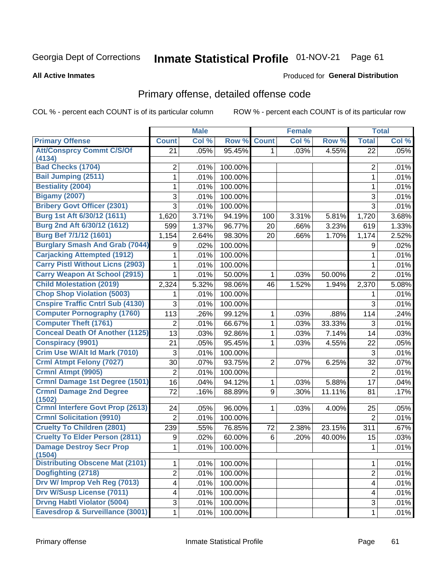#### Inmate Statistical Profile 01-NOV-21 Page 61

#### **All Active Inmates**

### Produced for General Distribution

## Primary offense, detailed offense code

COL % - percent each COUNT is of its particular column

|                                           |                | <b>Male</b> |         |                | <b>Female</b> |        |                         | <b>Total</b> |
|-------------------------------------------|----------------|-------------|---------|----------------|---------------|--------|-------------------------|--------------|
| <b>Primary Offense</b>                    | <b>Count</b>   | Col %       | Row %   | <b>Count</b>   | Col %         | Row %  | <b>Total</b>            | Col %        |
| <b>Att/Consprcy Commt C/S/Of</b>          | 21             | .05%        | 95.45%  | 1.             | .03%          | 4.55%  | 22                      | .05%         |
| (4134)<br><b>Bad Checks (1704)</b>        | 2              | .01%        | 100.00% |                |               |        | $\overline{2}$          | .01%         |
| <b>Bail Jumping (2511)</b>                | 1              | .01%        | 100.00% |                |               |        | 1                       | .01%         |
| <b>Bestiality (2004)</b>                  | 1              | .01%        | 100.00% |                |               |        | 1                       | .01%         |
| <b>Bigamy (2007)</b>                      | 3              | .01%        | 100.00% |                |               |        | 3                       | .01%         |
| <b>Bribery Govt Officer (2301)</b>        | 3              | .01%        | 100.00% |                |               |        | $\overline{3}$          | .01%         |
| Burg 1st Aft 6/30/12 (1611)               | 1,620          | 3.71%       | 94.19%  | 100            | 3.31%         | 5.81%  | 1,720                   | 3.68%        |
| Burg 2nd Aft 6/30/12 (1612)               | 599            | 1.37%       | 96.77%  | 20             | .66%          | 3.23%  | 619                     | 1.33%        |
| <b>Burg Bef 7/1/12 (1601)</b>             | 1,154          | 2.64%       | 98.30%  | 20             | .66%          | 1.70%  | 1,174                   | 2.52%        |
| <b>Burglary Smash And Grab (7044)</b>     | 9              | .02%        | 100.00% |                |               |        | 9                       | .02%         |
| <b>Carjacking Attempted (1912)</b>        | 1              | .01%        | 100.00% |                |               |        | 1                       | .01%         |
| <b>Carry Pistl Without Licns (2903)</b>   | 1              | .01%        | 100.00% |                |               |        | 1                       | .01%         |
| <b>Carry Weapon At School (2915)</b>      | 1              | .01%        | 50.00%  | 1              | .03%          | 50.00% | $\overline{2}$          | .01%         |
| <b>Child Molestation (2019)</b>           | 2,324          | 5.32%       | 98.06%  | 46             | 1.52%         | 1.94%  | 2,370                   | 5.08%        |
| <b>Chop Shop Violation (5003)</b>         | 1              | .01%        | 100.00% |                |               |        | 1                       | .01%         |
| <b>Cnspire Traffic Cntrl Sub (4130)</b>   | 3              | .01%        | 100.00% |                |               |        | 3                       | .01%         |
| <b>Computer Pornography (1760)</b>        | 113            | .26%        | 99.12%  | 1              | .03%          | .88%   | 114                     | .24%         |
| <b>Computer Theft (1761)</b>              | 2              | .01%        | 66.67%  | 1              | .03%          | 33.33% | 3                       | .01%         |
| <b>Conceal Death Of Another (1125)</b>    | 13             | .03%        | 92.86%  | 1              | .03%          | 7.14%  | 14                      | .03%         |
| <b>Conspiracy (9901)</b>                  | 21             | .05%        | 95.45%  | 1              | .03%          | 4.55%  | 22                      | .05%         |
| Crim Use W/Alt Id Mark (7010)             | 3              | .01%        | 100.00% |                |               |        | 3                       | .01%         |
| <b>Crml Atmpt Felony (7027)</b>           | 30             | .07%        | 93.75%  | $\overline{2}$ | .07%          | 6.25%  | 32                      | .07%         |
| Crmnl Atmpt (9905)                        | $\overline{2}$ | .01%        | 100.00% |                |               |        | $\overline{2}$          | .01%         |
| <b>Crmnl Damage 1st Degree (1501)</b>     | 16             | .04%        | 94.12%  | 1              | .03%          | 5.88%  | 17                      | .04%         |
| <b>Crmnl Damage 2nd Degree</b>            | 72             | .16%        | 88.89%  | 9              | .30%          | 11.11% | 81                      | .17%         |
| (1502)                                    |                |             |         |                |               |        |                         |              |
| <b>Crmnl Interfere Govt Prop (2613)</b>   | 24             | .05%        | 96.00%  | 1              | .03%          | 4.00%  | 25                      | .05%         |
| <b>Crmnl Solicitation (9910)</b>          | $\overline{2}$ | .01%        | 100.00% |                |               |        | $\overline{2}$          | .01%         |
| <b>Cruelty To Children (2801)</b>         | 239            | .55%        | 76.85%  | 72             | 2.38%         | 23.15% | 311                     | .67%         |
| <b>Cruelty To Elder Person (2811)</b>     | 9              | .02%        | 60.00%  | 6              | .20%          | 40.00% | 15                      | .03%         |
| <b>Damage Destroy Secr Prop</b><br>(1504) | 1              | .01%        | 100.00% |                |               |        | 1                       | .01%         |
| <b>Distributing Obscene Mat (2101)</b>    | 1              | .01%        | 100.00% |                |               |        | 1                       | .01%         |
| Dogfighting (2718)                        | $\overline{c}$ | .01%        | 100.00% |                |               |        | $\overline{2}$          | .01%         |
| Drv W/ Improp Veh Reg (7013)              | 4              | .01%        | 100.00% |                |               |        | $\overline{\mathbf{4}}$ | .01%         |
| <b>Drv W/Susp License (7011)</b>          | 4              | .01%        | 100.00% |                |               |        | 4                       | .01%         |
| <b>Drvng Habtl Violator (5004)</b>        | 3              | .01%        | 100.00% |                |               |        | $\mathfrak{S}$          | .01%         |
| Eavesdrop & Surveillance (3001)           | 1              | .01%        | 100.00% |                |               |        | 1                       | .01%         |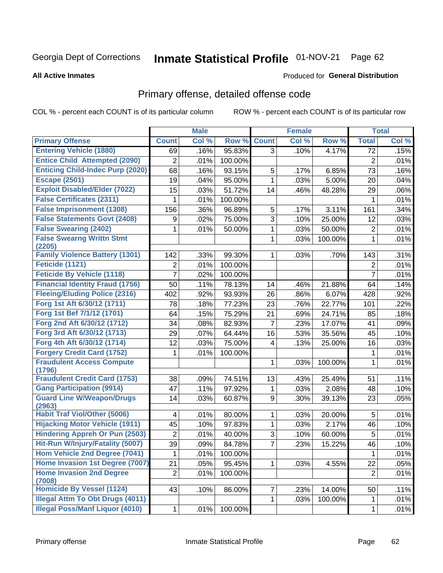# Inmate Statistical Profile 01-NOV-21 Page 62

**Produced for General Distribution** 

#### **All Active Inmates**

## Primary offense, detailed offense code

COL % - percent each COUNT is of its particular column

|                                            |                  | <b>Male</b> |         |              | <b>Female</b> |         |                | <b>Total</b> |
|--------------------------------------------|------------------|-------------|---------|--------------|---------------|---------|----------------|--------------|
| <b>Primary Offense</b>                     | <b>Count</b>     | Col %       | Row %   | <b>Count</b> | Col%          | Row %   | <b>Total</b>   | Col %        |
| <b>Entering Vehicle (1880)</b>             | 69               | .16%        | 95.83%  | 3            | .10%          | 4.17%   | 72             | .15%         |
| <b>Entice Child Attempted (2090)</b>       | $\overline{c}$   | .01%        | 100.00% |              |               |         | $\mathbf 2$    | .01%         |
| <b>Enticing Child-Indec Purp (2020)</b>    | 68               | .16%        | 93.15%  | 5            | .17%          | 6.85%   | 73             | .16%         |
| <b>Escape (2501)</b>                       | 19               | .04%        | 95.00%  | $\mathbf{1}$ | .03%          | 5.00%   | 20             | .04%         |
| <b>Exploit Disabled/Elder (7022)</b>       | 15               | .03%        | 51.72%  | 14           | .46%          | 48.28%  | 29             | .06%         |
| <b>False Certificates (2311)</b>           | 1                | .01%        | 100.00% |              |               |         | 1              | .01%         |
| <b>False Imprisonment (1308)</b>           | 156              | .36%        | 96.89%  | 5            | .17%          | 3.11%   | 161            | .34%         |
| <b>False Statements Govt (2408)</b>        | $\boldsymbol{9}$ | .02%        | 75.00%  | 3            | .10%          | 25.00%  | 12             | .03%         |
| <b>False Swearing (2402)</b>               | 1                | .01%        | 50.00%  | 1            | .03%          | 50.00%  | 2              | .01%         |
| <b>False Swearng Writtn Stmt</b>           |                  |             |         | 1            | .03%          | 100.00% | $\mathbf{1}$   | .01%         |
| (2205)                                     |                  |             |         |              |               |         |                |              |
| <b>Family Violence Battery (1301)</b>      | 142              | .33%        | 99.30%  | 1            | .03%          | .70%    | 143            | .31%         |
| Feticide (1121)                            | 2                | .01%        | 100.00% |              |               |         | 2              | .01%         |
| <b>Feticide By Vehicle (1118)</b>          | $\overline{7}$   | .02%        | 100.00% |              |               |         | $\overline{7}$ | .01%         |
| <b>Financial Identity Fraud (1756)</b>     | 50               | .11%        | 78.13%  | 14           | .46%          | 21.88%  | 64             | .14%         |
| <b>Fleeing/Eluding Police (2316)</b>       | 402              | .92%        | 93.93%  | 26           | .86%          | 6.07%   | 428            | .92%         |
| Forg 1st Aft 6/30/12 (1711)                | 78               | .18%        | 77.23%  | 23           | .76%          | 22.77%  | 101            | .22%         |
| Forg 1st Bef 7/1/12 (1701)                 | 64               | .15%        | 75.29%  | 21           | .69%          | 24.71%  | 85             | .18%         |
| Forg 2nd Aft 6/30/12 (1712)                | 34               | .08%        | 82.93%  | 7            | .23%          | 17.07%  | 41             | .09%         |
| Forg 3rd Aft 6/30/12 (1713)                | 29               | .07%        | 64.44%  | 16           | .53%          | 35.56%  | 45             | .10%         |
| Forg 4th Aft 6/30/12 (1714)                | 12               | .03%        | 75.00%  | 4            | .13%          | 25.00%  | 16             | .03%         |
| <b>Forgery Credit Card (1752)</b>          | 1                | .01%        | 100.00% |              |               |         | 1              | .01%         |
| <b>Fraudulent Access Compute</b><br>(1796) |                  |             |         | 1            | .03%          | 100.00% | $\mathbf{1}$   | .01%         |
| <b>Fraudulent Credit Card (1753)</b>       | 38               | .09%        | 74.51%  | 13           | .43%          | 25.49%  | 51             | .11%         |
| <b>Gang Participation (9914)</b>           | 47               | .11%        | 97.92%  | 1            | .03%          | 2.08%   | 48             | .10%         |
| <b>Guard Line W/Weapon/Drugs</b><br>(2963) | 14               | .03%        | 60.87%  | 9            | .30%          | 39.13%  | 23             | .05%         |
| <b>Habit Traf Viol/Other (5006)</b>        | 4                | .01%        | 80.00%  | 1            | .03%          | 20.00%  | 5              | .01%         |
| <b>Hijacking Motor Vehicle (1911)</b>      | 45               | .10%        | 97.83%  | $\mathbf{1}$ | .03%          | 2.17%   | 46             | .10%         |
| <b>Hindering Appreh Or Pun (2503)</b>      | $\overline{2}$   | .01%        | 40.00%  | 3            | .10%          | 60.00%  | 5              | .01%         |
| Hit-Run W/Injury/Fatality (5007)           | 39               | .09%        | 84.78%  | 7            | .23%          | 15.22%  | 46             | .10%         |
| Hom Vehicle 2nd Degree (7041)              | 1                | .01%        | 100.00% |              |               |         | 1              | .01%         |
| Home Invasion 1st Degree (7007)            | 21               | .05%        | 95.45%  | 1            | .03%          | 4.55%   | 22             | .05%         |
| <b>Home Invasion 2nd Degree</b><br>(7008)  | $\overline{2}$   | .01%        | 100.00% |              |               |         | $\overline{2}$ | .01%         |
| Homicide By Vessel (1124)                  | 43               | .10%        | 86.00%  | 7            | .23%          | 14.00%  | 50             | .11%         |
| <b>Illegal Attm To Obt Drugs (4011)</b>    |                  |             |         | 1            | .03%          | 100.00% | $\mathbf{1}$   | .01%         |
| <b>Illegal Poss/Manf Liquor (4010)</b>     | $\mathbf 1$      | .01%        | 100.00% |              |               |         | $\mathbf{1}$   | .01%         |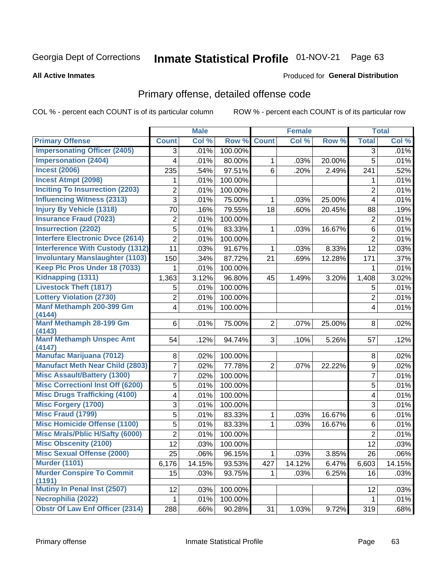#### Inmate Statistical Profile 01-NOV-21 Page 63

#### **All Active Inmates**

### **Produced for General Distribution**

### Primary offense, detailed offense code

COL % - percent each COUNT is of its particular column

|                                            |                | <b>Male</b> |         |                | <b>Female</b> |        |                | <b>Total</b> |
|--------------------------------------------|----------------|-------------|---------|----------------|---------------|--------|----------------|--------------|
| <b>Primary Offense</b>                     | <b>Count</b>   | Col %       | Row %   | <b>Count</b>   | Col %         | Row %  | <b>Total</b>   | Col %        |
| <b>Impersonating Officer (2405)</b>        | 3              | .01%        | 100.00% |                |               |        | 3              | .01%         |
| <b>Impersonation (2404)</b>                | 4              | .01%        | 80.00%  | 1              | .03%          | 20.00% | 5              | .01%         |
| <b>Incest (2006)</b>                       | 235            | .54%        | 97.51%  | 6              | .20%          | 2.49%  | 241            | .52%         |
| <b>Incest Atmpt (2098)</b>                 | 1              | .01%        | 100.00% |                |               |        | 1              | .01%         |
| <b>Inciting To Insurrection (2203)</b>     | 2              | .01%        | 100.00% |                |               |        | $\overline{2}$ | .01%         |
| <b>Influencing Witness (2313)</b>          | 3              | .01%        | 75.00%  | $\mathbf{1}$   | .03%          | 25.00% | 4              | .01%         |
| <b>Injury By Vehicle (1318)</b>            | 70             | .16%        | 79.55%  | 18             | .60%          | 20.45% | 88             | .19%         |
| <b>Insurance Fraud (7023)</b>              | $\overline{2}$ | .01%        | 100.00% |                |               |        | $\overline{2}$ | .01%         |
| <b>Insurrection (2202)</b>                 | 5              | .01%        | 83.33%  | 1              | .03%          | 16.67% | 6              | .01%         |
| <b>Interfere Electronic Dvce (2614)</b>    | $\overline{2}$ | .01%        | 100.00% |                |               |        | $\overline{2}$ | .01%         |
| <b>Interference With Custody (1312)</b>    | 11             | .03%        | 91.67%  | 1              | .03%          | 8.33%  | 12             | .03%         |
| <b>Involuntary Manslaughter (1103)</b>     | 150            | .34%        | 87.72%  | 21             | .69%          | 12.28% | 171            | .37%         |
| Keep Plc Pros Under 18 (7033)              | 1              | .01%        | 100.00% |                |               |        | 1              | .01%         |
| Kidnapping (1311)                          | 1,363          | 3.12%       | 96.80%  | 45             | 1.49%         | 3.20%  | 1,408          | 3.02%        |
| <b>Livestock Theft (1817)</b>              | 5              | .01%        | 100.00% |                |               |        | 5              | .01%         |
| <b>Lottery Violation (2730)</b>            | $\overline{2}$ | .01%        | 100.00% |                |               |        | $\overline{2}$ | .01%         |
| Manf Methamph 200-399 Gm<br>(4144)         | 4              | .01%        | 100.00% |                |               |        | 4              | .01%         |
| Manf Methamph 28-199 Gm<br>(4143)          | 6              | .01%        | 75.00%  | 2 <sup>1</sup> | .07%          | 25.00% | 8              | .02%         |
| <b>Manf Methamph Unspec Amt</b><br>(4147)  | 54             | .12%        | 94.74%  | 3 <sup>1</sup> | .10%          | 5.26%  | 57             | .12%         |
| <b>Manufac Marijuana (7012)</b>            | 8              | .02%        | 100.00% |                |               |        | 8              | .02%         |
| <b>Manufact Meth Near Child (2803)</b>     | 7              | .02%        | 77.78%  | $\overline{2}$ | .07%          | 22.22% | $\mathsf g$    | .02%         |
| <b>Misc Assault/Battery (1300)</b>         | 7              | .02%        | 100.00% |                |               |        | 7              | .01%         |
| <b>Misc Correctionl Inst Off (6200)</b>    | 5              | .01%        | 100.00% |                |               |        | 5              | .01%         |
| <b>Misc Drugs Trafficking (4100)</b>       | 4              | .01%        | 100.00% |                |               |        | 4              | .01%         |
| <b>Misc Forgery (1700)</b>                 | 3              | .01%        | 100.00% |                |               |        | $\sqrt{3}$     | .01%         |
| <b>Misc Fraud (1799)</b>                   | 5              | .01%        | 83.33%  | 1              | .03%          | 16.67% | 6              | .01%         |
| <b>Misc Homicide Offense (1100)</b>        | 5              | .01%        | 83.33%  | $\mathbf 1$    | .03%          | 16.67% | 6              | .01%         |
| <b>Misc Mrals/Pblic H/Safty (6000)</b>     | $\overline{2}$ | .01%        | 100.00% |                |               |        | $\overline{2}$ | .01%         |
| <b>Misc Obscenity (2100)</b>               | 12             | .03%        | 100.00% |                |               |        | 12             | .03%         |
| <b>Misc Sexual Offense (2000)</b>          | 25             | .06%        | 96.15%  | 1              | .03%          | 3.85%  | 26             | .06%         |
| <b>Murder (1101)</b>                       | 6,176          | 14.15%      | 93.53%  | 427            | 14.12%        | 6.47%  | 6,603          | 14.15%       |
| <b>Murder Conspire To Commit</b><br>(1191) | 15             | .03%        | 93.75%  | 1              | .03%          | 6.25%  | 16             | .03%         |
| Mutiny In Penal Inst (2507)                | 12             | .03%        | 100.00% |                |               |        | 12             | .03%         |
| Necrophilia (2022)                         | 1              | .01%        | 100.00% |                |               |        | $\mathbf 1$    | .01%         |
| <b>Obstr Of Law Enf Officer (2314)</b>     | 288            | .66%        | 90.28%  | 31             | 1.03%         | 9.72%  | 319            | .68%         |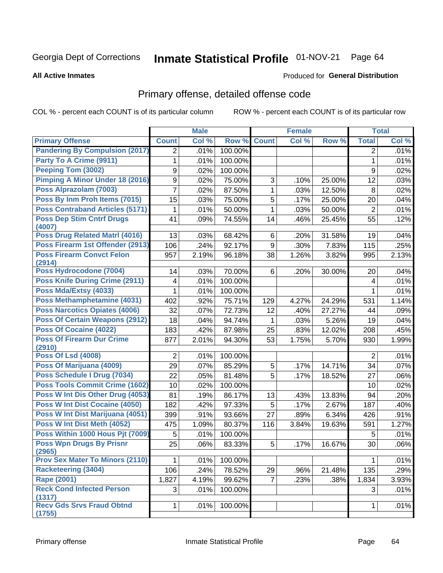#### Inmate Statistical Profile 01-NOV-21 Page 64

#### **All Active Inmates**

### **Produced for General Distribution**

### Primary offense, detailed offense code

COL % - percent each COUNT is of its particular column

|                                            |                | <b>Male</b> |         |                | <b>Female</b> |        |                | <b>Total</b> |
|--------------------------------------------|----------------|-------------|---------|----------------|---------------|--------|----------------|--------------|
| <b>Primary Offense</b>                     | <b>Count</b>   | Col %       | Row %   | <b>Count</b>   | Col %         | Row %  | <b>Total</b>   | Col %        |
| <b>Pandering By Compulsion (2017)</b>      | $\overline{2}$ | .01%        | 100.00% |                |               |        | $\overline{2}$ | .01%         |
| Party To A Crime (9911)                    | 1              | .01%        | 100.00% |                |               |        | $\mathbf{1}$   | .01%         |
| <b>Peeping Tom (3002)</b>                  | 9              | .02%        | 100.00% |                |               |        | 9              | .02%         |
| Pimping A Minor Under 18 (2016)            | 9              | .02%        | 75.00%  | 3              | .10%          | 25.00% | 12             | .03%         |
| Poss Alprazolam (7003)                     | 7              | .02%        | 87.50%  | $\mathbf{1}$   | .03%          | 12.50% | 8              | .02%         |
| Poss By Inm Proh Items (7015)              | 15             | .03%        | 75.00%  | 5              | .17%          | 25.00% | 20             | .04%         |
| <b>Poss Contraband Articles (5171)</b>     | 1              | .01%        | 50.00%  | 1              | .03%          | 50.00% | $\overline{2}$ | .01%         |
| <b>Poss Dep Stim Cntrf Drugs</b><br>(4007) | 41             | .09%        | 74.55%  | 14             | .46%          | 25.45% | 55             | .12%         |
| <b>Poss Drug Related Matri (4016)</b>      | 13             | .03%        | 68.42%  | 6              | .20%          | 31.58% | 19             | .04%         |
| Poss Firearm 1st Offender (2913)           | 106            | .24%        | 92.17%  | 9              | .30%          | 7.83%  | 115            | .25%         |
| <b>Poss Firearm Convct Felon</b>           | 957            | 2.19%       | 96.18%  | 38             | 1.26%         | 3.82%  | 995            | 2.13%        |
| (2914)                                     |                |             |         |                |               |        |                |              |
| Poss Hydrocodone (7004)                    | 14             | .03%        | 70.00%  | 6              | .20%          | 30.00% | 20             | .04%         |
| <b>Poss Knife During Crime (2911)</b>      | 4              | .01%        | 100.00% |                |               |        | 4              | .01%         |
| Poss Mda/Extsy (4033)                      | 1              | .01%        | 100.00% |                |               |        | 1              | .01%         |
| Poss Methamphetamine (4031)                | 402            | .92%        | 75.71%  | 129            | 4.27%         | 24.29% | 531            | 1.14%        |
| <b>Poss Narcotics Opiates (4006)</b>       | 32             | .07%        | 72.73%  | 12             | .40%          | 27.27% | 44             | .09%         |
| <b>Poss Of Certain Weapons (2912)</b>      | 18             | .04%        | 94.74%  | 1              | .03%          | 5.26%  | 19             | .04%         |
| <b>Poss Of Cocaine (4022)</b>              | 183            | .42%        | 87.98%  | 25             | .83%          | 12.02% | 208            | .45%         |
| <b>Poss Of Firearm Dur Crime</b>           | 877            | 2.01%       | 94.30%  | 53             | 1.75%         | 5.70%  | 930            | 1.99%        |
| (2910)                                     |                |             |         |                |               |        |                |              |
| <b>Poss Of Lsd (4008)</b>                  | $\overline{2}$ | .01%        | 100.00% |                |               |        | 2              | .01%         |
| Poss Of Marijuana (4009)                   | 29             | .07%        | 85.29%  | 5              | .17%          | 14.71% | 34             | .07%         |
| Poss Schedule I Drug (7034)                | 22             | .05%        | 81.48%  | 5              | .17%          | 18.52% | 27             | .06%         |
| <b>Poss Tools Commit Crime (1602)</b>      | 10             | .02%        | 100.00% |                |               |        | 10             | .02%         |
| Poss W Int Dis Other Drug (4053)           | 81             | .19%        | 86.17%  | 13             | .43%          | 13.83% | 94             | .20%         |
| <b>Poss W Int Dist Cocaine (4050)</b>      | 182            | .42%        | 97.33%  | 5              | .17%          | 2.67%  | 187            | .40%         |
| Poss W Int Dist Marijuana (4051)           | 399            | .91%        | 93.66%  | 27             | .89%          | 6.34%  | 426            | .91%         |
| Poss W Int Dist Meth (4052)                | 475            | 1.09%       | 80.37%  | 116            | 3.84%         | 19.63% | 591            | 1.27%        |
| Poss Within 1000 Hous Pjt (7009)           | 5              | .01%        | 100.00% |                |               |        | 5              | .01%         |
| <b>Poss Wpn Drugs By Prisnr</b>            | 25             | .06%        | 83.33%  | 5              | .17%          | 16.67% | 30             | .06%         |
| (2965)                                     |                |             |         |                |               |        |                |              |
| <b>Prov Sex Mater To Minors (2110)</b>     | 1              | .01%        | 100.00% |                |               |        | 1              | .01%         |
| <b>Racketeering (3404)</b>                 | 106            | .24%        | 78.52%  | 29             | .96%          | 21.48% | 135            | .29%         |
| <b>Rape (2001)</b>                         | 1,827          | 4.19%       | 99.62%  | $\overline{7}$ | .23%          | .38%   | 1,834          | 3.93%        |
| <b>Reck Cond Infected Person</b><br>(1317) | 3              | .01%        | 100.00% |                |               |        | 3              | .01%         |
| <b>Recy Gds Srvs Fraud Obtnd</b><br>(1755) | $\mathbf{1}$   | .01%        | 100.00% |                |               |        | 1              | .01%         |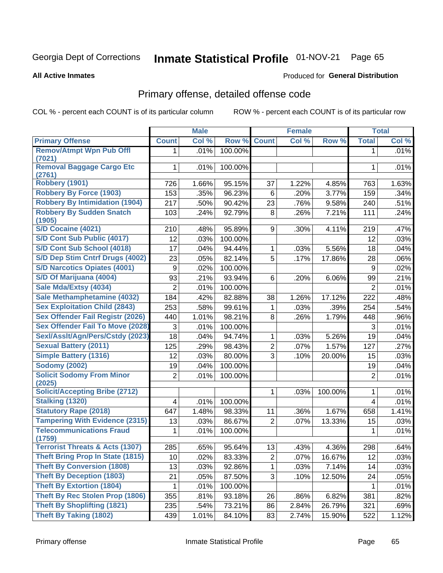# Inmate Statistical Profile 01-NOV-21 Page 65

**All Active Inmates** 

### **Produced for General Distribution**

## Primary offense, detailed offense code

COL % - percent each COUNT is of its particular column

|                                            |                  | <b>Male</b> |         |                | <b>Female</b> |         |                | <b>Total</b> |
|--------------------------------------------|------------------|-------------|---------|----------------|---------------|---------|----------------|--------------|
| <b>Primary Offense</b>                     | <b>Count</b>     | Col %       | Row %   | <b>Count</b>   | Col %         | Row %   | <b>Total</b>   | Col %        |
| <b>Remov/Atmpt Wpn Pub Offl</b>            | $\mathbf 1$      | .01%        | 100.00% |                |               |         | 1              | .01%         |
| (7021)                                     |                  |             |         |                |               |         |                |              |
| <b>Removal Baggage Cargo Etc</b><br>(2761) | $\mathbf{1}$     | .01%        | 100.00% |                |               |         | 1              | .01%         |
| <b>Robbery (1901)</b>                      | 726              | 1.66%       | 95.15%  | 37             | 1.22%         | 4.85%   | 763            | 1.63%        |
| <b>Robbery By Force (1903)</b>             | 153              | .35%        | 96.23%  | 6              | .20%          | 3.77%   | 159            | .34%         |
| <b>Robbery By Intimidation (1904)</b>      | 217              | .50%        | 90.42%  | 23             | .76%          | 9.58%   | 240            | .51%         |
| <b>Robbery By Sudden Snatch</b><br>(1905)  | 103              | .24%        | 92.79%  | 8              | .26%          | 7.21%   | 111            | .24%         |
| <b>S/D Cocaine (4021)</b>                  | 210              | .48%        | 95.89%  | 9              | .30%          | 4.11%   | 219            | .47%         |
| S/D Cont Sub Public (4017)                 | 12               | .03%        | 100.00% |                |               |         | 12             | .03%         |
| S/D Cont Sub School (4018)                 | 17               | .04%        | 94.44%  | 1              | .03%          | 5.56%   | 18             | .04%         |
| S/D Dep Stim Cntrf Drugs (4002)            | 23               | .05%        | 82.14%  | 5              | .17%          | 17.86%  | 28             | .06%         |
| <b>S/D Narcotics Opiates (4001)</b>        | $\boldsymbol{9}$ | .02%        | 100.00% |                |               |         | 9              | .02%         |
| S/D Of Marijuana (4004)                    | 93               | .21%        | 93.94%  | 6              | .20%          | 6.06%   | 99             | .21%         |
| Sale Mda/Extsy (4034)                      | $\overline{2}$   | .01%        | 100.00% |                |               |         | $\overline{2}$ | .01%         |
| Sale Methamphetamine (4032)                | 184              | .42%        | 82.88%  | 38             | 1.26%         | 17.12%  | 222            | .48%         |
| <b>Sex Exploitation Child (2843)</b>       | 253              | .58%        | 99.61%  | 1              | .03%          | .39%    | 254            | .54%         |
| <b>Sex Offender Fail Registr (2026)</b>    | 440              | 1.01%       | 98.21%  | 8              | .26%          | 1.79%   | 448            | .96%         |
| <b>Sex Offender Fail To Move (2028)</b>    | 3                | .01%        | 100.00% |                |               |         | 3              | .01%         |
| Sexl/Asslt/Agn/Pers/Cstdy (2023)           | 18               | .04%        | 94.74%  | 1              | .03%          | 5.26%   | 19             | .04%         |
| <b>Sexual Battery (2011)</b>               | 125              | .29%        | 98.43%  | $\overline{2}$ | .07%          | 1.57%   | 127            | .27%         |
| <b>Simple Battery (1316)</b>               | 12               | .03%        | 80.00%  | 3              | .10%          | 20.00%  | 15             | .03%         |
| <b>Sodomy (2002)</b>                       | 19               | .04%        | 100.00% |                |               |         | 19             | .04%         |
| <b>Solicit Sodomy From Minor</b><br>(2025) | $\overline{2}$   | .01%        | 100.00% |                |               |         | $\overline{2}$ | .01%         |
| <b>Solicit/Accepting Bribe (2712)</b>      |                  |             |         | 1              | .03%          | 100.00% | 1              | .01%         |
| <b>Stalking (1320)</b>                     | 4                | .01%        | 100.00% |                |               |         | 4              | .01%         |
| <b>Statutory Rape (2018)</b>               | 647              | 1.48%       | 98.33%  | 11             | .36%          | 1.67%   | 658            | 1.41%        |
| <b>Tampering With Evidence (2315)</b>      | 13               | .03%        | 86.67%  | $\overline{2}$ | .07%          | 13.33%  | 15             | .03%         |
| <b>Telecommunications Fraud</b><br>(1759)  | 1                | .01%        | 100.00% |                |               |         | 1              | .01%         |
| <b>Terrorist Threats &amp; Acts (1307)</b> | 285              | .65%        | 95.64%  | 13             | .43%          | 4.36%   | 298            | .64%         |
| <b>Theft Bring Prop In State (1815)</b>    | 10               | .02%        | 83.33%  | $\overline{c}$ | .07%          | 16.67%  | 12             | .03%         |
| <b>Theft By Conversion (1808)</b>          | 13               | .03%        | 92.86%  | 1.             | .03%          | 7.14%   | 14             | .03%         |
| <b>Theft By Deception (1803)</b>           | 21               | .05%        | 87.50%  | 3              | .10%          | 12.50%  | 24             | .05%         |
| <b>Theft By Extortion (1804)</b>           | 1                | .01%        | 100.00% |                |               |         | 1              | .01%         |
| <b>Theft By Rec Stolen Prop (1806)</b>     | 355              | .81%        | 93.18%  | 26             | .86%          | 6.82%   | 381            | .82%         |
| <b>Theft By Shoplifting (1821)</b>         | 235              | .54%        | 73.21%  | 86             | 2.84%         | 26.79%  | 321            | .69%         |
| <b>Theft By Taking (1802)</b>              | 439              | 1.01%       | 84.10%  | 83             | 2.74%         | 15.90%  | 522            | 1.12%        |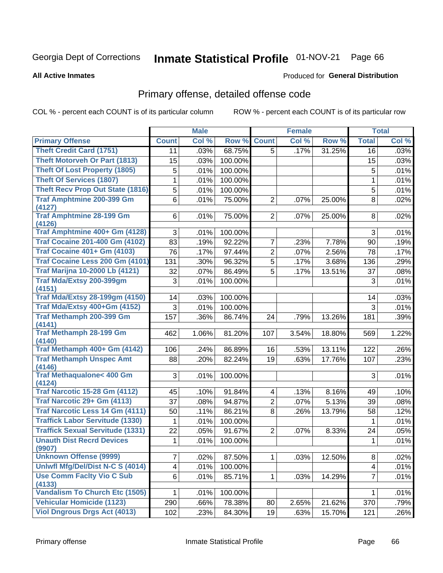# Inmate Statistical Profile 01-NOV-21 Page 66

**All Active Inmates** 

### **Produced for General Distribution**

## Primary offense, detailed offense code

COL % - percent each COUNT is of its particular column

|                                           |                | <b>Male</b> |         |                | <b>Female</b> |        |                | <b>Total</b> |
|-------------------------------------------|----------------|-------------|---------|----------------|---------------|--------|----------------|--------------|
| <b>Primary Offense</b>                    | <b>Count</b>   | Col %       | Row %   | <b>Count</b>   | Col %         | Row %  | <b>Total</b>   | Col %        |
| <b>Theft Credit Card (1751)</b>           | 11             | .03%        | 68.75%  | $\overline{5}$ | .17%          | 31.25% | 16             | .03%         |
| <b>Theft Motorveh Or Part (1813)</b>      | 15             | .03%        | 100.00% |                |               |        | 15             | .03%         |
| <b>Theft Of Lost Property (1805)</b>      | 5              | .01%        | 100.00% |                |               |        | 5              | .01%         |
| <b>Theft Of Services (1807)</b>           | 1              | .01%        | 100.00% |                |               |        | 1              | .01%         |
| <b>Theft Recv Prop Out State (1816)</b>   | 5              | $.01\%$     | 100.00% |                |               |        | 5              | .01%         |
| <b>Traf Amphtmine 200-399 Gm</b>          | 6              | .01%        | 75.00%  | $\overline{2}$ | .07%          | 25.00% | 8              | .02%         |
| (4127)                                    |                |             |         |                |               |        |                |              |
| <b>Traf Amphtmine 28-199 Gm</b><br>(4126) | 6              | .01%        | 75.00%  | $\overline{2}$ | .07%          | 25.00% | 8              | .02%         |
| Traf Amphtmine 400+ Gm (4128)             | 3              | .01%        | 100.00% |                |               |        | 3              | .01%         |
| <b>Traf Cocaine 201-400 Gm (4102)</b>     | 83             | .19%        | 92.22%  | 7              | .23%          | 7.78%  | 90             | .19%         |
| <b>Traf Cocaine 401+ Gm (4103)</b>        | 76             | .17%        | 97.44%  | $\overline{2}$ | .07%          | 2.56%  | 78             | .17%         |
| Traf Cocaine Less 200 Gm (4101)           | 131            | .30%        | 96.32%  | 5              | .17%          | 3.68%  | 136            | .29%         |
| <b>Traf Marijna 10-2000 Lb (4121)</b>     | 32             | .07%        | 86.49%  | 5              | .17%          | 13.51% | 37             | .08%         |
| Traf Mda/Extsy 200-399gm                  | 3              | .01%        | 100.00% |                |               |        | 3              | .01%         |
| (4151)                                    |                |             |         |                |               |        |                |              |
| <b>Traf Mda/Extsy 28-199gm (4150)</b>     | 14             | .03%        | 100.00% |                |               |        | 14             | .03%         |
| Traf Mda/Extsy 400+Gm (4152)              | 3              | .01%        | 100.00% |                |               |        | 3              | .01%         |
| <b>Traf Methamph 200-399 Gm</b>           | 157            | .36%        | 86.74%  | 24             | .79%          | 13.26% | 181            | .39%         |
| (4141)                                    |                |             |         |                |               |        |                |              |
| <b>Traf Methamph 28-199 Gm</b>            | 462            | 1.06%       | 81.20%  | 107            | 3.54%         | 18.80% | 569            | 1.22%        |
| (4140)<br>Traf Methamph 400+ Gm (4142)    | 106            | .24%        | 86.89%  | 16             | .53%          | 13.11% | 122            | .26%         |
| <b>Traf Methamph Unspec Amt</b>           | 88             | .20%        | 82.24%  | 19             | .63%          | 17.76% | 107            | .23%         |
| (4146)                                    |                |             |         |                |               |        |                |              |
| <b>Traf Methaqualone&lt; 400 Gm</b>       | 3              | .01%        | 100.00% |                |               |        | 3              | .01%         |
| (4124)                                    |                |             |         |                |               |        |                |              |
| <b>Traf Narcotic 15-28 Gm (4112)</b>      | 45             | .10%        | 91.84%  | 4              | .13%          | 8.16%  | 49             | .10%         |
| Traf Narcotic 29+ Gm (4113)               | 37             | .08%        | 94.87%  | $\overline{2}$ | .07%          | 5.13%  | 39             | .08%         |
| Traf Narcotic Less 14 Gm (4111)           | 50             | .11%        | 86.21%  | 8              | .26%          | 13.79% | 58             | .12%         |
| <b>Traffick Labor Servitude (1330)</b>    | 1              | .01%        | 100.00% |                |               |        | 1              | .01%         |
| <b>Traffick Sexual Servitude (1331)</b>   | 22             | .05%        | 91.67%  | $\overline{2}$ | .07%          | 8.33%  | 24             | .05%         |
| <b>Unauth Dist Recrd Devices</b>          | 1              | .01%        | 100.00% |                |               |        | $\mathbf 1$    | .01%         |
| (9907)<br><b>Unknown Offense (9999)</b>   | $\overline{7}$ | .02%        | 87.50%  | 1              | .03%          | 12.50% | 8              | .02%         |
| Uniwfl Mfg/Del/Dist N-C S (4014)          | 4              | .01%        | 100.00% |                |               |        | 4              | .01%         |
| <b>Use Comm Facity Vio C Sub</b>          | 6              |             |         |                | .03%          |        | $\overline{7}$ |              |
| (4133)                                    |                | .01%        | 85.71%  | 1              |               | 14.29% |                | .01%         |
| <b>Vandalism To Church Etc (1505)</b>     | 1              | .01%        | 100.00% |                |               |        | 1              | .01%         |
| <b>Vehicular Homicide (1123)</b>          | 290            | .66%        | 78.38%  | 80             | 2.65%         | 21.62% | 370            | .79%         |
| <b>Viol Dngrous Drgs Act (4013)</b>       | 102            | .23%        | 84.30%  | 19             | .63%          | 15.70% | 121            | .26%         |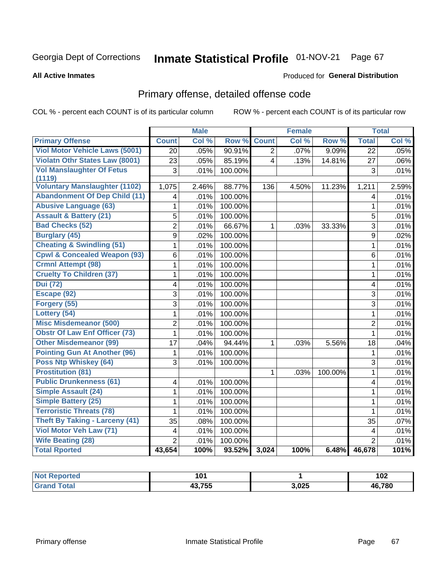# Inmate Statistical Profile 01-NOV-21 Page 67

**All Active Inmates** 

### **Produced for General Distribution**

## Primary offense, detailed offense code

COL % - percent each COUNT is of its particular column

|                                                |                         | <b>Male</b> |         |                | <b>Female</b> |         |                         | <b>Total</b> |
|------------------------------------------------|-------------------------|-------------|---------|----------------|---------------|---------|-------------------------|--------------|
| <b>Primary Offense</b>                         | <b>Count</b>            | Col %       | Row %   | <b>Count</b>   | Col %         | Row %   | <b>Total</b>            | Col %        |
| <b>Viol Motor Vehicle Laws (5001)</b>          | $\overline{20}$         | .05%        | 90.91%  | $\overline{2}$ | .07%          | 9.09%   | $\overline{22}$         | .05%         |
| <b>Violatn Othr States Law (8001)</b>          | $\overline{2}3$         | .05%        | 85.19%  | $\overline{4}$ | .13%          | 14.81%  | 27                      | $.06\%$      |
| <b>Vol Manslaughter Of Fetus</b>               | 3                       | .01%        | 100.00% |                |               |         | 3                       | .01%         |
| (1119)<br><b>Voluntary Manslaughter (1102)</b> |                         |             |         |                |               |         |                         |              |
|                                                | 1,075                   | 2.46%       | 88.77%  | 136            | 4.50%         | 11.23%  | 1,211                   | 2.59%        |
| <b>Abandonment Of Dep Child (11)</b>           | $\overline{\mathbf{4}}$ | .01%        | 100.00% |                |               |         | 4                       | .01%         |
| <b>Abusive Language (63)</b>                   | 1                       | .01%        | 100.00% |                |               |         | $\mathbf{1}$            | .01%         |
| <b>Assault &amp; Battery (21)</b>              | $\overline{5}$          | .01%        | 100.00% |                |               |         | 5                       | .01%         |
| <b>Bad Checks (52)</b>                         | $\overline{2}$          | .01%        | 66.67%  | $\mathbf{1}$   | .03%          | 33.33%  | $\overline{3}$          | .01%         |
| <b>Burglary (45)</b>                           | $\overline{9}$          | .02%        | 100.00% |                |               |         | 9                       | .02%         |
| <b>Cheating &amp; Swindling (51)</b>           | $\mathbf{1}$            | .01%        | 100.00% |                |               |         | $\mathbf{1}$            | .01%         |
| <b>Cpwl &amp; Concealed Weapon (93)</b>        | 6                       | .01%        | 100.00% |                |               |         | 6                       | .01%         |
| <b>Crmnl Attempt (98)</b>                      | $\mathbf{1}$            | .01%        | 100.00% |                |               |         | $\mathbf{1}$            | .01%         |
| <b>Cruelty To Children (37)</b>                | 1                       | .01%        | 100.00% |                |               |         | $\mathbf{1}$            | .01%         |
| <b>Dui</b> (72)                                | $\overline{4}$          | .01%        | 100.00% |                |               |         | $\overline{\mathbf{4}}$ | .01%         |
| Escape (92)                                    | $\overline{3}$          | .01%        | 100.00% |                |               |         | 3                       | .01%         |
| Forgery (55)                                   | $\overline{3}$          | .01%        | 100.00% |                |               |         | 3                       | .01%         |
| Lottery (54)                                   | $\mathbf{1}$            | .01%        | 100.00% |                |               |         | $\mathbf{1}$            | .01%         |
| <b>Misc Misdemeanor (500)</b>                  | $\overline{2}$          | .01%        | 100.00% |                |               |         | $\overline{2}$          | .01%         |
| <b>Obstr Of Law Enf Officer (73)</b>           | $\mathbf{1}$            | .01%        | 100.00% |                |               |         | $\mathbf{1}$            | .01%         |
| <b>Other Misdemeanor (99)</b>                  | 17                      | .04%        | 94.44%  | 1              | .03%          | 5.56%   | 18                      | .04%         |
| <b>Pointing Gun At Another (96)</b>            | 1                       | .01%        | 100.00% |                |               |         | $\mathbf 1$             | .01%         |
| Poss Ntp Whiskey (64)                          | 3                       | .01%        | 100.00% |                |               |         | $\overline{3}$          | .01%         |
| <b>Prostitution (81)</b>                       |                         |             |         | 1              | .03%          | 100.00% | $\mathbf{1}$            | .01%         |
| <b>Public Drunkenness (61)</b>                 | $\overline{\mathbf{4}}$ | .01%        | 100.00% |                |               |         | $\overline{\mathbf{4}}$ | .01%         |
| <b>Simple Assault (24)</b>                     | $\mathbf 1$             | .01%        | 100.00% |                |               |         | $\mathbf{1}$            | .01%         |
| <b>Simple Battery (25)</b>                     | $\mathbf{1}$            | .01%        | 100.00% |                |               |         | $\mathbf{1}$            | .01%         |
| <b>Terroristic Threats (78)</b>                | $\mathbf{1}$            | .01%        | 100.00% |                |               |         | 1                       | .01%         |
| <b>Theft By Taking - Larceny (41)</b>          | 35                      | .08%        | 100.00% |                |               |         | 35                      | .07%         |
| Viol Motor Veh Law (71)                        | 4                       | .01%        | 100.00% |                |               |         | 4                       | .01%         |
| <b>Wife Beating (28)</b>                       | $\overline{2}$          | .01%        | 100.00% |                |               |         | $\overline{2}$          | .01%         |
| <b>Total Rported</b>                           | 43,654                  | 100%        | 93.52%  | 3,024          | 100%          | 6.48%   | 46,678                  | 101%         |

| NO1<br>ortea.<br>. | 1 N 1<br>1 V I      |       | I VZ   |
|--------------------|---------------------|-------|--------|
|                    | 19 7EE<br><br>1 J J | 3,025 | 46,780 |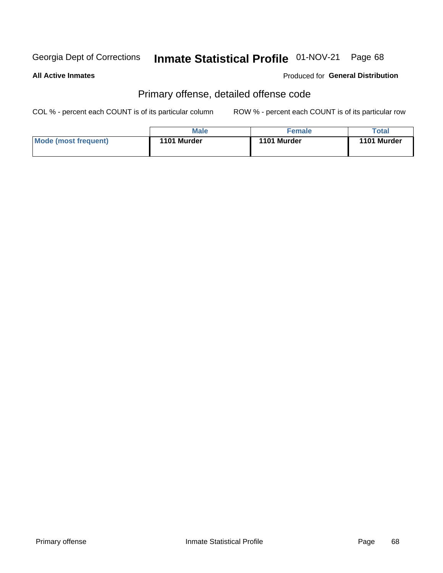# Inmate Statistical Profile 01-NOV-21 Page 68

#### **All Active Inmates**

#### Produced for General Distribution

## Primary offense, detailed offense code

COL % - percent each COUNT is of its particular column

|                      | <b>Male</b> | Female      | Total       |
|----------------------|-------------|-------------|-------------|
| Mode (most frequent) | 1101 Murder | 1101 Murder | 1101 Murder |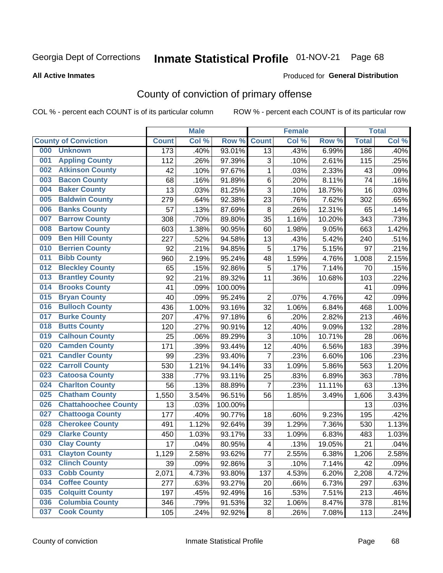# Inmate Statistical Profile 01-NOV-21 Page 68

Produced for General Distribution

#### **All Active Inmates**

## County of conviction of primary offense

COL % - percent each COUNT is of its particular column

|                                    |                  | <b>Male</b> |         |                         | <b>Female</b> |        |              | <b>Total</b> |
|------------------------------------|------------------|-------------|---------|-------------------------|---------------|--------|--------------|--------------|
| <b>County of Conviction</b>        | <b>Count</b>     | Col %       | Row %   | <b>Count</b>            | Col %         | Row %  | <b>Total</b> | Col %        |
| <b>Unknown</b><br>000              | $\overline{173}$ | .40%        | 93.01%  | 13                      | .43%          | 6.99%  | 186          | .40%         |
| <b>Appling County</b><br>001       | 112              | .26%        | 97.39%  | 3                       | .10%          | 2.61%  | 115          | .25%         |
| <b>Atkinson County</b><br>002      | 42               | .10%        | 97.67%  | 1                       | .03%          | 2.33%  | 43           | .09%         |
| <b>Bacon County</b><br>003         | 68               | .16%        | 91.89%  | 6                       | .20%          | 8.11%  | 74           | .16%         |
| <b>Baker County</b><br>004         | 13               | .03%        | 81.25%  | 3                       | .10%          | 18.75% | 16           | .03%         |
| <b>Baldwin County</b><br>005       | 279              | .64%        | 92.38%  | 23                      | .76%          | 7.62%  | 302          | .65%         |
| <b>Banks County</b><br>006         | 57               | .13%        | 87.69%  | 8                       | .26%          | 12.31% | 65           | .14%         |
| <b>Barrow County</b><br>007        | 308              | .70%        | 89.80%  | 35                      | 1.16%         | 10.20% | 343          | .73%         |
| <b>Bartow County</b><br>008        | 603              | 1.38%       | 90.95%  | 60                      | 1.98%         | 9.05%  | 663          | 1.42%        |
| <b>Ben Hill County</b><br>009      | 227              | .52%        | 94.58%  | 13                      | .43%          | 5.42%  | 240          | .51%         |
| <b>Berrien County</b><br>010       | 92               | .21%        | 94.85%  | 5                       | .17%          | 5.15%  | 97           | .21%         |
| <b>Bibb County</b><br>011          | 960              | 2.19%       | 95.24%  | 48                      | 1.59%         | 4.76%  | 1,008        | 2.15%        |
| <b>Bleckley County</b><br>012      | 65               | .15%        | 92.86%  | 5                       | .17%          | 7.14%  | 70           | .15%         |
| <b>Brantley County</b><br>013      | 92               | .21%        | 89.32%  | 11                      | .36%          | 10.68% | 103          | .22%         |
| <b>Brooks County</b><br>014        | 41               | .09%        | 100.00% |                         |               |        | 41           | .09%         |
| 015<br><b>Bryan County</b>         | 40               | .09%        | 95.24%  | $\overline{2}$          | .07%          | 4.76%  | 42           | .09%         |
| <b>Bulloch County</b><br>016       | 436              | 1.00%       | 93.16%  | 32                      | 1.06%         | 6.84%  | 468          | 1.00%        |
| <b>Burke County</b><br>017         | 207              | .47%        | 97.18%  | 6                       | .20%          | 2.82%  | 213          | .46%         |
| <b>Butts County</b><br>018         | 120              | .27%        | 90.91%  | 12                      | .40%          | 9.09%  | 132          | .28%         |
| <b>Calhoun County</b><br>019       | 25               | .06%        | 89.29%  | 3                       | .10%          | 10.71% | 28           | .06%         |
| <b>Camden County</b><br>020        | 171              | .39%        | 93.44%  | 12                      | .40%          | 6.56%  | 183          | .39%         |
| <b>Candler County</b><br>021       | 99               | .23%        | 93.40%  | $\overline{7}$          | .23%          | 6.60%  | 106          | .23%         |
| <b>Carroll County</b><br>022       | 530              | 1.21%       | 94.14%  | 33                      | 1.09%         | 5.86%  | 563          | 1.20%        |
| <b>Catoosa County</b><br>023       | 338              | .77%        | 93.11%  | 25                      | .83%          | 6.89%  | 363          | .78%         |
| <b>Charlton County</b><br>024      | 56               | .13%        | 88.89%  | $\overline{7}$          | .23%          | 11.11% | 63           | .13%         |
| 025<br><b>Chatham County</b>       | 1,550            | 3.54%       | 96.51%  | 56                      | 1.85%         | 3.49%  | 1,606        | 3.43%        |
| <b>Chattahoochee County</b><br>026 | 13               | .03%        | 100.00% |                         |               |        | 13           | .03%         |
| <b>Chattooga County</b><br>027     | 177              | .40%        | 90.77%  | 18                      | .60%          | 9.23%  | 195          | .42%         |
| <b>Cherokee County</b><br>028      | 491              | 1.12%       | 92.64%  | 39                      | 1.29%         | 7.36%  | 530          | 1.13%        |
| <b>Clarke County</b><br>029        | 450              | 1.03%       | 93.17%  | 33                      | 1.09%         | 6.83%  | 483          | 1.03%        |
| <b>Clay County</b><br>030          | 17               | .04%        | 80.95%  | $\overline{\mathbf{4}}$ | .13%          | 19.05% | 21           | .04%         |
| 031<br><b>Clayton County</b>       | 1,129            | 2.58%       | 93.62%  | 77                      | 2.55%         | 6.38%  | 1,206        | 2.58%        |
| <b>Clinch County</b><br>032        | 39               | .09%        | 92.86%  | 3                       | .10%          | 7.14%  | 42           | .09%         |
| <b>Cobb County</b><br>033          | 2,071            | 4.73%       | 93.80%  | 137                     | 4.53%         | 6.20%  | 2,208        | 4.72%        |
| <b>Coffee County</b><br>034        | 277              | .63%        | 93.27%  | 20                      | .66%          | 6.73%  | 297          | .63%         |
| <b>Colquitt County</b><br>035      | 197              | .45%        | 92.49%  | 16                      | .53%          | 7.51%  | 213          | .46%         |
| <b>Columbia County</b><br>036      | 346              | .79%        | 91.53%  | 32                      | 1.06%         | 8.47%  | 378          | .81%         |
| <b>Cook County</b><br>037          | 105              | .24%        | 92.92%  | 8                       | .26%          | 7.08%  | 113          | .24%         |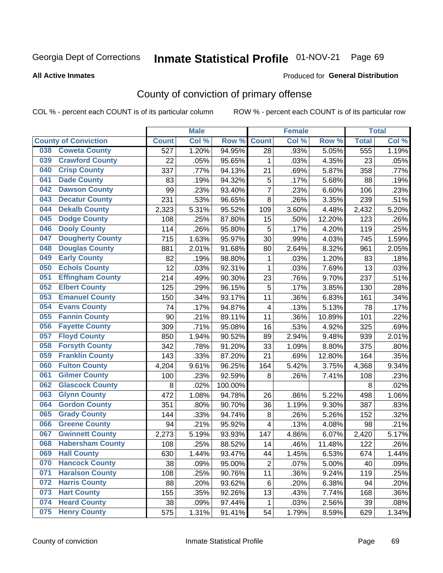# Inmate Statistical Profile 01-NOV-21 Page 69

Produced for General Distribution

#### **All Active Inmates**

## County of conviction of primary offense

COL % - percent each COUNT is of its particular column

|                                |              | <b>Male</b> |         |                | <b>Female</b> |        |              | <b>Total</b> |
|--------------------------------|--------------|-------------|---------|----------------|---------------|--------|--------------|--------------|
| <b>County of Conviction</b>    | <b>Count</b> | Col %       | Row %   | <b>Count</b>   | Col %         | Row %  | <b>Total</b> | Col %        |
| <b>Coweta County</b><br>038    | 527          | 1.20%       | 94.95%  | 28             | .93%          | 5.05%  | 555          | 1.19%        |
| <b>Crawford County</b><br>039  | 22           | .05%        | 95.65%  | 1              | .03%          | 4.35%  | 23           | .05%         |
| <b>Crisp County</b><br>040     | 337          | .77%        | 94.13%  | 21             | .69%          | 5.87%  | 358          | .77%         |
| <b>Dade County</b><br>041      | 83           | .19%        | 94.32%  | $\mathbf 5$    | .17%          | 5.68%  | 88           | .19%         |
| 042<br><b>Dawson County</b>    | 99           | .23%        | 93.40%  | $\overline{7}$ | .23%          | 6.60%  | 106          | .23%         |
| <b>Decatur County</b><br>043   | 231          | .53%        | 96.65%  | 8              | .26%          | 3.35%  | 239          | .51%         |
| <b>Dekalb County</b><br>044    | 2,323        | 5.31%       | 95.52%  | 109            | 3.60%         | 4.48%  | 2,432        | 5.20%        |
| <b>Dodge County</b><br>045     | 108          | .25%        | 87.80%  | 15             | .50%          | 12.20% | 123          | .26%         |
| <b>Dooly County</b><br>046     | 114          | .26%        | 95.80%  | 5              | .17%          | 4.20%  | 119          | .25%         |
| <b>Dougherty County</b><br>047 | 715          | 1.63%       | 95.97%  | 30             | .99%          | 4.03%  | 745          | 1.59%        |
| <b>Douglas County</b><br>048   | 881          | 2.01%       | 91.68%  | 80             | 2.64%         | 8.32%  | 961          | 2.05%        |
| <b>Early County</b><br>049     | 82           | .19%        | 98.80%  | 1              | .03%          | 1.20%  | 83           | .18%         |
| <b>Echols County</b><br>050    | 12           | .03%        | 92.31%  | 1              | .03%          | 7.69%  | 13           | .03%         |
| 051<br><b>Effingham County</b> | 214          | .49%        | 90.30%  | 23             | .76%          | 9.70%  | 237          | .51%         |
| 052<br><b>Elbert County</b>    | 125          | .29%        | 96.15%  | 5              | .17%          | 3.85%  | 130          | .28%         |
| <b>Emanuel County</b><br>053   | 150          | .34%        | 93.17%  | 11             | .36%          | 6.83%  | 161          | .34%         |
| 054<br><b>Evans County</b>     | 74           | .17%        | 94.87%  | 4              | .13%          | 5.13%  | 78           | .17%         |
| <b>Fannin County</b><br>055    | 90           | .21%        | 89.11%  | 11             | .36%          | 10.89% | 101          | .22%         |
| <b>Fayette County</b><br>056   | 309          | .71%        | 95.08%  | 16             | .53%          | 4.92%  | 325          | .69%         |
| <b>Floyd County</b><br>057     | 850          | 1.94%       | 90.52%  | 89             | 2.94%         | 9.48%  | 939          | 2.01%        |
| <b>Forsyth County</b><br>058   | 342          | .78%        | 91.20%  | 33             | 1.09%         | 8.80%  | 375          | .80%         |
| <b>Franklin County</b><br>059  | 143          | .33%        | 87.20%  | 21             | .69%          | 12.80% | 164          | .35%         |
| <b>Fulton County</b><br>060    | 4,204        | 9.61%       | 96.25%  | 164            | 5.42%         | 3.75%  | 4,368        | 9.34%        |
| <b>Gilmer County</b><br>061    | 100          | .23%        | 92.59%  | 8              | .26%          | 7.41%  | 108          | .23%         |
| 062<br><b>Glascock County</b>  | 8            | .02%        | 100.00% |                |               |        | 8            | .02%         |
| <b>Glynn County</b><br>063     | 472          | 1.08%       | 94.78%  | 26             | .86%          | 5.22%  | 498          | 1.06%        |
| <b>Gordon County</b><br>064    | 351          | .80%        | 90.70%  | 36             | 1.19%         | 9.30%  | 387          | .83%         |
| <b>Grady County</b><br>065     | 144          | .33%        | 94.74%  | 8              | .26%          | 5.26%  | 152          | .32%         |
| <b>Greene County</b><br>066    | 94           | .21%        | 95.92%  | 4              | .13%          | 4.08%  | 98           | .21%         |
| <b>Gwinnett County</b><br>067  | 2,273        | 5.19%       | 93.93%  | 147            | 4.86%         | 6.07%  | 2,420        | 5.17%        |
| <b>Habersham County</b><br>068 | 108          | .25%        | 88.52%  | 14             | .46%          | 11.48% | 122          | .26%         |
| 069<br><b>Hall County</b>      | 630          | 1.44%       | 93.47%  | 44             | 1.45%         | 6.53%  | 674          | 1.44%        |
| <b>Hancock County</b><br>070   | 38           | .09%        | 95.00%  | $\overline{2}$ | .07%          | 5.00%  | 40           | .09%         |
| <b>Haralson County</b><br>071  | 108          | .25%        | 90.76%  | 11             | .36%          | 9.24%  | 119          | .25%         |
| 072<br><b>Harris County</b>    | 88           | .20%        | 93.62%  | 6              | .20%          | 6.38%  | 94           | .20%         |
| <b>Hart County</b><br>073      | 155          | .35%        | 92.26%  | 13             | .43%          | 7.74%  | 168          | .36%         |
| <b>Heard County</b><br>074     | 38           | .09%        | 97.44%  | 1              | .03%          | 2.56%  | 39           | .08%         |
| <b>Henry County</b><br>075     | 575          | 1.31%       | 91.41%  | 54             | 1.79%         | 8.59%  | 629          | 1.34%        |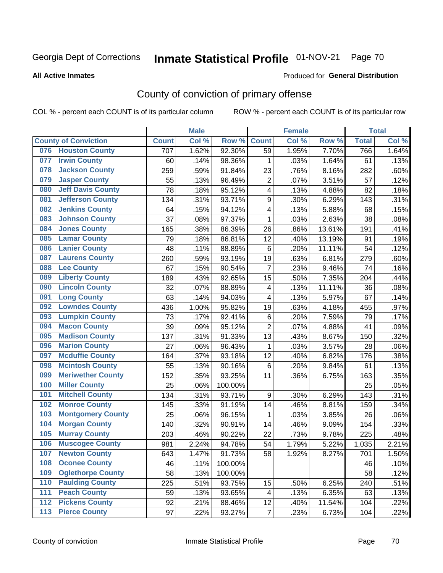# Inmate Statistical Profile 01-NOV-21 Page 70

#### **All Active Inmates**

#### Produced for General Distribution

## County of conviction of primary offense

COL % - percent each COUNT is of its particular column

|     |                             |              | <b>Male</b> |         |                         | <b>Female</b> |        |              | <b>Total</b> |
|-----|-----------------------------|--------------|-------------|---------|-------------------------|---------------|--------|--------------|--------------|
|     | <b>County of Conviction</b> | <b>Count</b> | Col %       | Row %   | <b>Count</b>            | Col %         | Row %  | <b>Total</b> | Col %        |
| 076 | <b>Houston County</b>       | 707          | 1.62%       | 92.30%  | 59                      | 1.95%         | 7.70%  | 766          | 1.64%        |
| 077 | <b>Irwin County</b>         | 60           | .14%        | 98.36%  | 1                       | .03%          | 1.64%  | 61           | .13%         |
| 078 | <b>Jackson County</b>       | 259          | .59%        | 91.84%  | 23                      | .76%          | 8.16%  | 282          | .60%         |
| 079 | <b>Jasper County</b>        | 55           | .13%        | 96.49%  | $\overline{2}$          | .07%          | 3.51%  | 57           | .12%         |
| 080 | <b>Jeff Davis County</b>    | 78           | .18%        | 95.12%  | 4                       | .13%          | 4.88%  | 82           | .18%         |
| 081 | <b>Jefferson County</b>     | 134          | .31%        | 93.71%  | 9                       | .30%          | 6.29%  | 143          | .31%         |
| 082 | <b>Jenkins County</b>       | 64           | .15%        | 94.12%  | 4                       | .13%          | 5.88%  | 68           | .15%         |
| 083 | <b>Johnson County</b>       | 37           | .08%        | 97.37%  | 1                       | .03%          | 2.63%  | 38           | .08%         |
| 084 | <b>Jones County</b>         | 165          | .38%        | 86.39%  | 26                      | .86%          | 13.61% | 191          | .41%         |
| 085 | <b>Lamar County</b>         | 79           | .18%        | 86.81%  | 12                      | .40%          | 13.19% | 91           | .19%         |
| 086 | <b>Lanier County</b>        | 48           | .11%        | 88.89%  | 6                       | .20%          | 11.11% | 54           | .12%         |
| 087 | <b>Laurens County</b>       | 260          | .59%        | 93.19%  | 19                      | .63%          | 6.81%  | 279          | .60%         |
| 088 | <b>Lee County</b>           | 67           | .15%        | 90.54%  | $\overline{7}$          | .23%          | 9.46%  | 74           | .16%         |
| 089 | <b>Liberty County</b>       | 189          | .43%        | 92.65%  | 15                      | .50%          | 7.35%  | 204          | .44%         |
| 090 | <b>Lincoln County</b>       | 32           | .07%        | 88.89%  | $\overline{\mathbf{4}}$ | .13%          | 11.11% | 36           | .08%         |
| 091 | <b>Long County</b>          | 63           | .14%        | 94.03%  | 4                       | .13%          | 5.97%  | 67           | .14%         |
| 092 | <b>Lowndes County</b>       | 436          | 1.00%       | 95.82%  | 19                      | .63%          | 4.18%  | 455          | .97%         |
| 093 | <b>Lumpkin County</b>       | 73           | .17%        | 92.41%  | 6                       | .20%          | 7.59%  | 79           | .17%         |
| 094 | <b>Macon County</b>         | 39           | .09%        | 95.12%  | $\overline{2}$          | .07%          | 4.88%  | 41           | .09%         |
| 095 | <b>Madison County</b>       | 137          | .31%        | 91.33%  | 13                      | .43%          | 8.67%  | 150          | .32%         |
| 096 | <b>Marion County</b>        | 27           | .06%        | 96.43%  | $\mathbf{1}$            | .03%          | 3.57%  | 28           | .06%         |
| 097 | <b>Mcduffie County</b>      | 164          | .37%        | 93.18%  | 12                      | .40%          | 6.82%  | 176          | .38%         |
| 098 | <b>Mcintosh County</b>      | 55           | .13%        | 90.16%  | 6                       | .20%          | 9.84%  | 61           | .13%         |
| 099 | <b>Meriwether County</b>    | 152          | .35%        | 93.25%  | 11                      | .36%          | 6.75%  | 163          | .35%         |
| 100 | <b>Miller County</b>        | 25           | .06%        | 100.00% |                         |               |        | 25           | .05%         |
| 101 | <b>Mitchell County</b>      | 134          | .31%        | 93.71%  | 9                       | .30%          | 6.29%  | 143          | .31%         |
| 102 | <b>Monroe County</b>        | 145          | .33%        | 91.19%  | 14                      | .46%          | 8.81%  | 159          | .34%         |
| 103 | <b>Montgomery County</b>    | 25           | .06%        | 96.15%  | 1                       | .03%          | 3.85%  | 26           | .06%         |
| 104 | <b>Morgan County</b>        | 140          | .32%        | 90.91%  | 14                      | .46%          | 9.09%  | 154          | .33%         |
| 105 | <b>Murray County</b>        | 203          | .46%        | 90.22%  | 22                      | .73%          | 9.78%  | 225          | .48%         |
| 106 | <b>Muscogee County</b>      | 981          | 2.24%       | 94.78%  | 54                      | 1.79%         | 5.22%  | 1,035        | 2.21%        |
| 107 | <b>Newton County</b>        | 643          | 1.47%       | 91.73%  | 58                      | 1.92%         | 8.27%  | 701          | 1.50%        |
| 108 | <b>Oconee County</b>        | 46           | .11%        | 100.00% |                         |               |        | 46           | .10%         |
| 109 | <b>Oglethorpe County</b>    | 58           | .13%        | 100.00% |                         |               |        | 58           | .12%         |
| 110 | <b>Paulding County</b>      | 225          | .51%        | 93.75%  | 15                      | .50%          | 6.25%  | 240          | .51%         |
| 111 | <b>Peach County</b>         | 59           | .13%        | 93.65%  | 4                       | .13%          | 6.35%  | 63           | .13%         |
| 112 | <b>Pickens County</b>       | 92           | .21%        | 88.46%  | 12                      | .40%          | 11.54% | 104          | .22%         |
| 113 | <b>Pierce County</b>        | 97           | .22%        | 93.27%  | $\overline{7}$          | .23%          | 6.73%  | 104          | .22%         |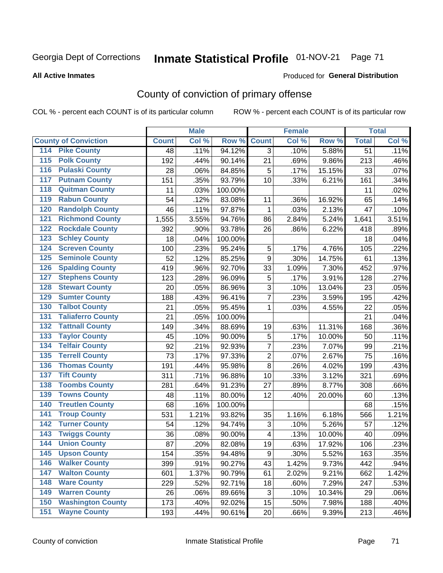# Inmate Statistical Profile 01-NOV-21 Page 71

#### **All Active Inmates**

### **Produced for General Distribution**

## County of conviction of primary offense

COL % - percent each COUNT is of its particular column

|                                          |              | <b>Male</b> |         |                          | <b>Female</b> |        |                 | <b>Total</b> |
|------------------------------------------|--------------|-------------|---------|--------------------------|---------------|--------|-----------------|--------------|
| <b>County of Conviction</b>              | <b>Count</b> | Col %       | Row %   | <b>Count</b>             | Col %         | Row %  | <b>Total</b>    | Col %        |
| <b>Pike County</b><br>114                | 48           | .11%        | 94.12%  | 3                        | .10%          | 5.88%  | $\overline{51}$ | .11%         |
| <b>Polk County</b><br>$\overline{115}$   | 192          | .44%        | 90.14%  | 21                       | .69%          | 9.86%  | 213             | .46%         |
| <b>Pulaski County</b><br>116             | 28           | .06%        | 84.85%  | 5                        | .17%          | 15.15% | 33              | .07%         |
| <b>Putnam County</b><br>117              | 151          | .35%        | 93.79%  | 10                       | .33%          | 6.21%  | 161             | .34%         |
| <b>Quitman County</b><br>118             | 11           | .03%        | 100.00% |                          |               |        | 11              | .02%         |
| <b>Rabun County</b><br>119               | 54           | .12%        | 83.08%  | 11                       | .36%          | 16.92% | 65              | .14%         |
| <b>Randolph County</b><br>120            | 46           | .11%        | 97.87%  | 1                        | .03%          | 2.13%  | 47              | .10%         |
| <b>Richmond County</b><br>121            | 1,555        | 3.55%       | 94.76%  | 86                       | 2.84%         | 5.24%  | 1,641           | 3.51%        |
| <b>Rockdale County</b><br>122            | 392          | .90%        | 93.78%  | 26                       | .86%          | 6.22%  | 418             | .89%         |
| <b>Schley County</b><br>123              | 18           | .04%        | 100.00% |                          |               |        | 18              | .04%         |
| <b>Screven County</b><br>124             | 100          | .23%        | 95.24%  | $\mathbf 5$              | .17%          | 4.76%  | 105             | .22%         |
| <b>Seminole County</b><br>125            | 52           | .12%        | 85.25%  | 9                        | .30%          | 14.75% | 61              | .13%         |
| <b>Spalding County</b><br>126            | 419          | .96%        | 92.70%  | 33                       | 1.09%         | 7.30%  | 452             | .97%         |
| <b>Stephens County</b><br>127            | 123          | .28%        | 96.09%  | 5                        | .17%          | 3.91%  | 128             | .27%         |
| <b>Stewart County</b><br>128             | 20           | .05%        | 86.96%  | 3                        | .10%          | 13.04% | 23              | .05%         |
| <b>Sumter County</b><br>129              | 188          | .43%        | 96.41%  | $\overline{7}$           | .23%          | 3.59%  | 195             | .42%         |
| <b>Talbot County</b><br>130              | 21           | .05%        | 95.45%  | 1                        | .03%          | 4.55%  | 22              | .05%         |
| <b>Taliaferro County</b><br>131          | 21           | .05%        | 100.00% |                          |               |        | 21              | .04%         |
| <b>Tattnall County</b><br>132            | 149          | .34%        | 88.69%  | 19                       | .63%          | 11.31% | 168             | .36%         |
| <b>Taylor County</b><br>133              | 45           | .10%        | 90.00%  | 5                        | .17%          | 10.00% | 50              | .11%         |
| <b>Telfair County</b><br>134             | 92           | .21%        | 92.93%  | $\overline{7}$           | .23%          | 7.07%  | 99              | .21%         |
| <b>Terrell County</b><br>135             | 73           | .17%        | 97.33%  | $\overline{2}$           | .07%          | 2.67%  | 75              | .16%         |
| <b>Thomas County</b><br>136              | 191          | .44%        | 95.98%  | 8                        | .26%          | 4.02%  | 199             | .43%         |
| <b>Tift County</b><br>137                | 311          | .71%        | 96.88%  | 10                       | .33%          | 3.12%  | 321             | .69%         |
| <b>Toombs County</b><br>138              | 281          | .64%        | 91.23%  | 27                       | .89%          | 8.77%  | 308             | .66%         |
| <b>Towns County</b><br>139               | 48           | .11%        | 80.00%  | 12                       | .40%          | 20.00% | 60              | .13%         |
| <b>Treutlen County</b><br>140            | 68           | .16%        | 100.00% |                          |               |        | 68              | .15%         |
| <b>Troup County</b><br>141               | 531          | 1.21%       | 93.82%  | 35                       | 1.16%         | 6.18%  | 566             | 1.21%        |
| <b>Turner County</b><br>142              | 54           | .12%        | 94.74%  | 3                        | .10%          | 5.26%  | 57              | .12%         |
| <b>Twiggs County</b><br>$\overline{143}$ | 36           | .08%        | 90.00%  | $\overline{\mathcal{A}}$ | .13%          | 10.00% | 40              | .09%         |
| <b>Union County</b><br>144               | 87           | .20%        | 82.08%  | 19                       | .63%          | 17.92% | 106             | .23%         |
| 145<br><b>Upson County</b>               | 154          | .35%        | 94.48%  | 9                        | .30%          | 5.52%  | 163             | .35%         |
| <b>Walker County</b><br>146              | 399          | .91%        | 90.27%  | 43                       | 1.42%         | 9.73%  | 442             | .94%         |
| <b>Walton County</b><br>147              | 601          | 1.37%       | 90.79%  | 61                       | 2.02%         | 9.21%  | 662             | 1.42%        |
| <b>Ware County</b><br>148                | 229          | .52%        | 92.71%  | 18                       | .60%          | 7.29%  | 247             | .53%         |
| <b>Warren County</b><br>149              | 26           | .06%        | 89.66%  | 3                        | .10%          | 10.34% | 29              | .06%         |
| <b>Washington County</b><br>150          | 173          | .40%        | 92.02%  | 15                       | .50%          | 7.98%  | 188             | .40%         |
| <b>Wayne County</b><br>151               | 193          | .44%        | 90.61%  | 20                       | .66%          | 9.39%  | 213             | .46%         |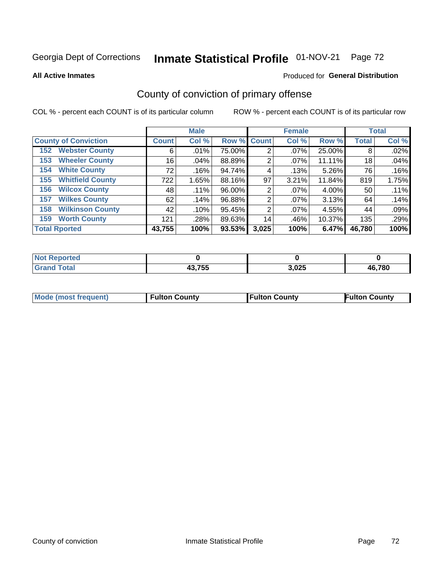# Inmate Statistical Profile 01-NOV-21 Page 72

**All Active Inmates** 

#### Produced for General Distribution

## County of conviction of primary offense

COL % - percent each COUNT is of its particular column

|                                |                 | <b>Male</b> |             |       | <b>Female</b> |        |              | <b>Total</b> |
|--------------------------------|-----------------|-------------|-------------|-------|---------------|--------|--------------|--------------|
| <b>County of Conviction</b>    | <b>Count</b>    | Col %       | Row % Count |       | Col %         | Row %  | <b>Total</b> | Col %        |
| <b>Webster County</b><br>152   | 6               | .01%        | 75.00%      | 2     | $.07\%$       | 25.00% | 8            | .02%         |
| <b>Wheeler County</b><br>153   | 16              | $.04\%$     | 88.89%      | 2     | $.07\%$       | 11.11% | 18           | .04%         |
| <b>White County</b><br>154     | 72 <sub>1</sub> | .16%        | 94.74%      | 4     | .13%          | 5.26%  | 76           | .16%         |
| <b>Whitfield County</b><br>155 | 722             | 1.65%       | 88.16%      | 97    | 3.21%         | 11.84% | 819          | 1.75%        |
| <b>Wilcox County</b><br>156    | 48              | $.11\%$     | 96.00%      | 2     | $.07\%$       | 4.00%  | 50           | .11%         |
| <b>Wilkes County</b><br>157    | 62              | .14%        | 96.88%      | 2     | $.07\%$       | 3.13%  | 64           | .14%         |
| <b>Wilkinson County</b><br>158 | 42              | .10%        | 95.45%      | 2     | $.07\%$       | 4.55%  | 44           | .09%         |
| <b>Worth County</b><br>159     | 121             | .28%        | 89.63%      | 14    | .46%          | 10.37% | 135          | .29%         |
| <b>Total Rported</b>           | 43,755          | 100%        | 93.53%      | 3,025 | 100%          | 6.47%  | 46,780       | 100%         |

| <b>Not Reported</b> |        |       |        |
|---------------------|--------|-------|--------|
| Total               | 43,755 | 3,025 | 46,780 |

| <b>Mode (most frequent)</b> | <b>Fulton County</b> | <b>Fulton County</b> | <b>Fulton County</b> |
|-----------------------------|----------------------|----------------------|----------------------|
|                             |                      |                      |                      |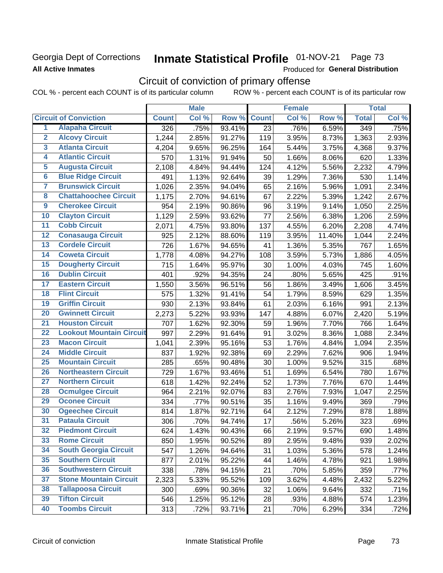### Georgia Dept of Corrections **All Active Inmates**

# Inmate Statistical Profile 01-NOV-21 Page 73

Produced for General Distribution

# Circuit of conviction of primary offense

|                         |                                 |              | <b>Male</b> |        |                 | <b>Female</b> |        |              | <b>Total</b> |
|-------------------------|---------------------------------|--------------|-------------|--------|-----------------|---------------|--------|--------------|--------------|
|                         | <b>Circuit of Conviction</b>    | <b>Count</b> | Col %       | Row %  | <b>Count</b>    | Col %         | Row %  | <b>Total</b> | Col %        |
| 1                       | <b>Alapaha Circuit</b>          | 326          | .75%        | 93.41% | $\overline{23}$ | .76%          | 6.59%  | 349          | .75%         |
| $\overline{2}$          | <b>Alcovy Circuit</b>           | 1,244        | 2.85%       | 91.27% | 119             | 3.95%         | 8.73%  | 1,363        | 2.93%        |
| $\overline{\mathbf{3}}$ | <b>Atlanta Circuit</b>          | 4,204        | 9.65%       | 96.25% | 164             | 5.44%         | 3.75%  | 4,368        | 9.37%        |
| 4                       | <b>Atlantic Circuit</b>         | 570          | 1.31%       | 91.94% | 50              | 1.66%         | 8.06%  | 620          | 1.33%        |
| $\overline{5}$          | <b>Augusta Circuit</b>          | 2,108        | 4.84%       | 94.44% | 124             | 4.12%         | 5.56%  | 2,232        | 4.79%        |
| $\overline{\bf{6}}$     | <b>Blue Ridge Circuit</b>       | 491          | 1.13%       | 92.64% | 39              | 1.29%         | 7.36%  | 530          | 1.14%        |
| 7                       | <b>Brunswick Circuit</b>        | 1,026        | 2.35%       | 94.04% | 65              | 2.16%         | 5.96%  | 1,091        | 2.34%        |
| $\overline{\mathbf{8}}$ | <b>Chattahoochee Circuit</b>    | 1,175        | 2.70%       | 94.61% | 67              | 2.22%         | 5.39%  | 1,242        | 2.67%        |
| $\overline{9}$          | <b>Cherokee Circuit</b>         | 954          | 2.19%       | 90.86% | 96              | 3.19%         | 9.14%  | 1,050        | 2.25%        |
| 10                      | <b>Clayton Circuit</b>          | 1,129        | 2.59%       | 93.62% | 77              | 2.56%         | 6.38%  | 1,206        | 2.59%        |
| $\overline{11}$         | <b>Cobb Circuit</b>             | 2,071        | 4.75%       | 93.80% | 137             | 4.55%         | 6.20%  | 2,208        | 4.74%        |
| $\overline{12}$         | <b>Conasauga Circuit</b>        | 925          | 2.12%       | 88.60% | 119             | 3.95%         | 11.40% | 1,044        | 2.24%        |
| 13                      | <b>Cordele Circuit</b>          | 726          | 1.67%       | 94.65% | 41              | 1.36%         | 5.35%  | 767          | 1.65%        |
| $\overline{14}$         | <b>Coweta Circuit</b>           | 1,778        | 4.08%       | 94.27% | 108             | 3.59%         | 5.73%  | 1,886        | 4.05%        |
| 15                      | <b>Dougherty Circuit</b>        | 715          | 1.64%       | 95.97% | 30              | 1.00%         | 4.03%  | 745          | 1.60%        |
| 16                      | <b>Dublin Circuit</b>           | 401          | .92%        | 94.35% | 24              | .80%          | 5.65%  | 425          | .91%         |
| 17                      | <b>Eastern Circuit</b>          | 1,550        | 3.56%       | 96.51% | 56              | 1.86%         | 3.49%  | 1,606        | 3.45%        |
| $\overline{18}$         | <b>Flint Circuit</b>            | 575          | 1.32%       | 91.41% | 54              | 1.79%         | 8.59%  | 629          | 1.35%        |
| 19                      | <b>Griffin Circuit</b>          | 930          | 2.13%       | 93.84% | 61              | 2.03%         | 6.16%  | 991          | 2.13%        |
| $\overline{20}$         | <b>Gwinnett Circuit</b>         | 2,273        | 5.22%       | 93.93% | 147             | 4.88%         | 6.07%  | 2,420        | 5.19%        |
| $\overline{21}$         | <b>Houston Circuit</b>          | 707          | 1.62%       | 92.30% | 59              | 1.96%         | 7.70%  | 766          | 1.64%        |
| $\overline{22}$         | <b>Lookout Mountain Circuit</b> | 997          | 2.29%       | 91.64% | 91              | 3.02%         | 8.36%  | 1,088        | 2.34%        |
| 23                      | <b>Macon Circuit</b>            | 1,041        | 2.39%       | 95.16% | 53              | 1.76%         | 4.84%  | 1,094        | 2.35%        |
| $\overline{24}$         | <b>Middle Circuit</b>           | 837          | 1.92%       | 92.38% | 69              | 2.29%         | 7.62%  | 906          | 1.94%        |
| $\overline{25}$         | <b>Mountain Circuit</b>         | 285          | .65%        | 90.48% | 30              | 1.00%         | 9.52%  | 315          | .68%         |
| 26                      | <b>Northeastern Circuit</b>     | 729          | 1.67%       | 93.46% | 51              | 1.69%         | 6.54%  | 780          | 1.67%        |
| $\overline{27}$         | <b>Northern Circuit</b>         | 618          | 1.42%       | 92.24% | 52              | 1.73%         | 7.76%  | 670          | 1.44%        |
| 28                      | <b>Ocmulgee Circuit</b>         | 964          | 2.21%       | 92.07% | 83              | 2.76%         | 7.93%  | 1,047        | 2.25%        |
| 29                      | <b>Oconee Circuit</b>           | 334          | .77%        | 90.51% | 35              | 1.16%         | 9.49%  | 369          | .79%         |
| 30                      | <b>Ogeechee Circuit</b>         | 814          | 1.87%       | 92.71% | 64              | 2.12%         | 7.29%  | 878          | 1.88%        |
| $\overline{31}$         | <b>Pataula Circuit</b>          | 306          | .70%        | 94.74% | 17              | .56%          | 5.26%  | 323          | .69%         |
| 32                      | <b>Piedmont Circuit</b>         | 624          | 1.43%       | 90.43% | 66              | 2.19%         | 9.57%  | 690          | 1.48%        |
| 33                      | <b>Rome Circuit</b>             | 850          | 1.95%       | 90.52% | 89              | 2.95%         | 9.48%  | 939          | 2.02%        |
| 34                      | <b>South Georgia Circuit</b>    | 547          | 1.26%       | 94.64% | 31              | 1.03%         | 5.36%  | 578          | 1.24%        |
| 35                      | <b>Southern Circuit</b>         | 877          | 2.01%       | 95.22% | 44              | 1.46%         | 4.78%  | 921          | 1.98%        |
| 36                      | <b>Southwestern Circuit</b>     | 338          | .78%        | 94.15% | 21              | .70%          | 5.85%  | 359          | .77%         |
| 37                      | <b>Stone Mountain Circuit</b>   | 2,323        | 5.33%       | 95.52% | 109             | 3.62%         | 4.48%  | 2,432        | 5.22%        |
| 38                      | <b>Tallapoosa Circuit</b>       | 300          | .69%        | 90.36% | 32              | 1.06%         | 9.64%  | 332          | .71%         |
| 39                      | <b>Tifton Circuit</b>           | 546          | 1.25%       | 95.12% | 28              | .93%          | 4.88%  | 574          | 1.23%        |
| 40                      | <b>Toombs Circuit</b>           | 313          | .72%        | 93.71% | 21              | .70%          | 6.29%  | 334          | .72%         |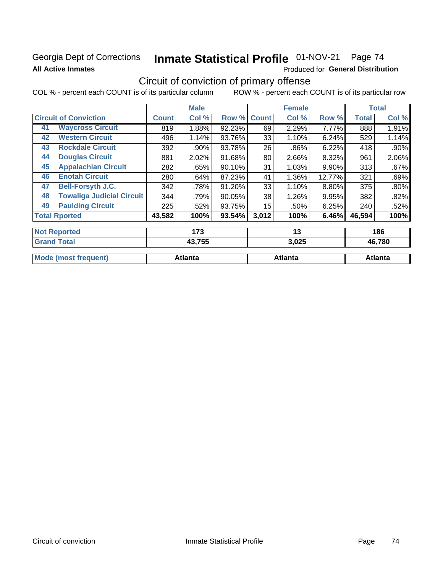### Georgia Dept of Corrections **All Active Inmates**

# Inmate Statistical Profile 01-NOV-21 Page 74

Produced for General Distribution

## Circuit of conviction of primary offense

|    |                                  |        | <b>Male</b> |        |              | <b>Female</b> |        |              | <b>Total</b> |
|----|----------------------------------|--------|-------------|--------|--------------|---------------|--------|--------------|--------------|
|    | <b>Circuit of Conviction</b>     |        | Col %       | Row %  | <b>Count</b> | Col %         | Row %  | <b>Total</b> | Col %        |
| 41 | <b>Waycross Circuit</b>          | 819    | 1.88%       | 92.23% | 69           | 2.29%         | 7.77%  | 888          | 1.91%        |
| 42 | <b>Western Circuit</b>           | 496    | 1.14%       | 93.76% | 33           | 1.10%         | 6.24%  | 529          | 1.14%        |
| 43 | <b>Rockdale Circuit</b>          | 392    | .90%        | 93.78% | 26           | .86%          | 6.22%  | 418          | $.90\%$      |
| 44 | <b>Douglas Circuit</b>           | 881    | 2.02%       | 91.68% | 80           | 2.66%         | 8.32%  | 961          | 2.06%        |
| 45 | <b>Appalachian Circuit</b>       | 282    | .65%        | 90.10% | 31           | 1.03%         | 9.90%  | 313          | .67%         |
| 46 | <b>Enotah Circuit</b>            | 280    | .64%        | 87.23% | 41           | 1.36%         | 12.77% | 321          | .69%         |
| 47 | <b>Bell-Forsyth J.C.</b>         | 342    | .78%        | 91.20% | 33           | 1.10%         | 8.80%  | 375          | .80%         |
| 48 | <b>Towaliga Judicial Circuit</b> | 344    | .79%        | 90.05% | 38           | 1.26%         | 9.95%  | 382          | .82%         |
| 49 | <b>Paulding Circuit</b>          | 225    | .52%        | 93.75% | 15           | .50%          | 6.25%  | 240          | .52%         |
|    | <b>Total Rported</b>             | 43,582 | 100%        | 93.54% | 3,012        | 100%          | 6.46%  | 46,594       | 100%         |
|    | <b>Not Reported</b>              |        | 173         |        |              | 13            |        |              | 186          |
|    | <b>Grand Total</b>               |        | 43,755      |        |              | 3,025         |        |              | 46,780       |

|            | .                 | -,---      | .    |
|------------|-------------------|------------|------|
|            |                   |            |      |
| Mc<br>enti | $-120$<br>ualila. | ont-<br>ша | anta |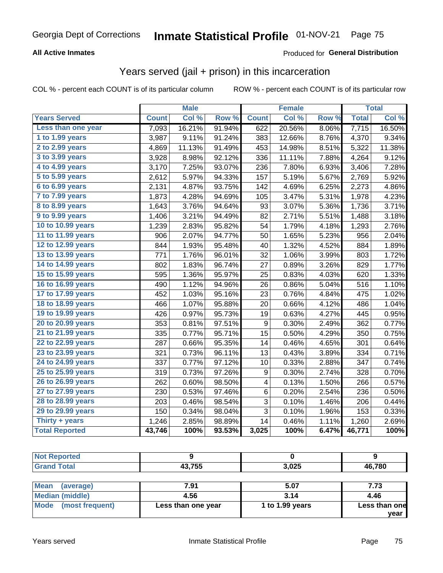#### **All Active Inmates**

#### Produced for **General Distribution**

## Years served (jail + prison) in this incarceration

|                              |              | <b>Male</b> |                  |                  | <b>Female</b> |                  |              | <b>Total</b> |
|------------------------------|--------------|-------------|------------------|------------------|---------------|------------------|--------------|--------------|
| <b>Years Served</b>          | <b>Count</b> | Col %       | Row <sup>%</sup> | <b>Count</b>     | Col %         | Row <sub>%</sub> | <b>Total</b> | Col%         |
| Less than one year           | 7,093        | 16.21%      | 91.94%           | 622              | 20.56%        | 8.06%            | 7,715        | 16.50%       |
| 1 to 1.99 years              | 3,987        | 9.11%       | 91.24%           | 383              | 12.66%        | 8.76%            | 4,370        | 9.34%        |
| 2 to 2.99 years              | 4,869        | 11.13%      | 91.49%           | 453              | 14.98%        | 8.51%            | 5,322        | 11.38%       |
| 3 to 3.99 years              | 3,928        | 8.98%       | 92.12%           | 336              | 11.11%        | 7.88%            | 4,264        | 9.12%        |
| 4 to 4.99 years              | 3,170        | 7.25%       | 93.07%           | 236              | 7.80%         | 6.93%            | 3,406        | 7.28%        |
| $\overline{5}$ to 5.99 years | 2,612        | 5.97%       | 94.33%           | 157              | 5.19%         | 5.67%            | 2,769        | 5.92%        |
| 6 to 6.99 years              | 2,131        | 4.87%       | 93.75%           | 142              | 4.69%         | 6.25%            | 2,273        | 4.86%        |
| 7 to 7.99 years              | 1,873        | 4.28%       | 94.69%           | 105              | 3.47%         | 5.31%            | 1,978        | 4.23%        |
| <b>8 to 8.99 years</b>       | 1,643        | 3.76%       | 94.64%           | 93               | 3.07%         | 5.36%            | 1,736        | 3.71%        |
| 9 to 9.99 years              | 1,406        | 3.21%       | 94.49%           | 82               | 2.71%         | 5.51%            | 1,488        | 3.18%        |
| 10 to 10.99 years            | 1,239        | 2.83%       | 95.82%           | 54               | 1.79%         | 4.18%            | 1,293        | 2.76%        |
| 11 to 11.99 years            | 906          | 2.07%       | 94.77%           | 50               | 1.65%         | 5.23%            | 956          | 2.04%        |
| 12 to 12.99 years            | 844          | 1.93%       | 95.48%           | 40               | 1.32%         | 4.52%            | 884          | 1.89%        |
| 13 to 13.99 years            | 771          | 1.76%       | 96.01%           | 32               | 1.06%         | 3.99%            | 803          | 1.72%        |
| 14 to 14.99 years            | 802          | 1.83%       | 96.74%           | 27               | 0.89%         | 3.26%            | 829          | 1.77%        |
| 15 to 15.99 years            | 595          | 1.36%       | 95.97%           | 25               | 0.83%         | 4.03%            | 620          | 1.33%        |
| 16 to 16.99 years            | 490          | 1.12%       | 94.96%           | 26               | 0.86%         | 5.04%            | 516          | 1.10%        |
| 17 to 17.99 years            | 452          | 1.03%       | 95.16%           | 23               | 0.76%         | 4.84%            | 475          | 1.02%        |
| 18 to 18.99 years            | 466          | 1.07%       | 95.88%           | 20               | 0.66%         | 4.12%            | 486          | 1.04%        |
| 19 to 19.99 years            | 426          | 0.97%       | 95.73%           | 19               | 0.63%         | 4.27%            | 445          | 0.95%        |
| 20 to 20.99 years            | 353          | 0.81%       | 97.51%           | $\boldsymbol{9}$ | 0.30%         | 2.49%            | 362          | 0.77%        |
| 21 to 21.99 years            | 335          | 0.77%       | 95.71%           | 15               | 0.50%         | 4.29%            | 350          | 0.75%        |
| 22 to 22.99 years            | 287          | 0.66%       | 95.35%           | 14               | 0.46%         | 4.65%            | 301          | 0.64%        |
| 23 to 23.99 years            | 321          | 0.73%       | 96.11%           | 13               | 0.43%         | 3.89%            | 334          | 0.71%        |
| 24 to 24.99 years            | 337          | 0.77%       | 97.12%           | 10               | 0.33%         | 2.88%            | 347          | 0.74%        |
| 25 to 25.99 years            | 319          | 0.73%       | 97.26%           | 9                | 0.30%         | 2.74%            | 328          | 0.70%        |
| 26 to 26.99 years            | 262          | 0.60%       | 98.50%           | 4                | 0.13%         | 1.50%            | 266          | 0.57%        |
| 27 to 27.99 years            | 230          | 0.53%       | 97.46%           | 6                | 0.20%         | 2.54%            | 236          | 0.50%        |
| 28 to 28.99 years            | 203          | 0.46%       | 98.54%           | 3                | 0.10%         | 1.46%            | 206          | 0.44%        |
| 29 to 29.99 years            | 150          | 0.34%       | 98.04%           | 3                | 0.10%         | 1.96%            | 153          | 0.33%        |
| Thirty + years               | 1,246        | 2.85%       | 98.89%           | 14               | 0.46%         | 1.11%            | 1,260        | 2.69%        |
| <b>Total Reported</b>        | 43,746       | 100%        | 93.53%           | 3,025            | 100%          | 6.47%            | 46,771       | 100%         |

| 46,780 |
|--------|
|        |

| Mean<br>(average)    | 7.91               | 5.07            | 7.73          |
|----------------------|--------------------|-----------------|---------------|
| Median (middle)      | 4.56               | 3.14            | 4.46          |
| Mode (most frequent) | Less than one year | 1 to 1.99 years | Less than one |
|                      |                    |                 | year          |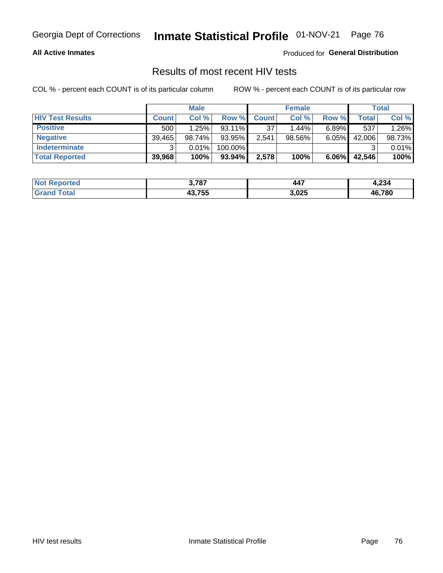#### **All Active Inmates**

Produced for **General Distribution**

## Results of most recent HIV tests

|                         |              | <b>Male</b> |           |              | <b>Female</b> |          |        | Total  |
|-------------------------|--------------|-------------|-----------|--------------|---------------|----------|--------|--------|
| <b>HIV Test Results</b> | <b>Count</b> | Col %       | Row %I    | <b>Count</b> | Col %         | Row %    | Total  | Col %  |
| <b>Positive</b>         | 500          | 1.25%       | 93.11%    | 37           | 1.44%         | $6.89\%$ | 537    | 1.26%  |
| <b>Negative</b>         | 39,465       | 98.74%      | 93.95%    | 2,541        | 98.56%        | 6.05%    | 42,006 | 98.73% |
| Indeterminate           | າ            | 0.01%       | 100.00%   |              |               |          |        | 0.01%  |
| <b>Total Reported</b>   | 39,968       | 100%        | $93.94\%$ | 2,578        | 100%          | $6.06\%$ | 42,546 | 100%   |

| <b>Not Reported</b> | 3,787  | 447   | 4,234  |
|---------------------|--------|-------|--------|
| Гоtal<br>Gran       | 43,755 | 3,025 | 46,780 |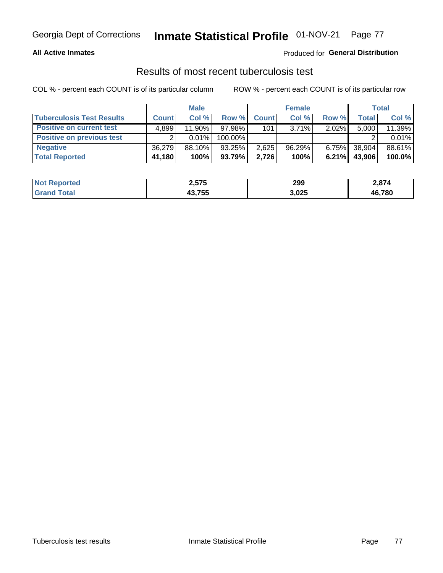#### **All Active Inmates**

#### Produced for **General Distribution**

#### Results of most recent tuberculosis test

|                                  |              | <b>Male</b> |           |              | <b>Female</b> |          |        | Total  |
|----------------------------------|--------------|-------------|-----------|--------------|---------------|----------|--------|--------|
| <b>Tuberculosis Test Results</b> | <b>Count</b> | Col%        | Row %I    | <b>Count</b> | Col%          | Row %    | Total  | Col %  |
| <b>Positive on current test</b>  | 4.899        | 11.90%      | 97.98%    | 101          | $3.71\%$      | $2.02\%$ | 5,000  | 11.39% |
| <b>Positive on previous test</b> | ົ            | $0.01\%$    | 100.00%   |              |               |          |        | 0.01%  |
| <b>Negative</b>                  | 36.279       | 88.10%      | 93.25%    | 2,625        | 96.29%        | $6.75\%$ | 38,904 | 88.61% |
| <b>Total Reported</b>            | 41,180       | 100%        | $93.79\%$ | 2.726        | 100%          | $6.21\%$ | 43,906 | 100.0% |

| <b>Not Reported</b> | 2,575  | 299   | 2,874  |
|---------------------|--------|-------|--------|
| Гоtal<br>Gran       | 43,755 | 3,025 | 46,780 |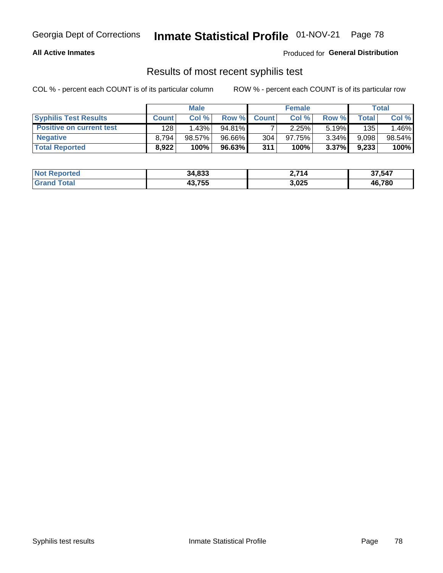#### **All Active Inmates**

Produced for **General Distribution**

### Results of most recent syphilis test

|                                 |              | <b>Male</b> |        |              | <b>Female</b> |          |       | Total  |
|---------------------------------|--------------|-------------|--------|--------------|---------------|----------|-------|--------|
| <b>Syphilis Test Results</b>    | <b>Count</b> | Col%        | Row %  | <b>Count</b> | Col %         | Row %    | Total | Col %  |
| <b>Positive on current test</b> | 128          | 1.43%       | 94.81% |              | 2.25%         | $5.19\%$ | 135   | .46%   |
| <b>Negative</b>                 | 8.794        | 98.57%      | 96.66% | 304          | 97.75%        | 3.34%    | 9,098 | 98.54% |
| <b>Total Reported</b>           | 8,922        | 100%        | 96.63% | 311          | 100%          | $3.37\%$ | 9,233 | 100%   |

| <b>Not Reported</b> | 34,833 | 2.714 | 37,547 |
|---------------------|--------|-------|--------|
| <b>Grand Total</b>  | 43,755 | 3,025 | 46,780 |